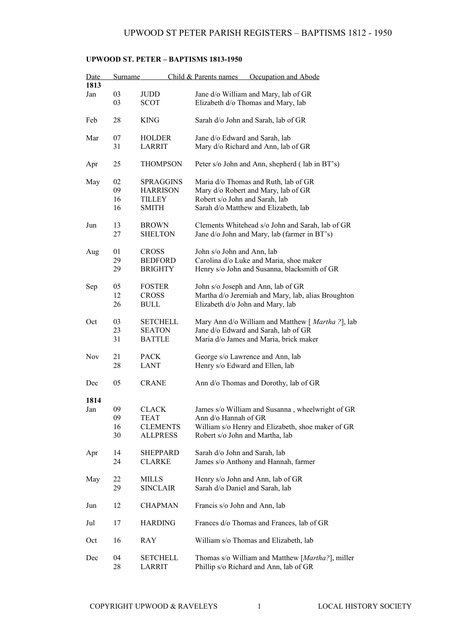## **UPWOOD ST. PETER – BAPTISMS 1813-1950**

| <b>Date</b><br>1813 | <b>Surname</b> |                  | Child & Parents names<br>Occupation and Abode      |
|---------------------|----------------|------------------|----------------------------------------------------|
|                     |                |                  |                                                    |
| Jan                 | 03             | <b>JUDD</b>      | Jane d/o William and Mary, lab of GR               |
|                     | 03             | <b>SCOT</b>      | Elizabeth d/o Thomas and Mary, lab                 |
| Feb                 | 28             | <b>KING</b>      | Sarah d/o John and Sarah, lab of GR                |
| Mar                 | 07             | <b>HOLDER</b>    | Jane d/o Edward and Sarah, lab                     |
|                     | 31             | LARRIT           | Mary d/o Richard and Ann, lab of GR                |
|                     |                |                  |                                                    |
| Apr                 | 25             | <b>THOMPSON</b>  | Peter s/o John and Ann, shepherd (lab in BT's)     |
| May                 | 02             | <b>SPRAGGINS</b> | Maria d/o Thomas and Ruth, lab of GR               |
|                     | 09             | <b>HARRISON</b>  | Mary d/o Robert and Mary, lab of GR                |
|                     | 16             | TILLEY           | Robert s/o John and Sarah, lab                     |
|                     | 16             | <b>SMITH</b>     | Sarah d/o Matthew and Elizabeth, lab               |
|                     |                |                  |                                                    |
| Jun                 | 13             | <b>BROWN</b>     | Clements Whitehead s/o John and Sarah, lab of GR   |
|                     | 27             | <b>SHELTON</b>   | Jane d/o John and Mary, lab (farmer in BT's)       |
|                     |                |                  |                                                    |
| Aug                 | 01             | <b>CROSS</b>     | John s/o John and Ann, lab                         |
|                     |                |                  |                                                    |
|                     | 29             | <b>BEDFORD</b>   | Carolina d/o Luke and Maria, shoe maker            |
|                     | 29             | <b>BRIGHTY</b>   | Henry s/o John and Susanna, blacksmith of GR       |
|                     |                |                  |                                                    |
| Sep                 | 05             | <b>FOSTER</b>    | John s/o Joseph and Ann, lab of GR                 |
|                     | 12             | <b>CROSS</b>     | Martha d/o Jeremiah and Mary, lab, alias Broughton |
|                     | 26             | <b>BULL</b>      | Elizabeth d/o John and Mary, lab                   |
|                     |                |                  |                                                    |
| Oct                 | 03             | <b>SETCHELL</b>  | Mary Ann d/o William and Matthew [ Martha ?], lab  |
|                     | 23             | <b>SEATON</b>    | Jane d/o Edward and Sarah, lab of GR               |
|                     | 31             | <b>BATTLE</b>    | Maria d/o James and Maria, brick maker             |
| Nov                 | 21             | <b>PACK</b>      | George s/o Lawrence and Ann, lab                   |
|                     | 28             | LANT             | Henry s/o Edward and Ellen, lab                    |
|                     |                |                  |                                                    |
| Dec                 | 05             | <b>CRANE</b>     | Ann d/o Thomas and Dorothy, lab of GR              |
|                     |                |                  |                                                    |
| 1814                |                |                  |                                                    |
| Jan                 | 09             | CLACK            | James s/o William and Susanna, wheelwright of GR   |
|                     | 09             | TEAT             | Ann d/o Hannah of GR                               |
|                     | 16             | <b>CLEMENTS</b>  | William s/o Henry and Elizabeth, shoe maker of GR  |
|                     | 30             | <b>ALLPRESS</b>  | Robert s/o John and Martha, lab                    |
|                     |                |                  |                                                    |
| Apr                 | 14             | SHEPPARD         | Sarah d/o John and Sarah, lab                      |
|                     | 24             | <b>CLARKE</b>    | James s/o Anthony and Hannah, farmer               |
|                     |                |                  |                                                    |
| May                 | 22             | MILLS            | Henry s/o John and Ann, lab of GR                  |
|                     | 29             | <b>SINCLAIR</b>  | Sarah d/o Daniel and Sarah, lab                    |
|                     |                |                  |                                                    |
| Jun                 | 12             | <b>CHAPMAN</b>   | Francis s/o John and Ann, lab                      |
|                     |                |                  |                                                    |
| Jul                 | 17             | <b>HARDING</b>   | Frances d/o Thomas and Frances, lab of GR          |
|                     |                |                  |                                                    |
| Oct                 | 16             | RAY              | William s/o Thomas and Elizabeth, lab              |
|                     |                |                  |                                                    |
| Dec                 | 04             | <b>SETCHELL</b>  | Thomas s/o William and Matthew [Martha?], miller   |
|                     | 28             | <b>LARRIT</b>    | Phillip s/o Richard and Ann, lab of GR             |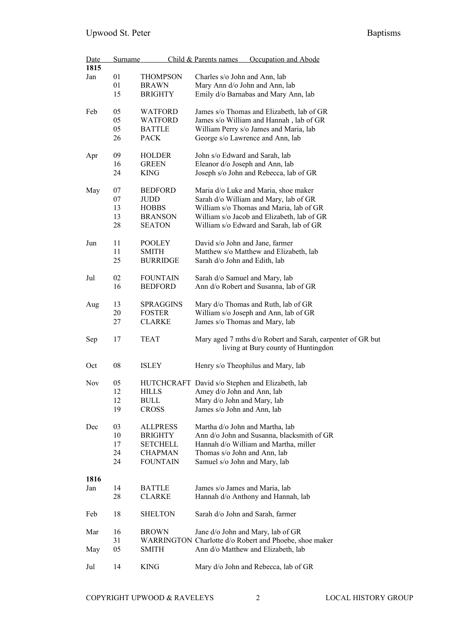| Date | <b>Surname</b> |                  | Child & Parents names<br>Occupation and Abode              |
|------|----------------|------------------|------------------------------------------------------------|
| 1815 |                |                  |                                                            |
| Jan  | 01             | <b>THOMPSON</b>  | Charles s/o John and Ann, lab                              |
|      | 01             | <b>BRAWN</b>     | Mary Ann d/o John and Ann, lab                             |
|      | 15             | <b>BRIGHTY</b>   | Emily d/o Barnabas and Mary Ann, lab                       |
|      |                |                  |                                                            |
| Feb  | 05             | <b>WATFORD</b>   | James s/o Thomas and Elizabeth, lab of GR                  |
|      | 05             | <b>WATFORD</b>   | James s/o William and Hannah, lab of GR                    |
|      | 05             | <b>BATTLE</b>    | William Perry s/o James and Maria, lab                     |
|      | 26             | <b>PACK</b>      | George s/o Lawrence and Ann, lab                           |
|      |                |                  |                                                            |
| Apr  | 09             | <b>HOLDER</b>    | John s/o Edward and Sarah, lab                             |
|      | 16             | <b>GREEN</b>     | Eleanor d/o Joseph and Ann, lab                            |
|      | 24             | <b>KING</b>      | Joseph s/o John and Rebecca, lab of GR                     |
|      |                |                  |                                                            |
|      | 07             | <b>BEDFORD</b>   | Maria d/o Luke and Maria, shoe maker                       |
| May  |                |                  |                                                            |
|      | 07             | <b>JUDD</b>      | Sarah d/o William and Mary, lab of GR                      |
|      | 13             | <b>HOBBS</b>     | William s/o Thomas and Maria, lab of GR                    |
|      | 13             | <b>BRANSON</b>   | William s/o Jacob and Elizabeth, lab of GR                 |
|      | 28             | <b>SEATON</b>    | William s/o Edward and Sarah, lab of GR                    |
|      |                |                  |                                                            |
| Jun  | 11             | POOLEY           | David s/o John and Jane, farmer                            |
|      | 11             | <b>SMITH</b>     | Matthew s/o Matthew and Elizabeth, lab                     |
|      | 25             | <b>BURRIDGE</b>  | Sarah d/o John and Edith, lab                              |
|      |                |                  |                                                            |
| Jul  | 02             | <b>FOUNTAIN</b>  | Sarah d/o Samuel and Mary, lab                             |
|      | 16             | <b>BEDFORD</b>   | Ann d/o Robert and Susanna, lab of GR                      |
|      |                |                  |                                                            |
| Aug  | 13             | <b>SPRAGGINS</b> | Mary d/o Thomas and Ruth, lab of GR                        |
|      | 20             | <b>FOSTER</b>    | William s/o Joseph and Ann, lab of GR                      |
|      | 27             | <b>CLARKE</b>    | James s/o Thomas and Mary, lab                             |
| Sep  | 17             | <b>TEAT</b>      | Mary aged 7 mths d/o Robert and Sarah, carpenter of GR but |
|      |                |                  | living at Bury county of Huntingdon                        |
|      |                |                  |                                                            |
| Oct  | 08             | <b>ISLEY</b>     | Henry s/o Theophilus and Mary, lab                         |
|      |                |                  |                                                            |
| Nov  | 05             |                  | HUTCHCRAFT David s/o Stephen and Elizabeth, lab            |
|      | 12             | <b>HILLS</b>     | Amey d/o John and Ann, lab                                 |
|      | 12             | <b>BULL</b>      | Mary d/o John and Mary, lab                                |
|      | 19             | <b>CROSS</b>     | James s/o John and Ann, lab                                |
|      |                |                  |                                                            |
| Dec  | 03             | <b>ALLPRESS</b>  | Martha d/o John and Martha, lab                            |
|      | 10             | <b>BRIGHTY</b>   | Ann d/o John and Susanna, blacksmith of GR                 |
|      | 17             | <b>SETCHELL</b>  | Hannah d/o William and Martha, miller                      |
|      | 24             | <b>CHAPMAN</b>   |                                                            |
|      |                |                  | Thomas s/o John and Ann, lab                               |
|      | 24             | <b>FOUNTAIN</b>  | Samuel s/o John and Mary, lab                              |
| 1816 |                |                  |                                                            |
| Jan  | 14             | <b>BATTLE</b>    | James s/o James and Maria, lab                             |
|      | 28             | <b>CLARKE</b>    | Hannah d/o Anthony and Hannah, lab                         |
|      |                |                  |                                                            |
| Feb  | 18             | <b>SHELTON</b>   | Sarah d/o John and Sarah, farmer                           |
|      |                |                  |                                                            |
| Mar  | 16             | <b>BROWN</b>     | Jane d/o John and Mary, lab of GR                          |
|      | 31             |                  | WARRINGTON Charlotte d/o Robert and Phoebe, shoe maker     |
| May  | 05             | <b>SMITH</b>     | Ann d/o Matthew and Elizabeth, lab                         |
|      |                |                  |                                                            |
| Jul  | 14             | <b>KING</b>      | Mary d/o John and Rebecca, lab of GR                       |
|      |                |                  |                                                            |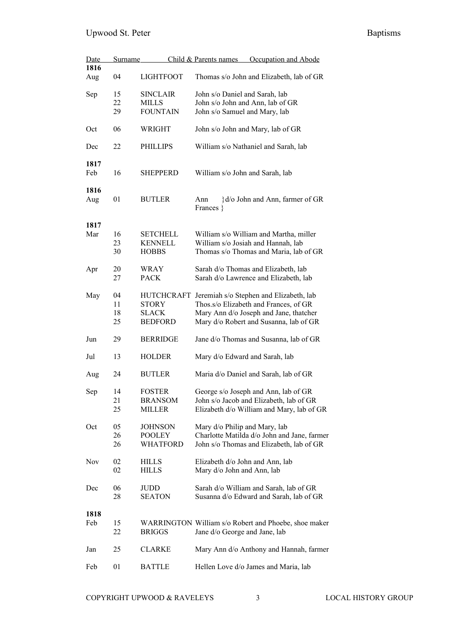| Date<br>1816 | Surname |                   | Occupation and Abode<br>Child & Parents names        |
|--------------|---------|-------------------|------------------------------------------------------|
| Aug          | 04      | <b>LIGHTFOOT</b>  | Thomas s/o John and Elizabeth, lab of GR             |
| Sep          | 15      | <b>SINCLAIR</b>   | John s/o Daniel and Sarah, lab                       |
|              | 22      | <b>MILLS</b>      | John s/o John and Ann, lab of GR                     |
|              | 29      | <b>FOUNTAIN</b>   | John s/o Samuel and Mary, lab                        |
| Oct          | 06      | WRIGHT            | John s/o John and Mary, lab of GR                    |
| Dec          | 22      | PHILLIPS          | William s/o Nathaniel and Sarah, lab                 |
| 1817         |         |                   |                                                      |
| Feb          | 16      | <b>SHEPPERD</b>   | William s/o John and Sarah, lab                      |
| 1816         |         |                   |                                                      |
| Aug          | 01      | <b>BUTLER</b>     | d/o John and Ann, farmer of GR<br>Ann<br>Frances }   |
| 1817         |         |                   |                                                      |
| Mar          | 16      | <b>SETCHELL</b>   | William s/o William and Martha, miller               |
|              | 23      | <b>KENNELL</b>    | William s/o Josiah and Hannah, lab                   |
|              | 30      | <b>HOBBS</b>      | Thomas s/o Thomas and Maria, lab of GR               |
| Apr          | 20      | WRAY              | Sarah d/o Thomas and Elizabeth, lab                  |
|              | 27      | <b>PACK</b>       | Sarah d/o Lawrence and Elizabeth, lab                |
| May          | 04      | <b>HUTCHCRAFT</b> | Jeremiah s/o Stephen and Elizabeth, lab              |
|              | 11      | <b>STORY</b>      | Thos.s/o Elizabeth and Frances, of GR                |
|              | 18      | <b>SLACK</b>      | Mary Ann d/o Joseph and Jane, thatcher               |
|              | 25      | <b>BEDFORD</b>    | Mary d/o Robert and Susanna, lab of GR               |
| Jun          | 29      | <b>BERRIDGE</b>   | Jane d/o Thomas and Susanna, lab of GR               |
| Jul          | 13      | <b>HOLDER</b>     | Mary d/o Edward and Sarah, lab                       |
| Aug          | 24      | <b>BUTLER</b>     | Maria d/o Daniel and Sarah, lab of GR                |
| Sep          | 14      | <b>FOSTER</b>     | George s/o Joseph and Ann, lab of GR                 |
|              | 21      | <b>BRANSOM</b>    | John s/o Jacob and Elizabeth, lab of GR              |
|              | 25      | MILLER            | Elizabeth d/o William and Mary, lab of GR            |
| Oct          | 05      | <b>JOHNSON</b>    | Mary d/o Philip and Mary, lab                        |
|              | 26      | <b>POOLEY</b>     | Charlotte Matilda d/o John and Jane, farmer          |
|              | 26      | WHATFORD          | John s/o Thomas and Elizabeth, lab of GR             |
| Nov          | 02      | <b>HILLS</b>      | Elizabeth d/o John and Ann, lab                      |
|              | 02      | <b>HILLS</b>      | Mary d/o John and Ann, lab                           |
| Dec          | 06      | <b>JUDD</b>       | Sarah d/o William and Sarah, lab of GR               |
|              | 28      | <b>SEATON</b>     | Susanna d/o Edward and Sarah, lab of GR              |
| 1818         |         |                   |                                                      |
| Feb          | 15      |                   | WARRINGTON William s/o Robert and Phoebe, shoe maker |
|              | 22      | <b>BRIGGS</b>     | Jane d/o George and Jane, lab                        |
|              |         |                   |                                                      |
| Jan          | 25      | <b>CLARKE</b>     | Mary Ann d/o Anthony and Hannah, farmer              |
| Feb          | 01      | <b>BATTLE</b>     | Hellen Love d/o James and Maria, lab                 |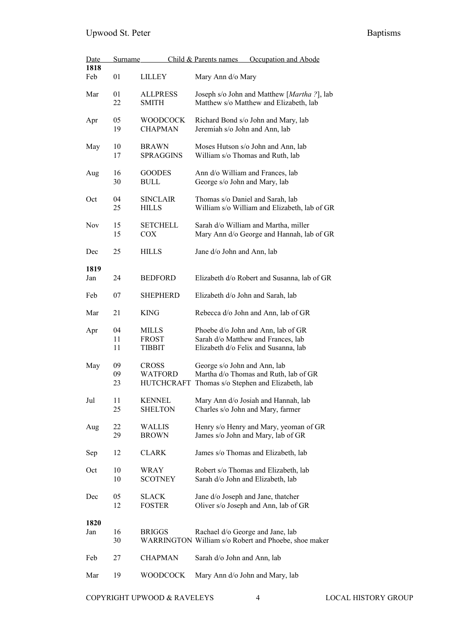| <u>Date</u> | Surname        |                                                     | Child & Parents names<br>Occupation and Abode                                                                    |
|-------------|----------------|-----------------------------------------------------|------------------------------------------------------------------------------------------------------------------|
| 1818        |                |                                                     |                                                                                                                  |
| Feb         | 01             | <b>LILLEY</b>                                       | Mary Ann d/o Mary                                                                                                |
| Mar         | 01<br>22       | <b>ALLPRESS</b><br><b>SMITH</b>                     | Joseph s/o John and Matthew [Martha ?], lab<br>Matthew s/o Matthew and Elizabeth, lab                            |
| Apr         | 05<br>19       | <b>WOODCOCK</b><br><b>CHAPMAN</b>                   | Richard Bond s/o John and Mary, lab<br>Jeremiah s/o John and Ann, lab                                            |
| May         | 10<br>17       | <b>BRAWN</b><br><b>SPRAGGINS</b>                    | Moses Hutson s/o John and Ann, lab<br>William s/o Thomas and Ruth, lab                                           |
| Aug         | 16<br>30       | <b>GOODES</b><br><b>BULL</b>                        | Ann d/o William and Frances, lab<br>George s/o John and Mary, lab                                                |
| Oct         | 04<br>25       | <b>SINCLAIR</b><br><b>HILLS</b>                     | Thomas s/o Daniel and Sarah, lab<br>William s/o William and Elizabeth, lab of GR                                 |
| <b>Nov</b>  | 15<br>15       | <b>SETCHELL</b><br><b>COX</b>                       | Sarah d/o William and Martha, miller<br>Mary Ann d/o George and Hannah, lab of GR                                |
| Dec         | 25             | <b>HILLS</b>                                        | Jane d/o John and Ann, lab                                                                                       |
| 1819        |                |                                                     |                                                                                                                  |
| Jan         | 24             | <b>BEDFORD</b>                                      | Elizabeth d/o Robert and Susanna, lab of GR                                                                      |
| Feb         | 07             | SHEPHERD                                            | Elizabeth d/o John and Sarah, lab                                                                                |
| Mar         | 21             | KING                                                | Rebecca d/o John and Ann, lab of GR                                                                              |
| Apr         | 04<br>11<br>11 | MILLS<br><b>FROST</b><br><b>TIBBIT</b>              | Phoebe d/o John and Ann, lab of GR<br>Sarah d/o Matthew and Frances, lab<br>Elizabeth d/o Felix and Susanna, lab |
| May         | 09<br>09<br>23 | <b>CROSS</b><br><b>WATFORD</b><br><b>HUTCHCRAFT</b> | George s/o John and Ann, lab<br>Martha d/o Thomas and Ruth, lab of GR<br>Thomas s/o Stephen and Elizabeth, lab   |
| Jul         | 11<br>25       | <b>KENNEL</b><br><b>SHELTON</b>                     | Mary Ann d/o Josiah and Hannah, lab<br>Charles s/o John and Mary, farmer                                         |
| Aug         | 22<br>29       | <b>WALLIS</b><br><b>BROWN</b>                       | Henry s/o Henry and Mary, yeoman of GR<br>James s/o John and Mary, lab of GR                                     |
| Sep         | 12             | <b>CLARK</b>                                        | James s/o Thomas and Elizabeth, lab                                                                              |
| Oct         | 10<br>10       | WRAY<br><b>SCOTNEY</b>                              | Robert s/o Thomas and Elizabeth, lab<br>Sarah d/o John and Elizabeth, lab                                        |
| Dec         | 05<br>12       | <b>SLACK</b><br><b>FOSTER</b>                       | Jane d/o Joseph and Jane, thatcher<br>Oliver s/o Joseph and Ann, lab of GR                                       |
| 1820        |                |                                                     |                                                                                                                  |
| Jan         | 16<br>30       | <b>BRIGGS</b>                                       | Rachael d/o George and Jane, lab<br>WARRINGTON William s/o Robert and Phoebe, shoe maker                         |
| Feb         | 27             | <b>CHAPMAN</b>                                      | Sarah d/o John and Ann, lab                                                                                      |
| Mar         | 19             | <b>WOODCOCK</b>                                     | Mary Ann d/o John and Mary, lab                                                                                  |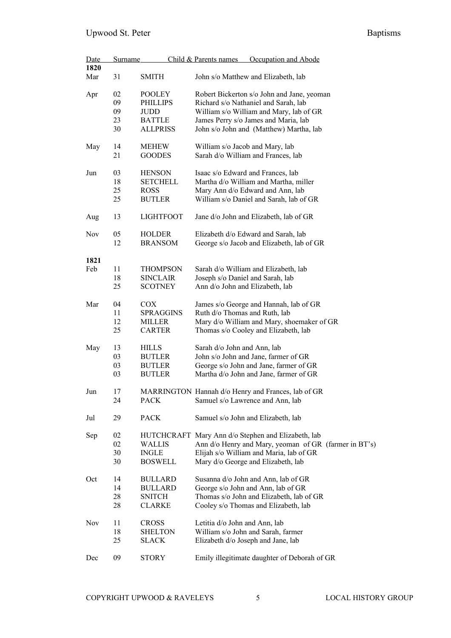| Date       | <b>Surname</b> |                  | Child & Parents names<br>Occupation and Abode         |
|------------|----------------|------------------|-------------------------------------------------------|
| 1820       |                |                  |                                                       |
| Mar        | 31             | <b>SMITH</b>     | John s/o Matthew and Elizabeth, lab                   |
| Apr        | 02             | <b>POOLEY</b>    | Robert Bickerton s/o John and Jane, yeoman            |
|            | 09             | <b>PHILLIPS</b>  | Richard s/o Nathaniel and Sarah, lab                  |
|            | 09             | <b>JUDD</b>      | William s/o William and Mary, lab of GR               |
|            | 23             | <b>BATTLE</b>    | James Perry s/o James and Maria, lab                  |
|            | 30             | <b>ALLPRISS</b>  |                                                       |
|            |                |                  | John s/o John and (Matthew) Martha, lab               |
| May        | 14             | <b>MEHEW</b>     | William s/o Jacob and Mary, lab                       |
|            | 21             | <b>GOODES</b>    | Sarah d/o William and Frances, lab                    |
| Jun        | 03             | <b>HENSON</b>    | Isaac s/o Edward and Frances, lab                     |
|            | 18             | <b>SETCHELL</b>  | Martha d/o William and Martha, miller                 |
|            | 25             | <b>ROSS</b>      | Mary Ann d/o Edward and Ann, lab                      |
|            | 25             | <b>BUTLER</b>    | William s/o Daniel and Sarah, lab of GR               |
|            |                |                  |                                                       |
| Aug        | 13             | <b>LIGHTFOOT</b> | Jane d/o John and Elizabeth, lab of GR                |
| Nov        | 05             | <b>HOLDER</b>    | Elizabeth d/o Edward and Sarah, lab                   |
|            | 12             | <b>BRANSOM</b>   | George s/o Jacob and Elizabeth, lab of GR             |
|            |                |                  |                                                       |
| 1821       |                |                  |                                                       |
| Feb        | 11             | <b>THOMPSON</b>  | Sarah d/o William and Elizabeth, lab                  |
|            | 18             | <b>SINCLAIR</b>  | Joseph s/o Daniel and Sarah, lab                      |
|            | 25             | <b>SCOTNEY</b>   | Ann d/o John and Elizabeth, lab                       |
| Mar        | 04             | <b>COX</b>       | James s/o George and Hannah, lab of GR                |
|            | 11             | <b>SPRAGGINS</b> | Ruth d/o Thomas and Ruth, lab                         |
|            | 12             | <b>MILLER</b>    | Mary d/o William and Mary, shoemaker of GR            |
|            |                |                  |                                                       |
|            | 25             | <b>CARTER</b>    | Thomas s/o Cooley and Elizabeth, lab                  |
| May        | 13             | <b>HILLS</b>     | Sarah d/o John and Ann, lab                           |
|            | 03             | <b>BUTLER</b>    | John s/o John and Jane, farmer of GR                  |
|            | 03             | <b>BUTLER</b>    | George s/o John and Jane, farmer of GR                |
|            | 03             | <b>BUTLER</b>    | Martha d/o John and Jane, farmer of GR                |
|            |                |                  |                                                       |
| Jun        | 17             |                  | MARRINGTON Hannah d/o Henry and Frances, lab of GR    |
|            | 24             | <b>PACK</b>      | Samuel s/o Lawrence and Ann, lab                      |
|            |                |                  |                                                       |
| Jul        | 29             | <b>PACK</b>      | Samuel s/o John and Elizabeth, lab                    |
| Sep        | 02             |                  | HUTCHCRAFT Mary Ann d/o Stephen and Elizabeth, lab    |
|            | 02             | <b>WALLIS</b>    | Ann d/o Henry and Mary, yeoman of GR (farmer in BT's) |
|            | 30             | <b>INGLE</b>     | Elijah s/o William and Maria, lab of GR               |
|            | 30             | <b>BOSWELL</b>   | Mary d/o George and Elizabeth, lab                    |
|            |                |                  |                                                       |
| Oct        | 14             | <b>BULLARD</b>   | Susanna d/o John and Ann, lab of GR                   |
|            | 14             | <b>BULLARD</b>   | George s/o John and Ann, lab of GR                    |
|            | 28             | <b>SNITCH</b>    | Thomas s/o John and Elizabeth, lab of GR              |
|            | 28             | <b>CLARKE</b>    | Cooley s/o Thomas and Elizabeth, lab                  |
| <b>Nov</b> | 11             | <b>CROSS</b>     | Letitia d/o John and Ann, lab                         |
|            | 18             | <b>SHELTON</b>   | William s/o John and Sarah, farmer                    |
|            |                |                  |                                                       |
|            | 25             | <b>SLACK</b>     | Elizabeth d/o Joseph and Jane, lab                    |
| Dec        | 09             | <b>STORY</b>     | Emily illegitimate daughter of Deborah of GR          |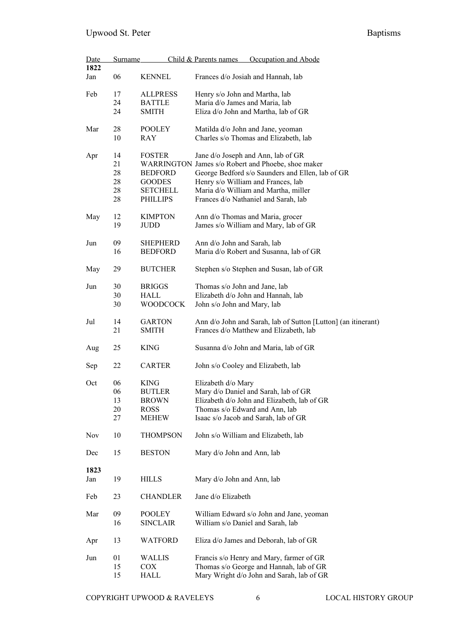| Date       | <b>Surname</b> |                 | Child & Parents names              | Occupation and Abode                                          |
|------------|----------------|-----------------|------------------------------------|---------------------------------------------------------------|
| 1822       |                |                 |                                    |                                                               |
| Jan        | 06             | <b>KENNEL</b>   | Frances d/o Josiah and Hannah, lab |                                                               |
| Feb        | 17             | <b>ALLPRESS</b> | Henry s/o John and Martha, lab     |                                                               |
|            | 24             | <b>BATTLE</b>   | Maria d/o James and Maria, lab     |                                                               |
|            | 24             | <b>SMITH</b>    |                                    | Eliza d/o John and Martha, lab of GR                          |
| Mar        | 28             | POOLEY          | Matilda d/o John and Jane, yeoman  |                                                               |
|            | 10             | RAY             |                                    | Charles s/o Thomas and Elizabeth, lab                         |
| Apr        | 14             | <b>FOSTER</b>   |                                    | Jane d/o Joseph and Ann, lab of GR                            |
|            | 21             |                 |                                    | WARRINGTON James s/o Robert and Phoebe, shoe maker            |
|            | 28             | <b>BEDFORD</b>  |                                    | George Bedford s/o Saunders and Ellen, lab of GR              |
|            | 28             | <b>GOODES</b>   | Henry s/o William and Frances, lab |                                                               |
|            | 28             | <b>SETCHELL</b> |                                    | Maria d/o William and Martha, miller                          |
|            | 28             | <b>PHILLIPS</b> |                                    | Frances d/o Nathaniel and Sarah, lab                          |
|            | 12             | <b>KIMPTON</b>  | Ann d/o Thomas and Maria, grocer   |                                                               |
| May        |                |                 |                                    |                                                               |
|            | 19             | JUDD            |                                    | James s/o William and Mary, lab of GR                         |
| Jun        | 09             | <b>SHEPHERD</b> | Ann d/o John and Sarah, lab        |                                                               |
|            | 16             | <b>BEDFORD</b>  |                                    | Maria d/o Robert and Susanna, lab of GR                       |
|            |                |                 |                                    |                                                               |
| May        | 29             | <b>BUTCHER</b>  |                                    | Stephen s/o Stephen and Susan, lab of GR                      |
| Jun        | 30             | <b>BRIGGS</b>   | Thomas s/o John and Jane, lab      |                                                               |
|            | 30             | HALL            | Elizabeth d/o John and Hannah, lab |                                                               |
|            | 30             | WOODCOCK        |                                    |                                                               |
|            |                |                 | John s/o John and Mary, lab        |                                                               |
| Jul        | 14             | <b>GARTON</b>   |                                    | Ann d/o John and Sarah, lab of Sutton [Lutton] (an itinerant) |
|            | 21             | <b>SMITH</b>    |                                    | Frances d/o Matthew and Elizabeth, lab                        |
| Aug        | 25             | <b>KING</b>     |                                    | Susanna d/o John and Maria, lab of GR                         |
| Sep        | 22             | <b>CARTER</b>   | John s/o Cooley and Elizabeth, lab |                                                               |
| Oct        | 06             | <b>KING</b>     | Elizabeth d/o Mary                 |                                                               |
|            | 06             | <b>BUTLER</b>   |                                    | Mary d/o Daniel and Sarah, lab of GR                          |
|            | 13             | <b>BROWN</b>    |                                    | Elizabeth d/o John and Elizabeth, lab of GR                   |
|            | 20             | <b>ROSS</b>     | Thomas s/o Edward and Ann, lab     |                                                               |
|            | 27             | <b>MEHEW</b>    |                                    | Isaac s/o Jacob and Sarah, lab of GR                          |
| <b>Nov</b> | 10             | <b>THOMPSON</b> |                                    | John s/o William and Elizabeth, lab                           |
| Dec        | 15             | <b>BESTON</b>   | Mary d/o John and Ann, lab         |                                                               |
|            |                |                 |                                    |                                                               |
| 1823       |                |                 |                                    |                                                               |
| Jan        | 19             | <b>HILLS</b>    | Mary d/o John and Ann, lab         |                                                               |
| Feb        | 23             | <b>CHANDLER</b> | Jane d/o Elizabeth                 |                                                               |
| Mar        | 09             | <b>POOLEY</b>   |                                    | William Edward s/o John and Jane, yeoman                      |
|            | 16             | <b>SINCLAIR</b> | William s/o Daniel and Sarah, lab  |                                                               |
| Apr        | 13             | WATFORD         |                                    | Eliza d/o James and Deborah, lab of GR                        |
| Jun        | 01             | WALLIS          |                                    | Francis s/o Henry and Mary, farmer of GR                      |
|            | 15             | COX             |                                    | Thomas s/o George and Hannah, lab of GR                       |
|            | 15             | <b>HALL</b>     |                                    | Mary Wright d/o John and Sarah, lab of GR                     |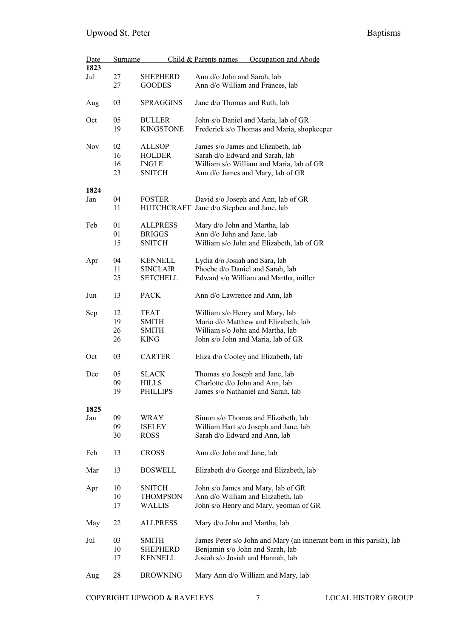| Date       | Surname  |                                  | Child & Parents names<br>Occupation and Abode                         |
|------------|----------|----------------------------------|-----------------------------------------------------------------------|
| 1823       |          |                                  |                                                                       |
| Jul        | 27<br>27 | <b>SHEPHERD</b><br><b>GOODES</b> | Ann d/o John and Sarah, lab<br>Ann d/o William and Frances, lab       |
|            |          |                                  |                                                                       |
| Aug        | 03       | <b>SPRAGGINS</b>                 | Jane d/o Thomas and Ruth, lab                                         |
| Oct        | 05       | <b>BULLER</b>                    | John s/o Daniel and Maria, lab of GR                                  |
|            | 19       | <b>KINGSTONE</b>                 | Frederick s/o Thomas and Maria, shopkeeper                            |
| <b>Nov</b> | 02       | <b>ALLSOP</b>                    | James s/o James and Elizabeth, lab                                    |
|            | 16       | <b>HOLDER</b>                    | Sarah d/o Edward and Sarah, lab                                       |
|            | 16       | <b>INGLE</b>                     | William s/o William and Maria, lab of GR                              |
|            | 23       | <b>SNITCH</b>                    | Ann d/o James and Mary, lab of GR                                     |
| 1824       |          |                                  |                                                                       |
| Jan        | 04       | <b>FOSTER</b>                    | David s/o Joseph and Ann, lab of GR                                   |
|            | 11       |                                  | HUTCHCRAFT Jane d/o Stephen and Jane, lab                             |
| Feb        | 01       | <b>ALLPRESS</b>                  | Mary d/o John and Martha, lab                                         |
|            | 01       | <b>BRIGGS</b>                    | Ann d/o John and Jane, lab                                            |
|            | 15       | SNITCH                           | William s/o John and Elizabeth, lab of GR                             |
| Apr        | 04       | <b>KENNELL</b>                   | Lydia d/o Josiah and Sara, lab                                        |
|            | 11       | <b>SINCLAIR</b>                  | Phoebe d/o Daniel and Sarah, lab                                      |
|            | 25       | <b>SETCHELL</b>                  | Edward s/o William and Martha, miller                                 |
| Jun        | 13       | <b>PACK</b>                      | Ann d/o Lawrence and Ann, lab                                         |
| Sep        | 12       | <b>TEAT</b>                      | William s/o Henry and Mary, lab                                       |
|            | 19       | <b>SMITH</b>                     | Maria d/o Matthew and Elizabeth, lab                                  |
|            | 26       | <b>SMITH</b>                     | William s/o John and Martha, lab                                      |
|            | 26       | <b>KING</b>                      | John s/o John and Maria, lab of GR                                    |
| Oct        | 03       | <b>CARTER</b>                    | Eliza d/o Cooley and Elizabeth, lab                                   |
| Dec        | 05       | <b>SLACK</b>                     | Thomas s/o Joseph and Jane, lab                                       |
|            | 09       | <b>HILLS</b>                     | Charlotte d/o John and Ann, lab                                       |
|            | 19       | <b>PHILLIPS</b>                  | James s/o Nathaniel and Sarah, lab                                    |
| 1825       |          |                                  |                                                                       |
| Jan        | 09       | WRAY                             | Simon s/o Thomas and Elizabeth, lab                                   |
|            | 09       | <b>ISELEY</b>                    | William Hart s/o Joseph and Jane, lab                                 |
|            | 30       | <b>ROSS</b>                      | Sarah d/o Edward and Ann, lab                                         |
| Feb        | 13       | <b>CROSS</b>                     | Ann d/o John and Jane, lab                                            |
| Mar        | 13       | <b>BOSWELL</b>                   | Elizabeth d/o George and Elizabeth, lab                               |
| Apr        | 10       | <b>SNITCH</b>                    | John s/o James and Mary, lab of GR                                    |
|            | 10       | <b>THOMPSON</b>                  | Ann d/o William and Elizabeth, lab                                    |
|            | 17       | <b>WALLIS</b>                    | John s/o Henry and Mary, yeoman of GR                                 |
| May        | 22       | <b>ALLPRESS</b>                  | Mary d/o John and Martha, lab                                         |
| Jul        | 03       | <b>SMITH</b>                     | James Peter s/o John and Mary (an itinerant born in this parish), lab |
|            | 10       | <b>SHEPHERD</b>                  | Benjamin s/o John and Sarah, lab                                      |
|            | 17       | <b>KENNELL</b>                   | Josiah s/o Josiah and Hannah, lab                                     |
| Aug        | 28       | <b>BROWNING</b>                  | Mary Ann d/o William and Mary, lab                                    |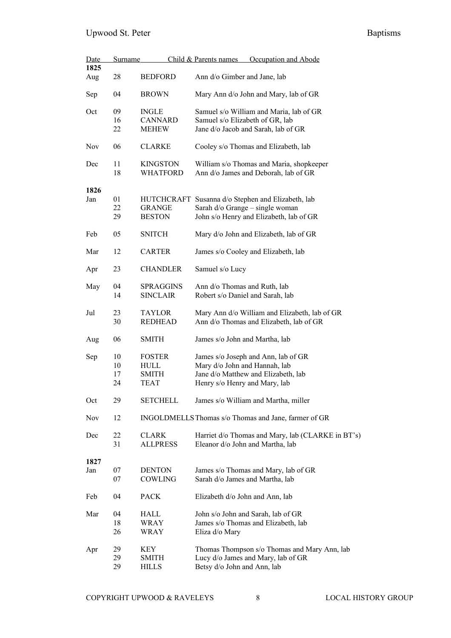| Date<br>1825 | <b>Surname</b> |                 | Occupation and Abode<br>Child & Parents names        |
|--------------|----------------|-----------------|------------------------------------------------------|
|              |                |                 |                                                      |
| Aug          | 28             | <b>BEDFORD</b>  | Ann d/o Gimber and Jane, lab                         |
| Sep          | 04             | <b>BROWN</b>    | Mary Ann d/o John and Mary, lab of GR                |
| Oct          | 09             | <b>INGLE</b>    | Samuel s/o William and Maria, lab of GR              |
|              | 16             | <b>CANNARD</b>  | Samuel s/o Elizabeth of GR, lab                      |
|              |                |                 |                                                      |
|              | 22             | <b>MEHEW</b>    | Jane d/o Jacob and Sarah, lab of GR                  |
| <b>Nov</b>   | 06             | <b>CLARKE</b>   | Cooley s/o Thomas and Elizabeth, lab                 |
| Dec          | 11             | <b>KINGSTON</b> | William s/o Thomas and Maria, shopkeeper             |
|              | 18             | <b>WHATFORD</b> | Ann d/o James and Deborah, lab of GR                 |
| 1826         |                |                 |                                                      |
|              |                |                 |                                                      |
| Jan          | 01             |                 | HUTCHCRAFT Susanna d/o Stephen and Elizabeth, lab    |
|              | 22             | GRANGE          | Sarah d/o Grange – single woman                      |
|              | 29             | <b>BESTON</b>   | John s/o Henry and Elizabeth, lab of GR              |
| Feb          | 05             | SNITCH          | Mary d/o John and Elizabeth, lab of GR               |
| Mar          | 12             | <b>CARTER</b>   | James s/o Cooley and Elizabeth, lab                  |
| Apr          | 23             | <b>CHANDLER</b> | Samuel s/o Lucy                                      |
| May          | 04             | SPRAGGINS       | Ann d/o Thomas and Ruth, lab                         |
|              | 14             | <b>SINCLAIR</b> | Robert s/o Daniel and Sarah, lab                     |
|              |                |                 |                                                      |
| Jul          | 23             | <b>TAYLOR</b>   | Mary Ann d/o William and Elizabeth, lab of GR        |
|              | 30             | <b>REDHEAD</b>  | Ann d/o Thomas and Elizabeth, lab of GR              |
| Aug          | 06             | <b>SMITH</b>    | James s/o John and Martha, lab                       |
| Sep          | 10             | <b>FOSTER</b>   | James s/o Joseph and Ann, lab of GR                  |
|              | 10             | HULL            | Mary d/o John and Hannah, lab                        |
|              |                |                 |                                                      |
|              | 17             | SMITH           | Jane d/o Matthew and Elizabeth, lab                  |
|              | 24             | TEAT            | Henry s/o Henry and Mary, lab                        |
| Oct          | 29             | <b>SETCHELL</b> | James s/o William and Martha, miller                 |
| Nov          | 12             |                 | INGOLDMELLS Thomas s/o Thomas and Jane, farmer of GR |
| Dec          | 22             | <b>CLARK</b>    | Harriet d/o Thomas and Mary, lab (CLARKE in BT's)    |
|              | 31             | <b>ALLPRESS</b> |                                                      |
|              |                |                 | Eleanor d/o John and Martha, lab                     |
| 1827         |                |                 |                                                      |
| Jan          | 07             | <b>DENTON</b>   | James s/o Thomas and Mary, lab of GR                 |
|              | 07             | COWLING         | Sarah d/o James and Martha, lab                      |
| Feb          | 04             | <b>PACK</b>     | Elizabeth d/o John and Ann, lab                      |
| Mar          | 04             | HALL            | John s/o John and Sarah, lab of GR                   |
|              | 18             | WRAY            | James s/o Thomas and Elizabeth, lab                  |
|              | 26             | WRAY            | Eliza d/o Mary                                       |
|              |                |                 |                                                      |
| Apr          | 29             | KEY             | Thomas Thompson s/o Thomas and Mary Ann, lab         |
|              | 29             | SMITH           | Lucy d/o James and Mary, lab of GR                   |
|              | 29             | <b>HILLS</b>    | Betsy d/o John and Ann, lab                          |
|              |                |                 |                                                      |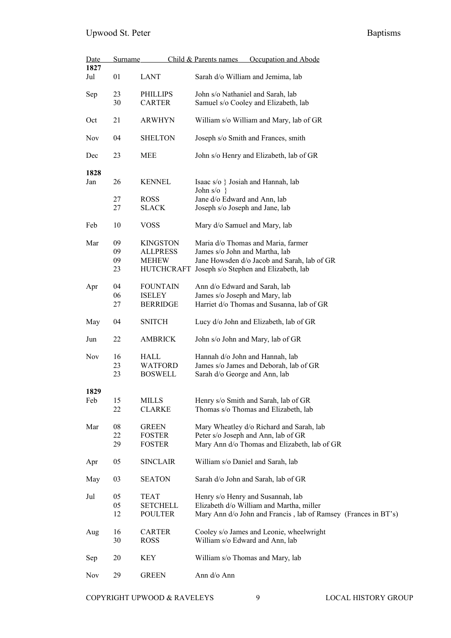| Date<br>1827 | Surname  |                           | Child & Parents names<br>Occupation and Abode                             |  |  |
|--------------|----------|---------------------------|---------------------------------------------------------------------------|--|--|
| Jul          | 01       | LANT                      | Sarah d/o William and Jemima, lab                                         |  |  |
| Sep          | 23<br>30 | PHILLIPS<br><b>CARTER</b> | John s/o Nathaniel and Sarah, lab<br>Samuel s/o Cooley and Elizabeth, lab |  |  |
| Oct          | 21       | <b>ARWHYN</b>             | William s/o William and Mary, lab of GR                                   |  |  |
| <b>Nov</b>   | 04       | <b>SHELTON</b>            | Joseph s/o Smith and Frances, smith                                       |  |  |
| Dec          | 23       | MEE                       | John s/o Henry and Elizabeth, lab of GR                                   |  |  |
| 1828         |          |                           |                                                                           |  |  |
| Jan          | 26       | <b>KENNEL</b>             | Isaac s/o } Josiah and Hannah, lab<br>John $s/o$ }                        |  |  |
|              | 27       | <b>ROSS</b>               | Jane d/o Edward and Ann, lab                                              |  |  |
|              | 27       | <b>SLACK</b>              | Joseph s/o Joseph and Jane, lab                                           |  |  |
| Feb          | 10       | <b>VOSS</b>               | Mary d/o Samuel and Mary, lab                                             |  |  |
| Mar          | 09       | <b>KINGSTON</b>           | Maria d/o Thomas and Maria, farmer                                        |  |  |
|              | 09       | <b>ALLPRESS</b>           | James s/o John and Martha, lab                                            |  |  |
|              | 09       | <b>MEHEW</b>              | Jane Howsden d/o Jacob and Sarah, lab of GR                               |  |  |
|              | 23       | <b>HUTCHCRAFT</b>         | Joseph s/o Stephen and Elizabeth, lab                                     |  |  |
| Apr          | 04       | <b>FOUNTAIN</b>           | Ann d/o Edward and Sarah, lab                                             |  |  |
|              | 06       | <b>ISELEY</b>             | James s/o Joseph and Mary, lab                                            |  |  |
|              | 27       | <b>BERRIDGE</b>           | Harriet d/o Thomas and Susanna, lab of GR                                 |  |  |
| May          | 04       | <b>SNITCH</b>             | Lucy d/o John and Elizabeth, lab of GR                                    |  |  |
| Jun          | 22       | <b>AMBRICK</b>            | John s/o John and Mary, lab of GR                                         |  |  |
| Nov          | 16       | HALL                      | Hannah d/o John and Hannah, lab                                           |  |  |
|              | 23       | <b>WATFORD</b>            | James s/o James and Deborah, lab of GR                                    |  |  |
|              | 23       | <b>BOSWELL</b>            | Sarah d/o George and Ann, lab                                             |  |  |
| 1829         |          |                           |                                                                           |  |  |
| Feb          | 15       | <b>MILLS</b>              | Henry s/o Smith and Sarah, lab of GR                                      |  |  |
|              | 22       | <b>CLARKE</b>             | Thomas s/o Thomas and Elizabeth, lab                                      |  |  |
| Mar          | 08       | <b>GREEN</b>              | Mary Wheatley d/o Richard and Sarah, lab                                  |  |  |
|              | 22       | <b>FOSTER</b>             | Peter s/o Joseph and Ann, lab of GR                                       |  |  |
|              | 29       | <b>FOSTER</b>             | Mary Ann d/o Thomas and Elizabeth, lab of GR                              |  |  |
| Apr          | 05       | <b>SINCLAIR</b>           | William s/o Daniel and Sarah, lab                                         |  |  |
| May          | 03       | <b>SEATON</b>             | Sarah d/o John and Sarah, lab of GR                                       |  |  |
| Jul          | 05       | <b>TEAT</b>               | Henry s/o Henry and Susannah, lab                                         |  |  |
|              | 05       | <b>SETCHELL</b>           | Elizabeth d/o William and Martha, miller                                  |  |  |
|              | 12       | <b>POULTER</b>            | Mary Ann d/o John and Francis, lab of Ramsey (Frances in BT's)            |  |  |
|              | 16       | <b>CARTER</b>             | Cooley s/o James and Leonie, wheelwright                                  |  |  |
| Aug          | 30       | <b>ROSS</b>               | William s/o Edward and Ann, lab                                           |  |  |
|              |          |                           |                                                                           |  |  |
| Sep          | 20       | KEY                       | William s/o Thomas and Mary, lab                                          |  |  |
| Nov          | 29       | <b>GREEN</b>              | Ann d/o Ann                                                               |  |  |

COPYRIGHT UPWOOD & RAVELEYS 9 LOCAL HISTORY GROUP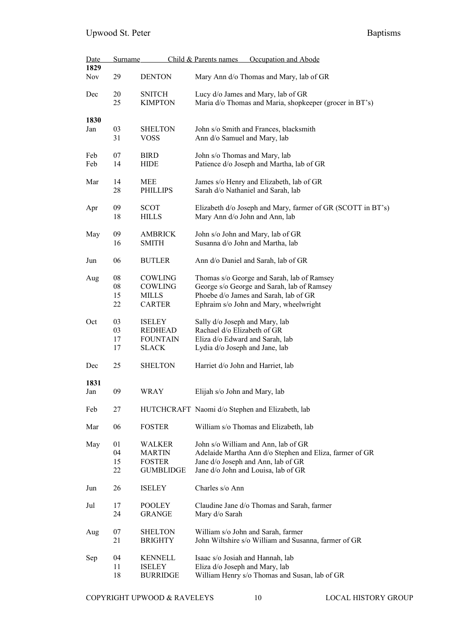| Date       | <b>Surname</b> |                                 | Child & Parents names                                             | Occupation and Abode                                                      |
|------------|----------------|---------------------------------|-------------------------------------------------------------------|---------------------------------------------------------------------------|
| 1829       |                |                                 |                                                                   |                                                                           |
| <b>Nov</b> | 29             | <b>DENTON</b>                   |                                                                   | Mary Ann d/o Thomas and Mary, lab of GR                                   |
| Dec        | 20             | <b>SNITCH</b>                   |                                                                   | Lucy d/o James and Mary, lab of GR                                        |
|            | 25             | <b>KIMPTON</b>                  |                                                                   | Maria d/o Thomas and Maria, shopkeeper (grocer in BT's)                   |
|            |                |                                 |                                                                   |                                                                           |
| 1830       |                |                                 |                                                                   |                                                                           |
| Jan        | 03<br>31       | <b>SHELTON</b><br><b>VOSS</b>   |                                                                   | John s/o Smith and Frances, blacksmith                                    |
|            |                |                                 | Ann d/o Samuel and Mary, lab                                      |                                                                           |
| Feb        | 07             | <b>BIRD</b>                     | John s/o Thomas and Mary, lab                                     |                                                                           |
| Feb        | 14             | <b>HIDE</b>                     |                                                                   | Patience d/o Joseph and Martha, lab of GR                                 |
|            |                |                                 |                                                                   |                                                                           |
| Mar        | 14             | MEE                             |                                                                   | James s/o Henry and Elizabeth, lab of GR                                  |
|            | 28             | <b>PHILLIPS</b>                 |                                                                   | Sarah d/o Nathaniel and Sarah, lab                                        |
| Apr        | 09             | <b>SCOT</b>                     |                                                                   | Elizabeth d/o Joseph and Mary, farmer of GR (SCOTT in BT's)               |
|            | 18             | <b>HILLS</b>                    | Mary Ann d/o John and Ann, lab                                    |                                                                           |
|            |                |                                 |                                                                   |                                                                           |
| May        | 09             | <b>AMBRICK</b>                  |                                                                   | John s/o John and Mary, lab of GR                                         |
|            | 16             | <b>SMITH</b>                    | Susanna d/o John and Martha, lab                                  |                                                                           |
|            |                |                                 |                                                                   |                                                                           |
| Jun        | 06             | <b>BUTLER</b>                   |                                                                   | Ann d/o Daniel and Sarah, lab of GR                                       |
| Aug        | 08             | COWLING                         |                                                                   | Thomas s/o George and Sarah, lab of Ramsey                                |
|            | ${\bf 08}$     | COWLING                         |                                                                   | George s/o George and Sarah, lab of Ramsey                                |
|            | 15             | <b>MILLS</b>                    |                                                                   | Phoebe d/o James and Sarah, lab of GR                                     |
|            | 22             | <b>CARTER</b>                   |                                                                   | Ephraim s/o John and Mary, wheelwright                                    |
|            |                |                                 |                                                                   |                                                                           |
| Oct        | 03             | <b>ISELEY</b>                   | Sally d/o Joseph and Mary, lab                                    |                                                                           |
|            | 03             | <b>REDHEAD</b>                  | Rachael d/o Elizabeth of GR                                       |                                                                           |
|            | 17<br>17       | <b>FOUNTAIN</b><br><b>SLACK</b> | Eliza d/o Edward and Sarah, lab<br>Lydia d/o Joseph and Jane, lab |                                                                           |
|            |                |                                 |                                                                   |                                                                           |
| Dec        | 25             | <b>SHELTON</b>                  | Harriet d/o John and Harriet, lab                                 |                                                                           |
|            |                |                                 |                                                                   |                                                                           |
| 1831       |                |                                 |                                                                   |                                                                           |
| Jan        | 09             | WRAY                            | Elijah s/o John and Mary, lab                                     |                                                                           |
| Feb        | 27             |                                 |                                                                   | HUTCHCRAFT Naomi d/o Stephen and Elizabeth, lab                           |
|            |                |                                 |                                                                   |                                                                           |
| Mar        | 06             | <b>FOSTER</b>                   |                                                                   | William s/o Thomas and Elizabeth, lab                                     |
|            |                |                                 |                                                                   |                                                                           |
| May        | 01             | <b>WALKER</b>                   |                                                                   | John s/o William and Ann, lab of GR                                       |
|            | 04<br>15       | <b>MARTIN</b><br><b>FOSTER</b>  |                                                                   | Adelaide Martha Ann d/o Stephen and Eliza, farmer of GR                   |
|            | 22             | <b>GUMBLIDGE</b>                |                                                                   | Jane d/o Joseph and Ann, lab of GR<br>Jane d/o John and Louisa, lab of GR |
|            |                |                                 |                                                                   |                                                                           |
| Jun        | 26             | <b>ISELEY</b>                   | Charles s/o Ann                                                   |                                                                           |
|            |                |                                 |                                                                   |                                                                           |
| Jul        | 17             | <b>POOLEY</b>                   |                                                                   | Claudine Jane d/o Thomas and Sarah, farmer                                |
|            | 24             | <b>GRANGE</b>                   | Mary d/o Sarah                                                    |                                                                           |
| Aug        | 07             | <b>SHELTON</b>                  |                                                                   | William s/o John and Sarah, farmer                                        |
|            | 21             | <b>BRIGHTY</b>                  |                                                                   | John Wiltshire s/o William and Susanna, farmer of GR                      |
|            |                |                                 |                                                                   |                                                                           |
| Sep        | 04             | <b>KENNELL</b>                  | Isaac s/o Josiah and Hannah, lab                                  |                                                                           |
|            | 11             | <b>ISELEY</b>                   | Eliza d/o Joseph and Mary, lab                                    |                                                                           |
|            | 18             | <b>BURRIDGE</b>                 |                                                                   | William Henry s/o Thomas and Susan, lab of GR                             |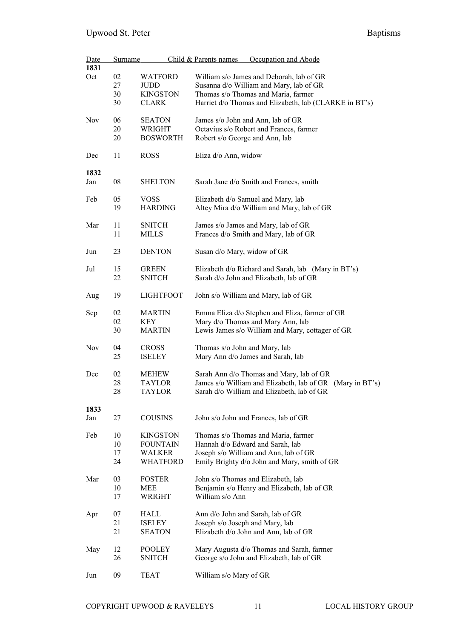| Date       | <b>Surname</b> |                  | Child & Parents names<br>Occupation and Abode             |
|------------|----------------|------------------|-----------------------------------------------------------|
| 1831       |                |                  |                                                           |
| Oct        | 02             | WATFORD          | William s/o James and Deborah, lab of GR                  |
|            | 27             | <b>JUDD</b>      | Susanna d/o William and Mary, lab of GR                   |
|            | 30             | <b>KINGSTON</b>  | Thomas s/o Thomas and Maria, farmer                       |
|            | 30             | <b>CLARK</b>     | Harriet d/o Thomas and Elizabeth, lab (CLARKE in BT's)    |
|            |                |                  |                                                           |
| <b>Nov</b> | 06             | <b>SEATON</b>    | James s/o John and Ann, lab of GR                         |
|            | 20             | WRIGHT           | Octavius s/o Robert and Frances, farmer                   |
|            | 20             | <b>BOSWORTH</b>  | Robert s/o George and Ann, lab                            |
|            |                |                  |                                                           |
| Dec        | 11             | <b>ROSS</b>      | Eliza d/o Ann, widow                                      |
|            |                |                  |                                                           |
| 1832       |                |                  |                                                           |
| Jan        | 08             | <b>SHELTON</b>   | Sarah Jane d/o Smith and Frances, smith                   |
|            |                |                  |                                                           |
| Feb        | 05             | <b>VOSS</b>      | Elizabeth d/o Samuel and Mary, lab                        |
|            | 19             | <b>HARDING</b>   | Altey Mira d/o William and Mary, lab of GR                |
|            |                |                  |                                                           |
| Mar        | 11             | <b>SNITCH</b>    | James s/o James and Mary, lab of GR                       |
|            | 11             | <b>MILLS</b>     | Frances d/o Smith and Mary, lab of GR                     |
|            |                |                  |                                                           |
| Jun        | 23             | <b>DENTON</b>    | Susan d/o Mary, widow of GR                               |
|            |                |                  |                                                           |
| Jul        | 15             | <b>GREEN</b>     | Elizabeth d/o Richard and Sarah, lab (Mary in BT's)       |
|            | 22             | <b>SNITCH</b>    | Sarah d/o John and Elizabeth, lab of GR                   |
|            |                |                  |                                                           |
| Aug        | 19             | <b>LIGHTFOOT</b> | John s/o William and Mary, lab of GR                      |
|            |                |                  |                                                           |
| Sep        | 02             | <b>MARTIN</b>    | Emma Eliza d/o Stephen and Eliza, farmer of GR            |
|            | 02             | KEY              | Mary d/o Thomas and Mary Ann, lab                         |
|            | 30             | <b>MARTIN</b>    | Lewis James s/o William and Mary, cottager of GR          |
|            |                |                  |                                                           |
| Nov        | 04             | <b>CROSS</b>     | Thomas s/o John and Mary, lab                             |
|            | 25             | <b>ISELEY</b>    | Mary Ann d/o James and Sarah, lab                         |
|            |                |                  |                                                           |
| Dec        | 02             | <b>MEHEW</b>     | Sarah Ann d/o Thomas and Mary, lab of GR                  |
|            | 28             | TAYLOR           | James s/o William and Elizabeth, lab of GR (Mary in BT's) |
|            | 28             | TAYLOR           | Sarah d/o William and Elizabeth, lab of GR                |
|            |                |                  |                                                           |
| 1833       |                |                  |                                                           |
| Jan        | 27             | <b>COUSINS</b>   | John s/o John and Frances, lab of GR                      |
|            |                |                  |                                                           |
| Feb        | 10             | <b>KINGSTON</b>  | Thomas s/o Thomas and Maria, farmer                       |
|            | 10             | <b>FOUNTAIN</b>  | Hannah d/o Edward and Sarah, lab                          |
|            | 17             | <b>WALKER</b>    | Joseph s/o William and Ann, lab of GR                     |
|            | 24             | <b>WHATFORD</b>  | Emily Brighty d/o John and Mary, smith of GR              |
|            |                |                  |                                                           |
| Mar        | 03             | <b>FOSTER</b>    | John s/o Thomas and Elizabeth, lab                        |
|            | 10             | <b>MEE</b>       | Benjamin s/o Henry and Elizabeth, lab of GR               |
|            | 17             | WRIGHT           | William s/o Ann                                           |
|            |                |                  |                                                           |
| Apr        | 07             | <b>HALL</b>      | Ann d/o John and Sarah, lab of GR                         |
|            | 21             | <b>ISELEY</b>    | Joseph s/o Joseph and Mary, lab                           |
|            | 21             | <b>SEATON</b>    | Elizabeth d/o John and Ann, lab of GR                     |
|            |                |                  |                                                           |
| May        | 12             | <b>POOLEY</b>    | Mary Augusta d/o Thomas and Sarah, farmer                 |
|            | 26             | <b>SNITCH</b>    | George s/o John and Elizabeth, lab of GR                  |
|            |                |                  |                                                           |
| Jun        | 09             | <b>TEAT</b>      | William s/o Mary of GR                                    |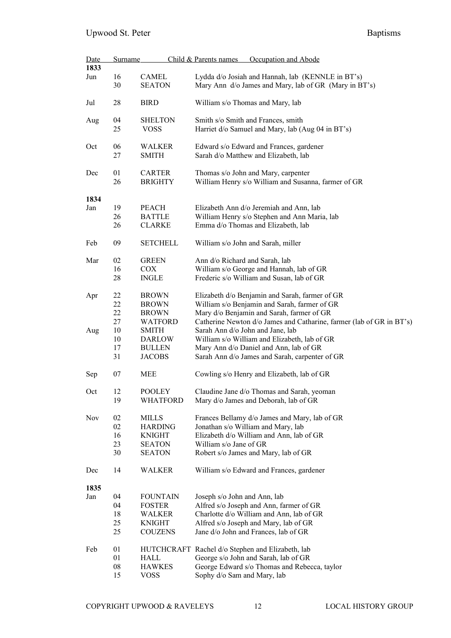| Date<br>1833 | Child & Parents names<br><b>Surname</b> |                                 | Occupation and Abode                                                                                       |  |  |  |
|--------------|-----------------------------------------|---------------------------------|------------------------------------------------------------------------------------------------------------|--|--|--|
|              |                                         |                                 |                                                                                                            |  |  |  |
| Jun          | 16<br>30                                | CAMEL<br><b>SEATON</b>          | Lydda d/o Josiah and Hannah, lab (KENNLE in BT's)<br>Mary Ann d/o James and Mary, lab of GR (Mary in BT's) |  |  |  |
| Jul          | 28                                      | <b>BIRD</b>                     | William s/o Thomas and Mary, lab                                                                           |  |  |  |
| Aug          | 04                                      | <b>SHELTON</b>                  | Smith s/o Smith and Frances, smith                                                                         |  |  |  |
|              | 25                                      | <b>VOSS</b>                     | Harriet d/o Samuel and Mary, lab (Aug 04 in BT's)                                                          |  |  |  |
| Oct          | 06<br>27                                | <b>WALKER</b><br><b>SMITH</b>   | Edward s/o Edward and Frances, gardener<br>Sarah d/o Matthew and Elizabeth, lab                            |  |  |  |
| Dec          | 01<br>26                                | <b>CARTER</b><br><b>BRIGHTY</b> | Thomas s/o John and Mary, carpenter<br>William Henry s/o William and Susanna, farmer of GR                 |  |  |  |
| 1834         |                                         |                                 |                                                                                                            |  |  |  |
| Jan          | 19                                      | <b>PEACH</b>                    | Elizabeth Ann d/o Jeremiah and Ann, lab                                                                    |  |  |  |
|              | 26                                      | <b>BATTLE</b>                   | William Henry s/o Stephen and Ann Maria, lab                                                               |  |  |  |
|              | 26                                      | <b>CLARKE</b>                   | Emma d/o Thomas and Elizabeth, lab                                                                         |  |  |  |
| Feb          | 09                                      | <b>SETCHELL</b>                 | William s/o John and Sarah, miller                                                                         |  |  |  |
| Mar          | 02                                      | <b>GREEN</b>                    | Ann d/o Richard and Sarah, lab                                                                             |  |  |  |
|              | 16                                      | <b>COX</b>                      | William s/o George and Hannah, lab of GR                                                                   |  |  |  |
|              | 28                                      | <b>INGLE</b>                    | Frederic s/o William and Susan, lab of GR                                                                  |  |  |  |
| Apr          | 22                                      | <b>BROWN</b>                    | Elizabeth d/o Benjamin and Sarah, farmer of GR                                                             |  |  |  |
|              | 22                                      | <b>BROWN</b>                    | William s/o Benjamin and Sarah, farmer of GR                                                               |  |  |  |
|              | 22                                      | <b>BROWN</b>                    | Mary d/o Benjamin and Sarah, farmer of GR                                                                  |  |  |  |
|              | 27                                      | WATFORD                         | Catherine Newton d/o James and Catharine, farmer (lab of GR in BT's)                                       |  |  |  |
| Aug          | 10                                      | <b>SMITH</b>                    | Sarah Ann d/o John and Jane, lab                                                                           |  |  |  |
|              | 10                                      | <b>DARLOW</b>                   | William s/o William and Elizabeth, lab of GR                                                               |  |  |  |
|              | 17                                      | <b>BULLEN</b>                   | Mary Ann d/o Daniel and Ann, lab of GR                                                                     |  |  |  |
|              | 31                                      | <b>JACOBS</b>                   | Sarah Ann d/o James and Sarah, carpenter of GR                                                             |  |  |  |
|              |                                         |                                 |                                                                                                            |  |  |  |
| Sep          | 07                                      | <b>MEE</b>                      | Cowling s/o Henry and Elizabeth, lab of GR                                                                 |  |  |  |
| Oct          | 12                                      | POOLEY                          | Claudine Jane d/o Thomas and Sarah, yeoman                                                                 |  |  |  |
|              | 19                                      | <b>WHATFORD</b>                 | Mary d/o James and Deborah, lab of GR                                                                      |  |  |  |
| Nov          | 02                                      | <b>MILLS</b>                    | Frances Bellamy d/o James and Mary, lab of GR                                                              |  |  |  |
|              | 02                                      | <b>HARDING</b>                  | Jonathan s/o William and Mary, lab                                                                         |  |  |  |
|              | 16                                      | <b>KNIGHT</b>                   | Elizabeth d/o William and Ann, lab of GR                                                                   |  |  |  |
|              | 23                                      | <b>SEATON</b>                   | William s/o Jane of GR                                                                                     |  |  |  |
|              | 30                                      | <b>SEATON</b>                   | Robert s/o James and Mary, lab of GR                                                                       |  |  |  |
| Dec          | 14                                      | <b>WALKER</b>                   | William s/o Edward and Frances, gardener                                                                   |  |  |  |
| 1835         |                                         |                                 |                                                                                                            |  |  |  |
| Jan          | 04                                      | <b>FOUNTAIN</b>                 | Joseph s/o John and Ann, lab                                                                               |  |  |  |
|              | 04                                      | <b>FOSTER</b>                   | Alfred s/o Joseph and Ann, farmer of GR                                                                    |  |  |  |
|              | 18                                      | WALKER                          | Charlotte d/o William and Ann, lab of GR                                                                   |  |  |  |
|              | 25                                      | <b>KNIGHT</b>                   | Alfred s/o Joseph and Mary, lab of GR                                                                      |  |  |  |
|              | 25                                      | <b>COUZENS</b>                  | Jane d/o John and Frances, lab of GR                                                                       |  |  |  |
| Feb          | 01                                      |                                 | HUTCHCRAFT Rachel d/o Stephen and Elizabeth, lab                                                           |  |  |  |
|              | 01                                      | HALL                            | George s/o John and Sarah, lab of GR                                                                       |  |  |  |
|              | 08                                      | <b>HAWKES</b>                   | George Edward s/o Thomas and Rebecca, taylor                                                               |  |  |  |
|              | 15                                      | VOSS                            | Sophy d/o Sam and Mary, lab                                                                                |  |  |  |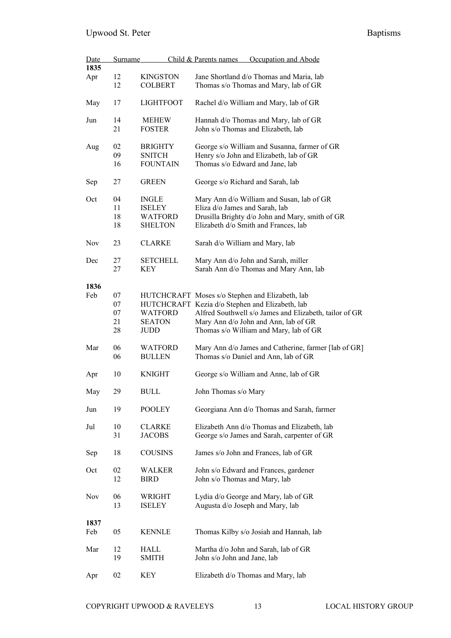| Date       | <b>Surname</b> |                                 | Occupation and Abode<br>Child & Parents names                                                |
|------------|----------------|---------------------------------|----------------------------------------------------------------------------------------------|
| 1835       |                |                                 |                                                                                              |
| Apr        | 12             | <b>KINGSTON</b>                 | Jane Shortland d/o Thomas and Maria, lab                                                     |
|            | 12             | <b>COLBERT</b>                  | Thomas s/o Thomas and Mary, lab of GR                                                        |
| May        | 17             | <b>LIGHTFOOT</b>                | Rachel d/o William and Mary, lab of GR                                                       |
| Jun        | 14             | <b>MEHEW</b>                    | Hannah d/o Thomas and Mary, lab of GR                                                        |
|            | 21             | <b>FOSTER</b>                   | John s/o Thomas and Elizabeth, lab                                                           |
| Aug        | 02             | <b>BRIGHTY</b>                  | George s/o William and Susanna, farmer of GR                                                 |
|            | 09             | <b>SNITCH</b>                   | Henry s/o John and Elizabeth, lab of GR                                                      |
|            | 16             | <b>FOUNTAIN</b>                 | Thomas s/o Edward and Jane, lab                                                              |
| Sep        | 27             | <b>GREEN</b>                    | George s/o Richard and Sarah, lab                                                            |
| Oct        | 04             | <b>INGLE</b>                    | Mary Ann d/o William and Susan, lab of GR                                                    |
|            | 11             | <b>ISELEY</b>                   | Eliza d/o James and Sarah, lab                                                               |
|            | 18             | <b>WATFORD</b>                  | Drusilla Brighty d/o John and Mary, smith of GR                                              |
|            | 18             | <b>SHELTON</b>                  | Elizabeth d/o Smith and Frances, lab                                                         |
| <b>Nov</b> | 23             | <b>CLARKE</b>                   | Sarah d/o William and Mary, lab                                                              |
|            |                |                                 |                                                                                              |
| Dec        | 27             | <b>SETCHELL</b>                 | Mary Ann d/o John and Sarah, miller                                                          |
|            | 27             | KEY                             | Sarah Ann d/o Thomas and Mary Ann, lab                                                       |
| 1836       |                |                                 |                                                                                              |
| Feb        | 07             |                                 | HUTCHCRAFT Moses s/o Stephen and Elizabeth, lab                                              |
|            |                |                                 |                                                                                              |
|            | 07             |                                 | HUTCHCRAFT Kezia d/o Stephen and Elizabeth, lab                                              |
|            | 07             | <b>WATFORD</b>                  | Alfred Southwell s/o James and Elizabeth, tailor of GR                                       |
|            | 21             | <b>SEATON</b>                   | Mary Ann d/o John and Ann, lab of GR                                                         |
|            | 28             | JUDD                            | Thomas s/o William and Mary, lab of GR                                                       |
| Mar        | 06<br>06       | <b>WATFORD</b><br><b>BULLEN</b> | Mary Ann d/o James and Catherine, farmer [lab of GR]<br>Thomas s/o Daniel and Ann, lab of GR |
| Apr        | 10             | <b>KNIGHT</b>                   | George s/o William and Anne, lab of GR                                                       |
| May        | 29             | <b>BULL</b>                     | John Thomas s/o Mary                                                                         |
| Jun        | 19             | POOLEY                          | Georgiana Ann d/o Thomas and Sarah, farmer                                                   |
| Jul        | 10             | <b>CLARKE</b>                   | Elizabeth Ann d/o Thomas and Elizabeth, lab                                                  |
|            | 31             | <b>JACOBS</b>                   | George s/o James and Sarah, carpenter of GR                                                  |
| Sep        | 18             | <b>COUSINS</b>                  | James s/o John and Frances, lab of GR                                                        |
| Oct        | 02             | WALKER                          | John s/o Edward and Frances, gardener                                                        |
|            | 12             | <b>BIRD</b>                     | John s/o Thomas and Mary, lab                                                                |
|            |                |                                 |                                                                                              |
| Nov        | 06             | WRIGHT                          | Lydia d/o George and Mary, lab of GR                                                         |
|            | 13             | <b>ISELEY</b>                   | Augusta d/o Joseph and Mary, lab                                                             |
|            |                |                                 |                                                                                              |
| 1837       |                |                                 |                                                                                              |
|            |                |                                 |                                                                                              |
| Feb        | 05             | <b>KENNLE</b>                   | Thomas Kilby s/o Josiah and Hannah, lab                                                      |
| Mar        | 12             | HALL                            | Martha d/o John and Sarah, lab of GR                                                         |
|            | 19             | SMITH                           | John s/o John and Jane, lab                                                                  |
|            |                |                                 |                                                                                              |
|            | 02             | <b>KEY</b>                      |                                                                                              |
| Apr        |                |                                 | Elizabeth d/o Thomas and Mary, lab                                                           |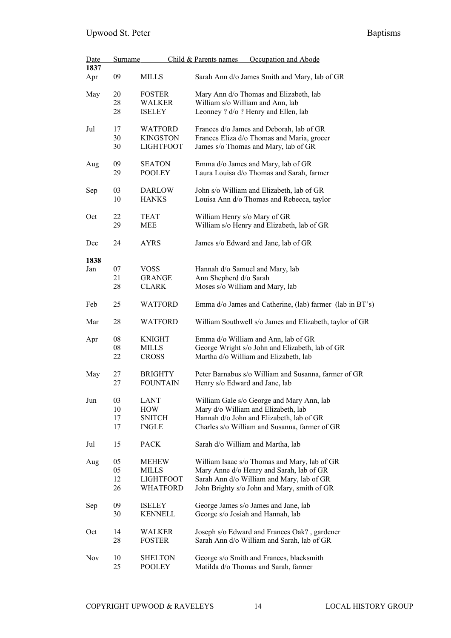| Date<br>1837 | <b>Surname</b> |                  | Child & Parents names<br>Occupation and Abode            |
|--------------|----------------|------------------|----------------------------------------------------------|
|              | 09             | <b>MILLS</b>     | Sarah Ann d/o James Smith and Mary, lab of GR            |
| Apr          |                |                  |                                                          |
| May          | 20             | <b>FOSTER</b>    | Mary Ann d/o Thomas and Elizabeth, lab                   |
|              | 28             | <b>WALKER</b>    | William s/o William and Ann, lab                         |
|              | 28             | <b>ISELEY</b>    | Leonney ? d/o ? Henry and Ellen, lab                     |
| Jul          | 17             | <b>WATFORD</b>   | Frances d/o James and Deborah, lab of GR                 |
|              | 30             | <b>KINGSTON</b>  | Frances Eliza d/o Thomas and Maria, grocer               |
|              | 30             | <b>LIGHTFOOT</b> | James s/o Thomas and Mary, lab of GR                     |
| Aug          | 09             | <b>SEATON</b>    | Emma d/o James and Mary, lab of GR                       |
|              |                |                  |                                                          |
|              | 29             | <b>POOLEY</b>    | Laura Louisa d/o Thomas and Sarah, farmer                |
| Sep          | 03             | <b>DARLOW</b>    | John s/o William and Elizabeth, lab of GR                |
|              | 10             | <b>HANKS</b>     | Louisa Ann d/o Thomas and Rebecca, taylor                |
|              |                |                  |                                                          |
| Oct          | 22             | TEAT             | William Henry s/o Mary of GR                             |
|              | 29             | MEE              | William s/o Henry and Elizabeth, lab of GR               |
| Dec          | 24             | AYRS             | James s/o Edward and Jane, lab of GR                     |
|              |                |                  |                                                          |
| 1838         |                |                  |                                                          |
| Jan          | 07             | <b>VOSS</b>      | Hannah d/o Samuel and Mary, lab                          |
|              | 21             | <b>GRANGE</b>    | Ann Shepherd d/o Sarah                                   |
|              | 28             | <b>CLARK</b>     | Moses s/o William and Mary, lab                          |
| Feb          | 25             | <b>WATFORD</b>   | Emma d/o James and Catherine, (lab) farmer (lab in BT's) |
| Mar          | 28             | WATFORD          | William Southwell s/o James and Elizabeth, taylor of GR  |
| Apr          | 08             | <b>KNIGHT</b>    | Emma d/o William and Ann, lab of GR                      |
|              | 08             | <b>MILLS</b>     | George Wright s/o John and Elizabeth, lab of GR          |
|              | 22             | <b>CROSS</b>     | Martha d/o William and Elizabeth, lab                    |
| May          | 27             | <b>BRIGHTY</b>   | Peter Barnabus s/o William and Susanna, farmer of GR     |
|              | 27             | <b>FOUNTAIN</b>  | Henry s/o Edward and Jane, lab                           |
|              |                |                  |                                                          |
| Jun          | 03             | LANT             | William Gale s/o George and Mary Ann, lab                |
|              | 10             | <b>HOW</b>       | Mary d/o William and Elizabeth, lab                      |
|              | 17             | <b>SNITCH</b>    | Hannah d/o John and Elizabeth, lab of GR                 |
|              | 17             | <b>INGLE</b>     | Charles s/o William and Susanna, farmer of GR            |
| Jul          | 15             | PACK             | Sarah d/o William and Martha, lab                        |
| Aug          | 05             | <b>MEHEW</b>     | William Isaac s/o Thomas and Mary, lab of GR             |
|              | 05             | <b>MILLS</b>     | Mary Anne d/o Henry and Sarah, lab of GR                 |
|              | 12             | <b>LIGHTFOOT</b> | Sarah Ann d/o William and Mary, lab of GR                |
|              | 26             | <b>WHATFORD</b>  | John Brighty s/o John and Mary, smith of GR              |
| Sep          | 09             | <b>ISELEY</b>    | George James s/o James and Jane, lab                     |
|              | 30             | <b>KENNELL</b>   | George s/o Josiah and Hannah, lab                        |
|              |                |                  |                                                          |
| Oct          | 14             | WALKER           | Joseph s/o Edward and Frances Oak?, gardener             |
|              | 28             | <b>FOSTER</b>    | Sarah Ann d/o William and Sarah, lab of GR               |
| Nov          | 10             | <b>SHELTON</b>   | George s/o Smith and Frances, blacksmith                 |
|              | 25             | <b>POOLEY</b>    | Matilda d/o Thomas and Sarah, farmer                     |
|              |                |                  |                                                          |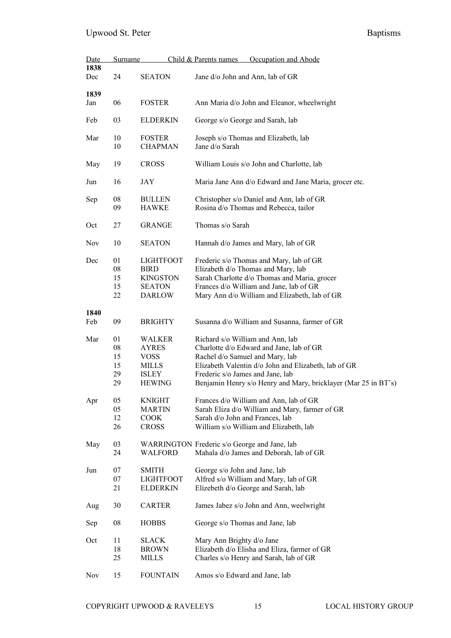| <u>Date</u> | Surname                            |                                                                                        | Occupation and Abode<br>Child & Parents names                                                                                                                                                                                                                                 |
|-------------|------------------------------------|----------------------------------------------------------------------------------------|-------------------------------------------------------------------------------------------------------------------------------------------------------------------------------------------------------------------------------------------------------------------------------|
| 1838<br>Dec | 24                                 | <b>SEATON</b>                                                                          | Jane d/o John and Ann, lab of GR                                                                                                                                                                                                                                              |
| 1839        |                                    |                                                                                        |                                                                                                                                                                                                                                                                               |
| Jan         | 06                                 | <b>FOSTER</b>                                                                          | Ann Maria d/o John and Eleanor, wheelwright                                                                                                                                                                                                                                   |
| Feb         | 03                                 | <b>ELDERKIN</b>                                                                        | George s/o George and Sarah, lab                                                                                                                                                                                                                                              |
| Mar         | 10<br>10                           | <b>FOSTER</b><br><b>CHAPMAN</b>                                                        | Joseph s/o Thomas and Elizabeth, lab<br>Jane d/o Sarah                                                                                                                                                                                                                        |
| May         | 19                                 | <b>CROSS</b>                                                                           | William Louis s/o John and Charlotte, lab                                                                                                                                                                                                                                     |
| Jun         | 16                                 | JAY                                                                                    | Maria Jane Ann d/o Edward and Jane Maria, grocer etc.                                                                                                                                                                                                                         |
| Sep         | 08<br>09                           | <b>BULLEN</b><br><b>HAWKE</b>                                                          | Christopher s/o Daniel and Ann, lab of GR<br>Rosina d/o Thomas and Rebecca, tailor                                                                                                                                                                                            |
| Oct         | 27                                 | <b>GRANGE</b>                                                                          | Thomas s/o Sarah                                                                                                                                                                                                                                                              |
| Nov         | 10                                 | <b>SEATON</b>                                                                          | Hannah d/o James and Mary, lab of GR                                                                                                                                                                                                                                          |
| Dec         | 01<br>${\bf 08}$<br>15<br>15<br>22 | <b>LIGHTFOOT</b><br><b>BIRD</b><br><b>KINGSTON</b><br><b>SEATON</b><br><b>DARLOW</b>   | Frederic s/o Thomas and Mary, lab of GR<br>Elizabeth d/o Thomas and Mary, lab<br>Sarah Charlotte d/o Thomas and Maria, grocer<br>Frances d/o William and Jane, lab of GR<br>Mary Ann d/o William and Elizabeth, lab of GR                                                     |
| 1840        |                                    |                                                                                        |                                                                                                                                                                                                                                                                               |
| Feb         | 09                                 | <b>BRIGHTY</b>                                                                         | Susanna d/o William and Susanna, farmer of GR                                                                                                                                                                                                                                 |
| Mar         | 01<br>08<br>15<br>15<br>29<br>29   | <b>WALKER</b><br><b>AYRES</b><br><b>VOSS</b><br>MILLS<br><b>ISLEY</b><br><b>HEWING</b> | Richard s/o William and Ann, lab<br>Charlotte d/o Edward and Jane, lab of GR<br>Rachel d/o Samuel and Mary, lab<br>Elizabeth Valentin d/o John and Elizabeth, lab of GR<br>Frederic s/o James and Jane, lab<br>Benjamin Henry s/o Henry and Mary, bricklayer (Mar 25 in BT's) |
| Apr         | 05<br>05<br>12<br>26               | <b>KNIGHT</b><br>MARTIN<br><b>COOK</b><br><b>CROSS</b>                                 | Frances d/o William and Ann, lab of GR<br>Sarah Eliza d/o William and Mary, farmer of GR<br>Sarah d/o John and Frances, lab<br>William s/o William and Elizabeth, lab                                                                                                         |
| May         | 03<br>24                           | WALFORD                                                                                | WARRINGTON Frederic s/o George and Jane, lab<br>Mahala d/o James and Deborah, lab of GR                                                                                                                                                                                       |
| Jun         | 07<br>07<br>21                     | <b>SMITH</b><br><b>LIGHTFOOT</b><br><b>ELDERKIN</b>                                    | George s/o John and Jane, lab<br>Alfred s/o William and Mary, lab of GR<br>Elizebeth d/o George and Sarah, lab                                                                                                                                                                |
| Aug         | 30                                 | <b>CARTER</b>                                                                          | James Jabez s/o John and Ann, weelwright                                                                                                                                                                                                                                      |
| Sep         | 08                                 | <b>HOBBS</b>                                                                           | George s/o Thomas and Jane, lab                                                                                                                                                                                                                                               |
| Oct         | 11<br>18<br>25                     | <b>SLACK</b><br><b>BROWN</b><br>MILLS                                                  | Mary Ann Brighty d/o Jane<br>Elizabeth d/o Elisha and Eliza, farmer of GR<br>Charles s/o Henry and Sarah, lab of GR                                                                                                                                                           |
| Nov         | 15                                 | <b>FOUNTAIN</b>                                                                        | Amos s/o Edward and Jane, lab                                                                                                                                                                                                                                                 |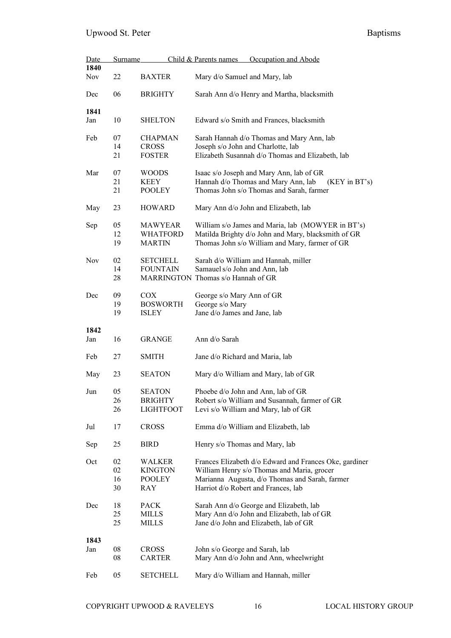| Date       | <b>Surname</b> |                  | Occupation and Abode<br>Child & Parents names          |  |  |
|------------|----------------|------------------|--------------------------------------------------------|--|--|
| 1840       |                |                  |                                                        |  |  |
| <b>Nov</b> | 22             | <b>BAXTER</b>    | Mary d/o Samuel and Mary, lab                          |  |  |
| Dec        | 06             | <b>BRIGHTY</b>   | Sarah Ann d/o Henry and Martha, blacksmith             |  |  |
| 1841       |                |                  |                                                        |  |  |
| Jan        | 10             | <b>SHELTON</b>   | Edward s/o Smith and Frances, blacksmith               |  |  |
| Feb        | 07             | <b>CHAPMAN</b>   | Sarah Hannah d/o Thomas and Mary Ann, lab              |  |  |
|            | 14             | <b>CROSS</b>     | Joseph s/o John and Charlotte, lab                     |  |  |
|            | 21             | <b>FOSTER</b>    | Elizabeth Susannah d/o Thomas and Elizabeth, lab       |  |  |
| Mar        | 07             | <b>WOODS</b>     | Isaac s/o Joseph and Mary Ann, lab of GR               |  |  |
|            | 21             | KEEY             | Hannah d/o Thomas and Mary Ann, lab<br>(KEY in BT's)   |  |  |
|            | 21             | <b>POOLEY</b>    | Thomas John s/o Thomas and Sarah, farmer               |  |  |
| May        | 23             | <b>HOWARD</b>    | Mary Ann d/o John and Elizabeth, lab                   |  |  |
| Sep        | 05             | <b>MAWYEAR</b>   | William s/o James and Maria, lab (MOWYER in BT's)      |  |  |
|            | 12             | <b>WHATFORD</b>  | Matilda Brighty d/o John and Mary, blacksmith of GR    |  |  |
|            | 19             | <b>MARTIN</b>    | Thomas John s/o William and Mary, farmer of GR         |  |  |
| <b>Nov</b> | 02             | <b>SETCHELL</b>  | Sarah d/o William and Hannah, miller                   |  |  |
|            | 14             | <b>FOUNTAIN</b>  | Samauel s/o John and Ann, lab                          |  |  |
|            | 28             |                  | MARRINGTON Thomas s/o Hannah of GR                     |  |  |
| Dec        | 09             | <b>COX</b>       | George s/o Mary Ann of GR                              |  |  |
|            | 19             | <b>BOSWORTH</b>  | George s/o Mary                                        |  |  |
|            | 19             | <b>ISLEY</b>     | Jane d/o James and Jane, lab                           |  |  |
| 1842       |                |                  |                                                        |  |  |
| Jan        | 16             | <b>GRANGE</b>    | Ann d/o Sarah                                          |  |  |
| Feb        | 27             | SMITH            | Jane d/o Richard and Maria, lab                        |  |  |
| May        | 23             | <b>SEATON</b>    | Mary d/o William and Mary, lab of GR                   |  |  |
| Jun        | 05             | <b>SEATON</b>    | Phoebe d/o John and Ann, lab of GR                     |  |  |
|            | 26             | <b>BRIGHTY</b>   | Robert s/o William and Susannah, farmer of GR          |  |  |
|            | 26             | <b>LIGHTFOOT</b> | Levi s/o William and Mary, lab of GR                   |  |  |
| Jul        | 17             | <b>CROSS</b>     | Emma d/o William and Elizabeth, lab                    |  |  |
| Sep        | 25             | <b>BIRD</b>      | Henry s/o Thomas and Mary, lab                         |  |  |
| Oct        | 02             | <b>WALKER</b>    | Frances Elizabeth d/o Edward and Frances Oke, gardiner |  |  |
|            | 02             | <b>KINGTON</b>   | William Henry s/o Thomas and Maria, grocer             |  |  |
|            | 16             | <b>POOLEY</b>    | Marianna Augusta, d/o Thomas and Sarah, farmer         |  |  |
|            | 30             | RAY              | Harriot d/o Robert and Frances, lab                    |  |  |
| Dec        | 18             | <b>PACK</b>      | Sarah Ann d/o George and Elizabeth, lab                |  |  |
|            | 25             | <b>MILLS</b>     | Mary Ann d/o John and Elizabeth, lab of GR             |  |  |
|            | 25             | MILLS            | Jane d/o John and Elizabeth, lab of GR                 |  |  |
| 1843       |                |                  |                                                        |  |  |
| Jan        | 08             | <b>CROSS</b>     | John s/o George and Sarah, lab                         |  |  |
|            | 08             | <b>CARTER</b>    | Mary Ann d/o John and Ann, wheelwright                 |  |  |
| Feb        | 05             | <b>SETCHELL</b>  | Mary d/o William and Hannah, miller                    |  |  |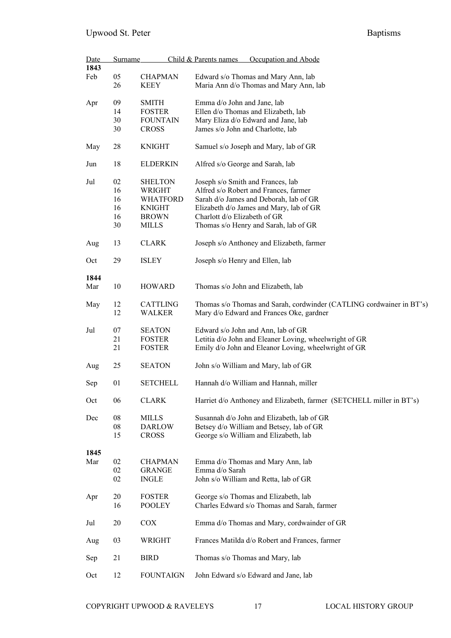| Date<br>1843 | <b>Surname</b> |                           | Child & Parents names<br>Occupation and Abode                                                                    |
|--------------|----------------|---------------------------|------------------------------------------------------------------------------------------------------------------|
| Feb          | 05             | <b>CHAPMAN</b>            | Edward s/o Thomas and Mary Ann, lab                                                                              |
|              | 26             | <b>KEEY</b>               | Maria Ann d/o Thomas and Mary Ann, lab                                                                           |
| Apr          | 09             | <b>SMITH</b>              | Emma d/o John and Jane, lab                                                                                      |
|              | 14             | <b>FOSTER</b>             | Ellen d/o Thomas and Elizabeth, lab                                                                              |
|              | 30             | <b>FOUNTAIN</b>           | Mary Eliza d/o Edward and Jane, lab                                                                              |
|              | 30             | <b>CROSS</b>              | James s/o John and Charlotte, lab                                                                                |
| May          | 28             | <b>KNIGHT</b>             | Samuel s/o Joseph and Mary, lab of GR                                                                            |
| Jun          | 18             | <b>ELDERKIN</b>           | Alfred s/o George and Sarah, lab                                                                                 |
| Jul          | 02             | <b>SHELTON</b>            | Joseph s/o Smith and Frances, lab                                                                                |
|              | 16             | WRIGHT                    | Alfred s/o Robert and Frances, farmer                                                                            |
|              | 16             | <b>WHATFORD</b>           | Sarah d/o James and Deborah, lab of GR                                                                           |
|              | 16             | <b>KNIGHT</b>             | Elizabeth d/o James and Mary, lab of GR                                                                          |
|              | 16             | <b>BROWN</b>              | Charlott d/o Elizabeth of GR                                                                                     |
|              | 30             | <b>MILLS</b>              | Thomas s/o Henry and Sarah, lab of GR                                                                            |
| Aug          | 13             | <b>CLARK</b>              | Joseph s/o Anthoney and Elizabeth, farmer                                                                        |
| Oct          | 29             | <b>ISLEY</b>              | Joseph s/o Henry and Ellen, lab                                                                                  |
| 1844         |                |                           |                                                                                                                  |
| Mar          | 10             | <b>HOWARD</b>             | Thomas s/o John and Elizabeth, lab                                                                               |
| May          | 12<br>12       | <b>CATTLING</b><br>WALKER | Thomas s/o Thomas and Sarah, cordwinder (CATLING cordwainer in BT's)<br>Mary d/o Edward and Frances Oke, gardner |
| Jul          | 07             | <b>SEATON</b>             | Edward s/o John and Ann, lab of GR                                                                               |
|              | 21             | <b>FOSTER</b>             | Letitia d/o John and Eleaner Loving, wheelwright of GR                                                           |
|              | 21             | <b>FOSTER</b>             | Emily d/o John and Eleanor Loving, wheelwright of GR                                                             |
| Aug          | 25             | <b>SEATON</b>             | John s/o William and Mary, lab of GR                                                                             |
| Sep          | 01             | <b>SETCHELL</b>           | Hannah d/o William and Hannah, miller                                                                            |
| Oct          | 06             | <b>CLARK</b>              | Harriet d/o Anthoney and Elizabeth, farmer (SETCHELL miller in BT's)                                             |
| Dec          | 08             | <b>MILLS</b>              | Susannah d/o John and Elizabeth, lab of GR                                                                       |
|              | 08             | <b>DARLOW</b>             | Betsey d/o William and Betsey, lab of GR                                                                         |
|              | 15             | <b>CROSS</b>              | George s/o William and Elizabeth, lab                                                                            |
| 1845         |                |                           |                                                                                                                  |
| Mar          | 02             | <b>CHAPMAN</b>            | Emma d/o Thomas and Mary Ann, lab                                                                                |
|              | 02             | <b>GRANGE</b>             | Emma d/o Sarah                                                                                                   |
|              | 02             | <b>INGLE</b>              | John s/o William and Retta, lab of GR                                                                            |
| Apr          | 20             | <b>FOSTER</b>             | George s/o Thomas and Elizabeth, lab                                                                             |
|              | 16             | <b>POOLEY</b>             | Charles Edward s/o Thomas and Sarah, farmer                                                                      |
| Jul          | 20             | <b>COX</b>                | Emma d/o Thomas and Mary, cordwainder of GR                                                                      |
| Aug          | 03             | WRIGHT                    | Frances Matilda d/o Robert and Frances, farmer                                                                   |
| Sep          | 21             | <b>BIRD</b>               | Thomas s/o Thomas and Mary, lab                                                                                  |
| Oct          | 12             | <b>FOUNTAIGN</b>          | John Edward s/o Edward and Jane, lab                                                                             |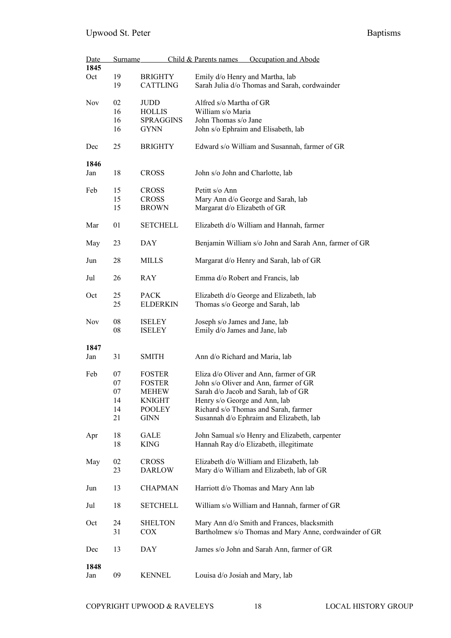| Date<br>1845 | <b>Surname</b> |                       | Child & Parents names<br>Occupation and Abode                                                        |
|--------------|----------------|-----------------------|------------------------------------------------------------------------------------------------------|
|              |                |                       |                                                                                                      |
| Oct          | 19             | <b>BRIGHTY</b>        | Emily d/o Henry and Martha, lab                                                                      |
|              | 19             | <b>CATTLING</b>       | Sarah Julia d/o Thomas and Sarah, cordwainder                                                        |
| <b>Nov</b>   | 02             | JUDD                  | Alfred s/o Martha of GR                                                                              |
|              | 16             | <b>HOLLIS</b>         | William s/o Maria                                                                                    |
|              | 16             | <b>SPRAGGINS</b>      | John Thomas s/o Jane                                                                                 |
|              | 16             | <b>GYNN</b>           | John s/o Ephraim and Elisabeth, lab                                                                  |
| Dec          | 25             | <b>BRIGHTY</b>        | Edward s/o William and Susannah, farmer of GR                                                        |
| 1846         |                |                       |                                                                                                      |
| Jan          | 18             | <b>CROSS</b>          | John s/o John and Charlotte, lab                                                                     |
| Feb          | 15             | <b>CROSS</b>          | Petitt s/o Ann                                                                                       |
|              | 15             | <b>CROSS</b>          | Mary Ann d/o George and Sarah, lab                                                                   |
|              | 15             | <b>BROWN</b>          | Margarat d/o Elizabeth of GR                                                                         |
| Mar          | 01             | <b>SETCHELL</b>       | Elizabeth d/o William and Hannah, farmer                                                             |
| May          | 23             | DAY                   | Benjamin William s/o John and Sarah Ann, farmer of GR                                                |
| Jun          | 28             | MILLS                 | Margarat d/o Henry and Sarah, lab of GR                                                              |
| Jul          | 26             | RAY                   | Emma d/o Robert and Francis, lab                                                                     |
| Oct          | 25             | <b>PACK</b>           | Elizabeth d/o George and Elizabeth, lab                                                              |
|              | 25             | <b>ELDERKIN</b>       | Thomas s/o George and Sarah, lab                                                                     |
|              |                |                       |                                                                                                      |
| Nov          | 08             | <b>ISELEY</b>         | Joseph s/o James and Jane, lab                                                                       |
|              | 08             | <b>ISELEY</b>         | Emily d/o James and Jane, lab                                                                        |
|              |                |                       |                                                                                                      |
| 1847         |                |                       |                                                                                                      |
| Jan          | 31             | <b>SMITH</b>          | Ann d/o Richard and Maria, lab                                                                       |
| Feb          | 07             | <b>FOSTER</b>         | Eliza d/o Oliver and Ann, farmer of GR                                                               |
|              | 07             | <b>FOSTER</b>         | John s/o Oliver and Ann, farmer of GR                                                                |
|              | 07             | MEHEW                 | Sarah d/o Jacob and Sarah, lab of GR                                                                 |
|              | 14             | <b>KNIGHT</b>         | Henry s/o George and Ann, lab                                                                        |
|              | 14             | <b>POOLEY</b>         | Richard s/o Thomas and Sarah, farmer                                                                 |
|              | 21             | <b>GINN</b>           | Susannah d/o Ephraim and Elizabeth, lab                                                              |
|              |                |                       |                                                                                                      |
| Apr          | 18             | GALE                  | John Samual s/o Henry and Elizabeth, carpenter                                                       |
|              | 18             | <b>KING</b>           | Hannah Ray d/o Elizabeth, illegitimate                                                               |
| May          | 02             | <b>CROSS</b>          | Elizabeth d/o William and Elizabeth, lab                                                             |
|              | 23             | <b>DARLOW</b>         |                                                                                                      |
|              |                |                       | Mary d/o William and Elizabeth, lab of GR                                                            |
| Jun          | 13             | <b>CHAPMAN</b>        | Harriott d/o Thomas and Mary Ann lab                                                                 |
| Jul          | 18             | <b>SETCHELL</b>       | William s/o William and Hannah, farmer of GR                                                         |
| Oct          | 24<br>31       | <b>SHELTON</b><br>COX | Mary Ann d/o Smith and Frances, blacksmith<br>Bartholmew s/o Thomas and Mary Anne, cordwainder of GR |
| Dec          | 13             | DAY                   | James s/o John and Sarah Ann, farmer of GR                                                           |
| 1848         |                |                       |                                                                                                      |
| Jan          | 09             | <b>KENNEL</b>         | Louisa d/o Josiah and Mary, lab                                                                      |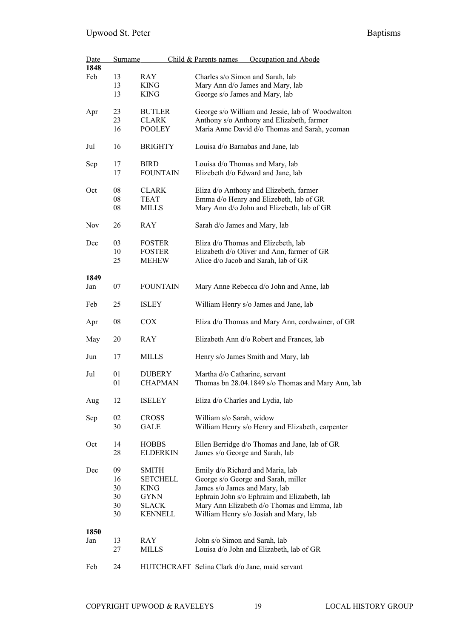| Date       | <u>Surname</u> |                 | Occupation and Abode<br>Child & Parents names     |
|------------|----------------|-----------------|---------------------------------------------------|
| 1848       |                |                 |                                                   |
| Feb        | 13             | RAY             | Charles s/o Simon and Sarah, lab                  |
|            | 13             | <b>KING</b>     | Mary Ann d/o James and Mary, lab                  |
|            | 13             | <b>KING</b>     | George s/o James and Mary, lab                    |
| Apr        | 23             | <b>BUTLER</b>   | George s/o William and Jessie, lab of Woodwalton  |
|            | 23             | <b>CLARK</b>    | Anthony s/o Anthony and Elizabeth, farmer         |
|            | 16             | <b>POOLEY</b>   | Maria Anne David d/o Thomas and Sarah, yeoman     |
|            |                |                 |                                                   |
| Jul        | 16             | <b>BRIGHTY</b>  | Louisa d/o Barnabas and Jane, lab                 |
| Sep        | 17             | <b>BIRD</b>     | Louisa d/o Thomas and Mary, lab                   |
|            | 17             | <b>FOUNTAIN</b> | Elizebeth d/o Edward and Jane, lab                |
|            |                |                 |                                                   |
| Oct        | 08             | <b>CLARK</b>    | Eliza d/o Anthony and Elizebeth, farmer           |
|            | 08             | <b>TEAT</b>     | Emma d/o Henry and Elizebeth, lab of GR           |
|            |                |                 |                                                   |
|            | 08             | <b>MILLS</b>    | Mary Ann d/o John and Elizebeth, lab of GR        |
| <b>Nov</b> | 26             | <b>RAY</b>      | Sarah d/o James and Mary, lab                     |
| Dec        | 03             | <b>FOSTER</b>   | Eliza d/o Thomas and Elizebeth, lab               |
|            |                |                 |                                                   |
|            | 10             | <b>FOSTER</b>   | Elizabeth d/o Oliver and Ann, farmer of GR        |
|            | 25             | <b>MEHEW</b>    | Alice d/o Jacob and Sarah, lab of GR              |
|            |                |                 |                                                   |
| 1849       |                |                 |                                                   |
| Jan        | 07             | <b>FOUNTAIN</b> | Mary Anne Rebecca d/o John and Anne, lab          |
| Feb        | 25             | <b>ISLEY</b>    | William Henry s/o James and Jane, lab             |
| Apr        | 08             | COX.            | Eliza d/o Thomas and Mary Ann, cordwainer, of GR  |
| May        | 20             | <b>RAY</b>      | Elizabeth Ann d/o Robert and Frances, lab         |
| Jun        | 17             | <b>MILLS</b>    | Henry s/o James Smith and Mary, lab               |
|            |                |                 |                                                   |
| Jul        | 01             | <b>DUBERY</b>   | Martha d/o Catharine, servant                     |
|            | 01             | <b>CHAPMAN</b>  | Thomas bn 28.04.1849 s/o Thomas and Mary Ann, lab |
| Aug        | 12             | <b>ISELEY</b>   | Eliza d/o Charles and Lydia, lab                  |
|            |                |                 |                                                   |
| Sep        | 02             | <b>CROSS</b>    | William s/o Sarah, widow                          |
|            | 30             | <b>GALE</b>     | William Henry s/o Henry and Elizabeth, carpenter  |
|            |                |                 |                                                   |
| Oct        | 14             | <b>HOBBS</b>    | Ellen Berridge d/o Thomas and Jane, lab of GR     |
|            | 28             | <b>ELDERKIN</b> | James s/o George and Sarah, lab                   |
|            |                |                 |                                                   |
| Dec        | 09             | <b>SMITH</b>    | Emily d/o Richard and Maria, lab                  |
|            |                |                 |                                                   |
|            | 16             | <b>SETCHELL</b> | George s/o George and Sarah, miller               |
|            | 30             | <b>KING</b>     | James s/o James and Mary, lab                     |
|            | 30             | GYNN            | Ephrain John s/o Ephraim and Elizabeth, lab       |
|            | 30             | SLACK           | Mary Ann Elizabeth d/o Thomas and Emma, lab       |
|            |                |                 |                                                   |
|            | 30             | KENNELL         | William Henry s/o Josiah and Mary, lab            |
|            |                |                 |                                                   |
| 1850       |                |                 |                                                   |
| Jan        | 13             | <b>RAY</b>      | John s/o Simon and Sarah, lab                     |
|            | 27             | MILLS           | Louisa d/o John and Elizabeth, lab of GR          |
|            |                |                 |                                                   |
| Feb        | 24             |                 | HUTCHCRAFT Selina Clark d/o Jane, maid servant    |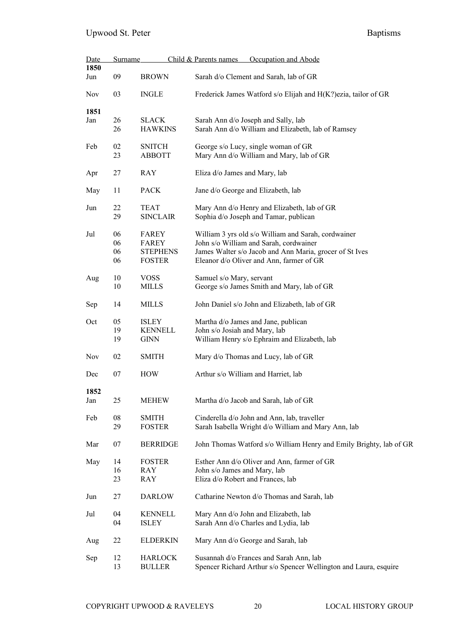| Date        | Surname              |                                                    | Occupation and Abode<br>Child & Parents names                                                                                                                                                        |
|-------------|----------------------|----------------------------------------------------|------------------------------------------------------------------------------------------------------------------------------------------------------------------------------------------------------|
| 1850<br>Jun | 09                   | <b>BROWN</b>                                       | Sarah d/o Clement and Sarah, lab of GR                                                                                                                                                               |
| <b>Nov</b>  | 03                   | <b>INGLE</b>                                       | Frederick James Watford s/o Elijah and H(K?) ezia, tailor of GR                                                                                                                                      |
| 1851<br>Jan | 26<br>26             | <b>SLACK</b><br><b>HAWKINS</b>                     | Sarah Ann d/o Joseph and Sally, lab<br>Sarah Ann d/o William and Elizabeth, lab of Ramsey                                                                                                            |
| Feb         | 02<br>23             | <b>SNITCH</b><br><b>ABBOTT</b>                     | George s/o Lucy, single woman of GR<br>Mary Ann d/o William and Mary, lab of GR                                                                                                                      |
| Apr         | 27                   | <b>RAY</b>                                         | Eliza d/o James and Mary, lab                                                                                                                                                                        |
| May         | 11                   | <b>PACK</b>                                        | Jane d/o George and Elizabeth, lab                                                                                                                                                                   |
| Jun         | 22<br>29             | TEAT<br><b>SINCLAIR</b>                            | Mary Ann d/o Henry and Elizabeth, lab of GR<br>Sophia d/o Joseph and Tamar, publican                                                                                                                 |
| Jul         | 06<br>06<br>06<br>06 | FAREY<br>FAREY<br><b>STEPHENS</b><br><b>FOSTER</b> | William 3 yrs old s/o William and Sarah, cordwainer<br>John s/o William and Sarah, cordwainer<br>James Walter s/o Jacob and Ann Maria, grocer of St Ives<br>Eleanor d/o Oliver and Ann, farmer of GR |
| Aug         | 10<br>10             | <b>VOSS</b><br><b>MILLS</b>                        | Samuel s/o Mary, servant<br>George s/o James Smith and Mary, lab of GR                                                                                                                               |
| Sep         | 14                   | <b>MILLS</b>                                       | John Daniel s/o John and Elizabeth, lab of GR                                                                                                                                                        |
| Oct         | 05<br>19<br>19       | <b>ISLEY</b><br><b>KENNELL</b><br><b>GINN</b>      | Martha d/o James and Jane, publican<br>John s/o Josiah and Mary, lab<br>William Henry s/o Ephraim and Elizabeth, lab                                                                                 |
| Nov         | 02                   | <b>SMITH</b>                                       | Mary d/o Thomas and Lucy, lab of GR                                                                                                                                                                  |
| Dec         | 07                   | <b>HOW</b>                                         | Arthur s/o William and Harriet, lab                                                                                                                                                                  |
| 1852<br>Jan | 25                   | <b>MEHEW</b>                                       | Martha d/o Jacob and Sarah, lab of GR                                                                                                                                                                |
| Feb         | ${\bf 08}$<br>29     | <b>SMITH</b><br><b>FOSTER</b>                      | Cinderella d/o John and Ann, lab, traveller<br>Sarah Isabella Wright d/o William and Mary Ann, lab                                                                                                   |
| Mar         | 07                   | <b>BERRIDGE</b>                                    | John Thomas Watford s/o William Henry and Emily Brighty, lab of GR                                                                                                                                   |
| May         | 14<br>16<br>23       | <b>FOSTER</b><br>RAY<br>RAY                        | Esther Ann d/o Oliver and Ann, farmer of GR<br>John s/o James and Mary, lab<br>Eliza d/o Robert and Frances, lab                                                                                     |
| Jun         | 27                   | <b>DARLOW</b>                                      | Catharine Newton d/o Thomas and Sarah, lab                                                                                                                                                           |
| Jul         | 04<br>04             | <b>KENNELL</b><br><b>ISLEY</b>                     | Mary Ann d/o John and Elizabeth, lab<br>Sarah Ann d/o Charles and Lydia, lab                                                                                                                         |
| Aug         | 22                   | <b>ELDERKIN</b>                                    | Mary Ann d/o George and Sarah, lab                                                                                                                                                                   |
| Sep         | 12<br>13             | <b>HARLOCK</b><br><b>BULLER</b>                    | Susannah d/o Frances and Sarah Ann, lab<br>Spencer Richard Arthur s/o Spencer Wellington and Laura, esquire                                                                                          |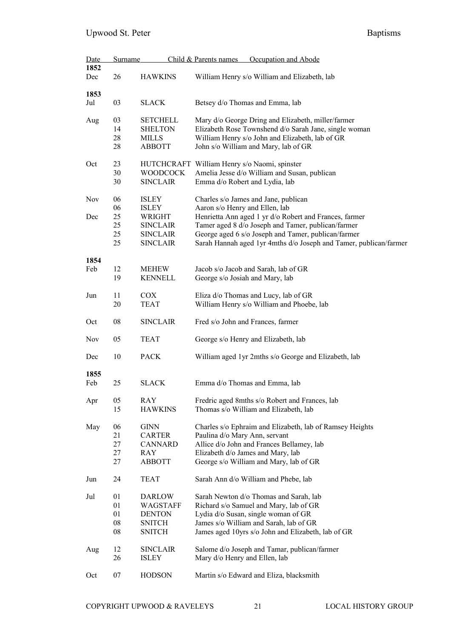| Date | <b>Surname</b> |                 | Child & Parents names<br>Occupation and Abode                     |  |  |
|------|----------------|-----------------|-------------------------------------------------------------------|--|--|
| 1852 |                |                 |                                                                   |  |  |
| Dec  | 26             | <b>HAWKINS</b>  | William Henry s/o William and Elizabeth, lab                      |  |  |
|      |                |                 |                                                                   |  |  |
| 1853 |                |                 |                                                                   |  |  |
| Jul  | 03             | <b>SLACK</b>    | Betsey d/o Thomas and Emma, lab                                   |  |  |
|      |                |                 |                                                                   |  |  |
|      |                |                 |                                                                   |  |  |
| Aug  | 03             | <b>SETCHELL</b> | Mary d/o George Dring and Elizabeth, miller/farmer                |  |  |
|      | 14             | <b>SHELTON</b>  | Elizabeth Rose Townshend d/o Sarah Jane, single woman             |  |  |
|      | 28             | <b>MILLS</b>    | William Henry s/o John and Elizabeth, lab of GR                   |  |  |
|      | 28             | <b>ABBOTT</b>   | John s/o William and Mary, lab of GR                              |  |  |
|      |                |                 |                                                                   |  |  |
| Oct  | 23             |                 | HUTCHCRAFT William Henry s/o Naomi, spinster                      |  |  |
|      |                |                 |                                                                   |  |  |
|      | 30             | <b>WOODCOCK</b> | Amelia Jesse d/o William and Susan, publican                      |  |  |
|      | 30             | <b>SINCLAIR</b> | Emma d/o Robert and Lydia, lab                                    |  |  |
|      |                |                 |                                                                   |  |  |
| Nov  | 06             | <b>ISLEY</b>    | Charles s/o James and Jane, publican                              |  |  |
|      | 06             | <b>ISLEY</b>    | Aaron s/o Henry and Ellen, lab                                    |  |  |
| Dec  | 25             | WRIGHT          | Henrietta Ann aged 1 yr d/o Robert and Frances, farmer            |  |  |
|      | 25             | <b>SINCLAIR</b> | Tamer aged 8 d/o Joseph and Tamer, publican/farmer                |  |  |
|      | 25             | <b>SINCLAIR</b> | George aged 6 s/o Joseph and Tamer, publican/farmer               |  |  |
|      |                |                 |                                                                   |  |  |
|      | 25             | <b>SINCLAIR</b> | Sarah Hannah aged 1yr 4mths d/o Joseph and Tamer, publican/farmer |  |  |
|      |                |                 |                                                                   |  |  |
| 1854 |                |                 |                                                                   |  |  |
| Feb  | 12             | <b>MEHEW</b>    | Jacob s/o Jacob and Sarah, lab of GR                              |  |  |
|      | 19             | <b>KENNELL</b>  | George s/o Josiah and Mary, lab                                   |  |  |
|      |                |                 |                                                                   |  |  |
| Jun  | 11             | <b>COX</b>      | Eliza d/o Thomas and Lucy, lab of GR                              |  |  |
|      | 20             | <b>TEAT</b>     | William Henry s/o William and Phoebe, lab                         |  |  |
|      |                |                 |                                                                   |  |  |
| Oct  | 08             | <b>SINCLAIR</b> | Fred s/o John and Frances, farmer                                 |  |  |
|      |                |                 |                                                                   |  |  |
|      |                |                 |                                                                   |  |  |
| Nov  | 05             | <b>TEAT</b>     | George s/o Henry and Elizabeth, lab                               |  |  |
|      |                |                 |                                                                   |  |  |
| Dec  | 10             | <b>PACK</b>     | William aged 1yr 2mths s/o George and Elizabeth, lab              |  |  |
|      |                |                 |                                                                   |  |  |
| 1855 |                |                 |                                                                   |  |  |
| Feb  | 25             | <b>SLACK</b>    | Emma d/o Thomas and Emma, lab                                     |  |  |
|      |                |                 |                                                                   |  |  |
| Apr  | 05             | RAY             | Fredric aged 8mths s/o Robert and Frances, lab                    |  |  |
|      | 15             | <b>HAWKINS</b>  | Thomas s/o William and Elizabeth, lab                             |  |  |
|      |                |                 |                                                                   |  |  |
| May  | 06             | <b>GINN</b>     | Charles s/o Ephraim and Elizabeth, lab of Ramsey Heights          |  |  |
|      | 21             |                 |                                                                   |  |  |
|      |                | <b>CARTER</b>   | Paulina d/o Mary Ann, servant                                     |  |  |
|      | 27             | <b>CANNARD</b>  | Allice d/o John and Frances Bellamey, lab                         |  |  |
|      | 27             | RAY             | Elizabeth d/o James and Mary, lab                                 |  |  |
|      | 27             | <b>ABBOTT</b>   | George s/o William and Mary, lab of GR                            |  |  |
|      |                |                 |                                                                   |  |  |
| Jun  | 24             | <b>TEAT</b>     | Sarah Ann d/o William and Phebe, lab                              |  |  |
|      |                |                 |                                                                   |  |  |
| Jul  | 01             | <b>DARLOW</b>   | Sarah Newton d/o Thomas and Sarah, lab                            |  |  |
|      | 01             | WAGSTAFF        | Richard s/o Samuel and Mary, lab of GR                            |  |  |
|      |                |                 |                                                                   |  |  |
|      | 01             | <b>DENTON</b>   | Lydia d/o Susan, single woman of GR                               |  |  |
|      | ${\bf 08}$     | <b>SNITCH</b>   | James s/o William and Sarah, lab of GR                            |  |  |
|      | ${\bf 08}$     | <b>SNITCH</b>   | James aged 10yrs s/o John and Elizabeth, lab of GR                |  |  |
|      |                |                 |                                                                   |  |  |
| Aug  | 12             | <b>SINCLAIR</b> | Salome d/o Joseph and Tamar, publican/farmer                      |  |  |
|      | 26             | <b>ISLEY</b>    | Mary d/o Henry and Ellen, lab                                     |  |  |
|      |                |                 |                                                                   |  |  |
| Oct  | 07             | <b>HODSON</b>   | Martin s/o Edward and Eliza, blacksmith                           |  |  |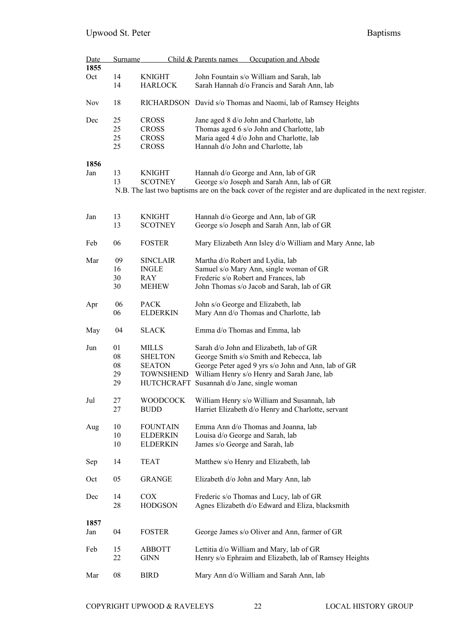| Date<br>1855 | <b>Surname</b> |                  | Child & Parents names<br>Occupation and Abode                                                             |
|--------------|----------------|------------------|-----------------------------------------------------------------------------------------------------------|
|              |                |                  |                                                                                                           |
| Oct          | 14             | <b>KNIGHT</b>    | John Fountain s/o William and Sarah, lab                                                                  |
|              | 14             | <b>HARLOCK</b>   | Sarah Hannah d/o Francis and Sarah Ann, lab                                                               |
| <b>Nov</b>   | 18             |                  | RICHARDSON David s/o Thomas and Naomi, lab of Ramsey Heights                                              |
| Dec          | 25             | <b>CROSS</b>     | Jane aged 8 d/o John and Charlotte, lab                                                                   |
|              | 25             | <b>CROSS</b>     | Thomas aged 6 s/o John and Charlotte, lab                                                                 |
|              | 25             | <b>CROSS</b>     | Maria aged 4 d/o John and Charlotte, lab                                                                  |
|              | 25             | <b>CROSS</b>     | Hannah d/o John and Charlotte, lab                                                                        |
|              |                |                  |                                                                                                           |
| 1856         |                |                  |                                                                                                           |
| Jan          | 13             | <b>KNIGHT</b>    | Hannah d/o George and Ann, lab of GR                                                                      |
|              | 13             | <b>SCOTNEY</b>   | George s/o Joseph and Sarah Ann, lab of GR                                                                |
|              |                |                  | N.B. The last two baptisms are on the back cover of the register and are duplicated in the next register. |
|              |                |                  |                                                                                                           |
| Jan          | 13             | <b>KNIGHT</b>    | Hannah d/o George and Ann, lab of GR                                                                      |
|              | 13             | <b>SCOTNEY</b>   | George s/o Joseph and Sarah Ann, lab of GR                                                                |
|              |                |                  |                                                                                                           |
| Feb          | 06             | <b>FOSTER</b>    | Mary Elizabeth Ann Isley d/o William and Mary Anne, lab                                                   |
| Mar          | 09             | <b>SINCLAIR</b>  | Martha d/o Robert and Lydia, lab                                                                          |
|              | 16             | <b>INGLE</b>     | Samuel s/o Mary Ann, single woman of GR                                                                   |
|              |                |                  |                                                                                                           |
|              | 30             | <b>RAY</b>       | Frederic s/o Robert and Frances, lab                                                                      |
|              | 30             | <b>MEHEW</b>     | John Thomas s/o Jacob and Sarah, lab of GR                                                                |
| Apr          | 06             | <b>PACK</b>      | John s/o George and Elizabeth, lab                                                                        |
|              | 06             | <b>ELDERKIN</b>  | Mary Ann d/o Thomas and Charlotte, lab                                                                    |
| May          | 04             | <b>SLACK</b>     | Emma d/o Thomas and Emma, lab                                                                             |
| Jun          | 01             | <b>MILLS</b>     | Sarah d/o John and Elizabeth, lab of GR                                                                   |
|              | ${\bf 08}$     | <b>SHELTON</b>   | George Smith s/o Smith and Rebecca, lab                                                                   |
|              | ${\bf 08}$     |                  |                                                                                                           |
|              |                | <b>SEATON</b>    | George Peter aged 9 yrs s/o John and Ann, lab of GR                                                       |
|              | 29             | <b>TOWNSHEND</b> | William Henry s/o Henry and Sarah Jane, lab                                                               |
|              | 29             |                  | HUTCHCRAFT Susannah d/o Jane, single woman                                                                |
| Jul          | 27             | <b>WOODCOCK</b>  | William Henry s/o William and Susannah, lab                                                               |
|              | 27             | <b>BUDD</b>      | Harriet Elizabeth d/o Henry and Charlotte, servant                                                        |
|              |                |                  |                                                                                                           |
| Aug          | 10             | <b>FOUNTAIN</b>  | Emma Ann d/o Thomas and Joanna, lab                                                                       |
|              | 10             | <b>ELDERKIN</b>  | Louisa d/o George and Sarah, lab                                                                          |
|              | 10             | <b>ELDERKIN</b>  | James s/o George and Sarah, lab                                                                           |
| Sep          | 14             | <b>TEAT</b>      | Matthew s/o Henry and Elizabeth, lab                                                                      |
| Oct          | 05             | <b>GRANGE</b>    | Elizabeth d/o John and Mary Ann, lab                                                                      |
| Dec          | 14             | <b>COX</b>       | Frederic s/o Thomas and Lucy, lab of GR                                                                   |
|              |                |                  |                                                                                                           |
|              | 28             | <b>HODGSON</b>   | Agnes Elizabeth d/o Edward and Eliza, blacksmith                                                          |
| 1857         |                |                  |                                                                                                           |
| Jan          | 04             | <b>FOSTER</b>    | George James s/o Oliver and Ann, farmer of GR                                                             |
|              |                |                  |                                                                                                           |
| Feb          | 15             | <b>ABBOTT</b>    | Lettitia d/o William and Mary, lab of GR                                                                  |
|              | 22             | <b>GINN</b>      | Henry s/o Ephraim and Elizabeth, lab of Ramsey Heights                                                    |
|              |                |                  |                                                                                                           |
| Mar          | ${\bf 08}$     | <b>BIRD</b>      | Mary Ann d/o William and Sarah Ann, lab                                                                   |
|              |                |                  |                                                                                                           |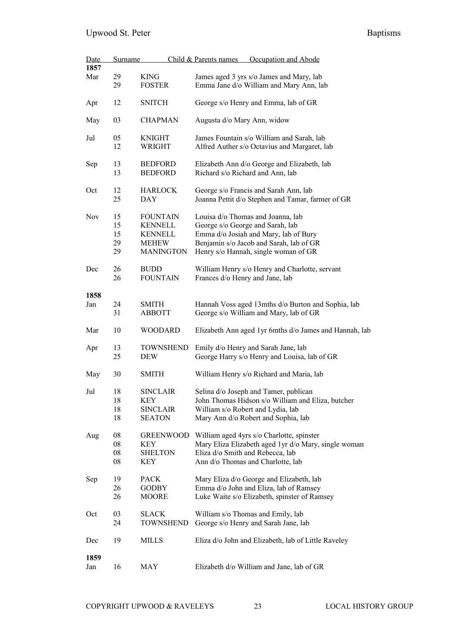| Date       | <b>Surname</b> |                  | Occupation and Abode<br>Child & Parents names                                   |
|------------|----------------|------------------|---------------------------------------------------------------------------------|
| 1857       |                |                  |                                                                                 |
| Mar        | 29             | <b>KING</b>      | James aged 3 yrs s/o James and Mary, lab                                        |
|            | 29             | <b>FOSTER</b>    | Emma Jane d/o William and Mary Ann, lab                                         |
|            |                |                  |                                                                                 |
| Apr        | 12             | <b>SNITCH</b>    | George s/o Henry and Emma, lab of GR                                            |
|            |                |                  |                                                                                 |
| May        | 03             | <b>CHAPMAN</b>   | Augusta d/o Mary Ann, widow                                                     |
|            |                |                  |                                                                                 |
| Jul        | 05             | <b>KNIGHT</b>    | James Fountain s/o William and Sarah, lab                                       |
|            | 12             | WRIGHT           | Alfred Auther s/o Octavius and Margaret, lab                                    |
|            | 13             | <b>BEDFORD</b>   |                                                                                 |
| Sep        | 13             | <b>BEDFORD</b>   | Elizabeth Ann d/o George and Elizabeth, lab<br>Richard s/o Richard and Ann, lab |
|            |                |                  |                                                                                 |
| Oct        | 12             | <b>HARLOCK</b>   | George s/o Francis and Sarah Ann, lab                                           |
|            | 25             | DAY              | Joanna Pettit d/o Stephen and Tamar, farmer of GR                               |
|            |                |                  |                                                                                 |
| <b>Nov</b> | 15             | <b>FOUNTAIN</b>  | Louisa d/o Thomas and Joanna, lab                                               |
|            | 15             | <b>KENNELL</b>   | George s/o George and Sarah, lab                                                |
|            | 15             | <b>KENNELL</b>   | Emma d/o Josiah and Mary, lab of Bury                                           |
|            | 29             | <b>MEHEW</b>     | Benjamin s/o Jacob and Sarah, lab of GR                                         |
|            | 29             | <b>MANINGTON</b> | Henry s/o Hannah, single woman of GR                                            |
|            |                |                  |                                                                                 |
| Dec        | 26             | <b>BUDD</b>      | William Henry s/o Henry and Charlotte, servant                                  |
|            | 26             | <b>FOUNTAIN</b>  | Frances d/o Henry and Jane, lab                                                 |
|            |                |                  |                                                                                 |
| 1858       |                |                  |                                                                                 |
| Jan        | 24             | <b>SMITH</b>     | Hannah Voss aged 13mths d/o Burton and Sophia, lab                              |
|            | 31             | ABBOTT           | George s/o William and Mary, lab of GR                                          |
| Mar        | 10             | <b>WOODARD</b>   | Elizabeth Ann aged 1yr 6mths d/o James and Hannah, lab                          |
|            |                |                  |                                                                                 |
| Apr        | 13             | <b>TOWNSHEND</b> | Emily d/o Henry and Sarah Jane, lab                                             |
|            | 25             | DEW              | George Harry s/o Henry and Louisa, lab of GR                                    |
|            |                |                  |                                                                                 |
| May        | 30             | <b>SMITH</b>     | William Henry s/o Richard and Maria, lab                                        |
|            |                |                  |                                                                                 |
| Jul        | 18             | SINCLAIR         | Selina d/o Joseph and Tamer, publican                                           |
|            | 18             | KEY              | John Thomas Hidson s/o William and Eliza, butcher                               |
|            | 18             | <b>SINCLAIR</b>  | William s/o Robert and Lydia, lab                                               |
|            | 18             | <b>SEATON</b>    | Mary Ann d/o Robert and Sophia, lab                                             |
|            |                |                  |                                                                                 |
| Aug        | 08             | <b>GREENWOOD</b> | William aged 4yrs s/o Charlotte, spinster                                       |
|            | ${\bf 08}$     | <b>KEY</b>       | Mary Eliza Elizabeth aged 1yr d/o Mary, single woman                            |
|            | 08             | <b>SHELTON</b>   | Eliza d/o Smith and Rebecca, lab                                                |
|            | 08             | KEY              | Ann d/o Thomas and Charlotte, lab                                               |
| Sep        | 19             | <b>PACK</b>      | Mary Eliza d/o George and Elizabeth, lab                                        |
|            | 26             | <b>GODBY</b>     | Emma d/o John and Eliza, lab of Ramsey                                          |
|            | 26             | MOORE            | Luke Waite s/o Elizabeth, spinster of Ramsey                                    |
|            |                |                  |                                                                                 |
| Oct        | 03             | <b>SLACK</b>     | William s/o Thomas and Emily, lab                                               |
|            | 24             | TOWNSHEND        | George s/o Henry and Sarah Jane, lab                                            |
|            |                |                  |                                                                                 |
| Dec        | 19             | MILLS            | Eliza d/o John and Elizabeth, lab of Little Raveley                             |
|            |                |                  |                                                                                 |
| 1859       |                |                  |                                                                                 |
| Jan        | 16             | MAY              | Elizabeth d/o William and Jane, lab of GR                                       |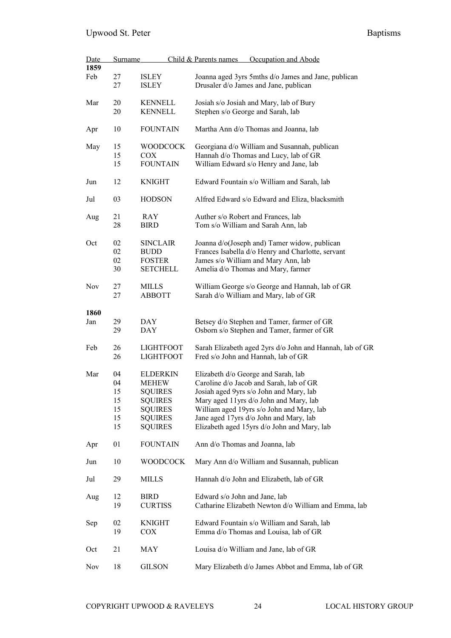| Date | Surname |                  | Child & Parents names<br>Occupation and Abode            |  |  |
|------|---------|------------------|----------------------------------------------------------|--|--|
| 1859 |         |                  |                                                          |  |  |
| Feb  | 27      | <b>ISLEY</b>     | Joanna aged 3yrs 5mths d/o James and Jane, publican      |  |  |
|      | 27      | <b>ISLEY</b>     | Drusaler d/o James and Jane, publican                    |  |  |
| Mar  | 20      | <b>KENNELL</b>   | Josiah s/o Josiah and Mary, lab of Bury                  |  |  |
|      | 20      | <b>KENNELL</b>   | Stephen s/o George and Sarah, lab                        |  |  |
| Apr  | 10      | <b>FOUNTAIN</b>  | Martha Ann d/o Thomas and Joanna, lab                    |  |  |
| May  | 15      | <b>WOODCOCK</b>  | Georgiana d/o William and Susannah, publican             |  |  |
|      | 15      | <b>COX</b>       | Hannah d/o Thomas and Lucy, lab of GR                    |  |  |
|      | 15      | <b>FOUNTAIN</b>  | William Edward s/o Henry and Jane, lab                   |  |  |
| Jun  | 12      | <b>KNIGHT</b>    | Edward Fountain s/o William and Sarah, lab               |  |  |
| Jul  | 03      | <b>HODSON</b>    | Alfred Edward s/o Edward and Eliza, blacksmith           |  |  |
| Aug  | 21      | RAY              | Auther s/o Robert and Frances, lab                       |  |  |
|      | 28      | <b>BIRD</b>      | Tom s/o William and Sarah Ann, lab                       |  |  |
|      |         |                  |                                                          |  |  |
| Oct  | 02      | <b>SINCLAIR</b>  | Joanna d/o(Joseph and) Tamer widow, publican             |  |  |
|      | 02      | <b>BUDD</b>      | Frances Isabella d/o Henry and Charlotte, servant        |  |  |
|      | 02      | <b>FOSTER</b>    | James s/o William and Mary Ann, lab                      |  |  |
|      | 30      | <b>SETCHELL</b>  | Amelia d/o Thomas and Mary, farmer                       |  |  |
|      |         |                  |                                                          |  |  |
| Nov  | 27      | MILLS            | William George s/o George and Hannah, lab of GR          |  |  |
|      | 27      | <b>ABBOTT</b>    | Sarah d/o William and Mary, lab of GR                    |  |  |
|      |         |                  |                                                          |  |  |
| 1860 |         |                  |                                                          |  |  |
| Jan  | 29      | <b>DAY</b>       | Betsey d/o Stephen and Tamer, farmer of GR               |  |  |
|      | 29      | <b>DAY</b>       | Osborn s/o Stephen and Tamer, farmer of GR               |  |  |
| Feb  | 26      | <b>LIGHTFOOT</b> | Sarah Elizabeth aged 2yrs d/o John and Hannah, lab of GR |  |  |
|      | 26      | <b>LIGHTFOOT</b> | Fred s/o John and Hannah, lab of GR                      |  |  |
|      |         |                  |                                                          |  |  |
| Mar  | 04      | <b>ELDERKIN</b>  | Elizabeth d/o George and Sarah, lab                      |  |  |
|      | 04      | <b>MEHEW</b>     | Caroline d/o Jacob and Sarah, lab of GR                  |  |  |
|      | 15      | <b>SQUIRES</b>   | Josiah aged 9yrs s/o John and Mary, lab                  |  |  |
|      | 15      | <b>SQUIRES</b>   | Mary aged 11yrs d/o John and Mary, lab                   |  |  |
|      | 15      | <b>SQUIRES</b>   | William aged 19yrs s/o John and Mary, lab                |  |  |
|      | 15      | <b>SQUIRES</b>   | Jane aged 17yrs d/o John and Mary, lab                   |  |  |
|      | 15      | <b>SQUIRES</b>   | Elizabeth aged 15yrs d/o John and Mary, lab              |  |  |
|      |         |                  |                                                          |  |  |
| Apr  | 01      | <b>FOUNTAIN</b>  | Ann d/o Thomas and Joanna, lab                           |  |  |
| Jun  | 10      | <b>WOODCOCK</b>  | Mary Ann d/o William and Susannah, publican              |  |  |
| Jul  | 29      | MILLS            | Hannah d/o John and Elizabeth, lab of GR                 |  |  |
| Aug  | 12      | <b>BIRD</b>      | Edward s/o John and Jane, lab                            |  |  |
|      | 19      | <b>CURTISS</b>   | Catharine Elizabeth Newton d/o William and Emma, lab     |  |  |
|      |         |                  |                                                          |  |  |
| Sep  | 02      | <b>KNIGHT</b>    | Edward Fountain s/o William and Sarah, lab               |  |  |
|      | 19      | COX              | Emma d/o Thomas and Louisa, lab of GR                    |  |  |
|      |         |                  |                                                          |  |  |
| Oct  | 21      | MAY              | Louisa d/o William and Jane, lab of GR                   |  |  |
| Nov  | 18      | <b>GILSON</b>    | Mary Elizabeth d/o James Abbot and Emma, lab of GR       |  |  |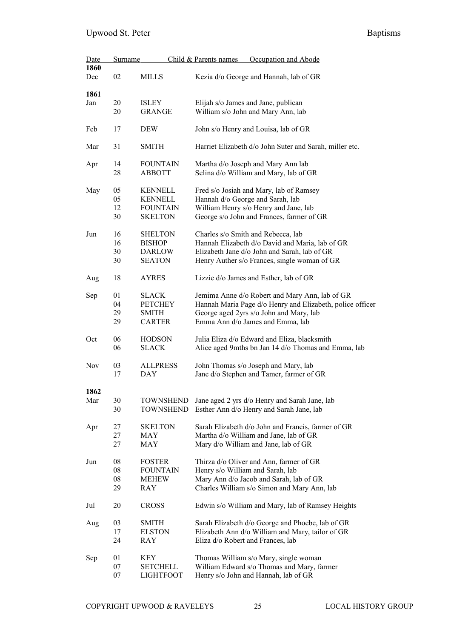| Date        | <b>Surname</b> |                               | Occupation and Abode<br>Child & Parents names                                    |  |  |
|-------------|----------------|-------------------------------|----------------------------------------------------------------------------------|--|--|
| 1860<br>Dec | 02             | MILLS                         | Kezia d/o George and Hannah, lab of GR                                           |  |  |
| 1861        |                |                               |                                                                                  |  |  |
| Jan         | 20<br>20       | <b>ISLEY</b><br><b>GRANGE</b> | Elijah s/o James and Jane, publican<br>William s/o John and Mary Ann, lab        |  |  |
| Feb         | 17             | <b>DEW</b>                    | John s/o Henry and Louisa, lab of GR                                             |  |  |
| Mar         | 31             | <b>SMITH</b>                  | Harriet Elizabeth d/o John Suter and Sarah, miller etc.                          |  |  |
| Apr         | 14             | <b>FOUNTAIN</b>               | Martha d/o Joseph and Mary Ann lab                                               |  |  |
|             | 28             | <b>ABBOTT</b>                 | Selina d/o William and Mary, lab of GR                                           |  |  |
| May         | 05             | <b>KENNELL</b>                | Fred s/o Josiah and Mary, lab of Ramsey                                          |  |  |
|             | 05             | <b>KENNELL</b>                | Hannah d/o George and Sarah, lab                                                 |  |  |
|             | 12             | <b>FOUNTAIN</b>               | William Henry s/o Henry and Jane, lab                                            |  |  |
|             | 30             | <b>SKELTON</b>                | George s/o John and Frances, farmer of GR                                        |  |  |
| Jun         | 16             | <b>SHELTON</b>                | Charles s/o Smith and Rebecca, lab                                               |  |  |
|             | 16             | <b>BISHOP</b>                 | Hannah Elizabeth d/o David and Maria, lab of GR                                  |  |  |
|             | 30             | <b>DARLOW</b>                 | Elizabeth Jane d/o John and Sarah, lab of GR                                     |  |  |
|             | 30             | <b>SEATON</b>                 | Henry Auther s/o Frances, single woman of GR                                     |  |  |
| Aug         | 18             | <b>AYRES</b>                  | Lizzie d/o James and Esther, lab of GR                                           |  |  |
| Sep         | 01             | <b>SLACK</b>                  | Jemima Anne d/o Robert and Mary Ann, lab of GR                                   |  |  |
|             | 04             | <b>PETCHEY</b>                | Hannah Maria Page d/o Henry and Elizabeth, police officer                        |  |  |
|             | 29             | <b>SMITH</b>                  | George aged 2yrs s/o John and Mary, lab                                          |  |  |
|             | 29             | <b>CARTER</b>                 | Emma Ann d/o James and Emma, lab                                                 |  |  |
| Oct         | 06             | <b>HODSON</b>                 | Julia Eliza d/o Edward and Eliza, blacksmith                                     |  |  |
|             | 06             | <b>SLACK</b>                  | Alice aged 9mths bn Jan 14 d/o Thomas and Emma, lab                              |  |  |
| Nov         | 03<br>17       | <b>ALLPRESS</b><br>DAY        | John Thomas s/o Joseph and Mary, lab<br>Jane d/o Stephen and Tamer, farmer of GR |  |  |
| 1862        |                |                               |                                                                                  |  |  |
| Mar         | 30             | <b>TOWNSHEND</b>              | Jane aged 2 yrs d/o Henry and Sarah Jane, lab                                    |  |  |
|             | 30             | <b>TOWNSHEND</b>              | Esther Ann d/o Henry and Sarah Jane, lab                                         |  |  |
| Apr         | 27             | <b>SKELTON</b>                | Sarah Elizabeth d/o John and Francis, farmer of GR                               |  |  |
|             | 27             | MAY                           | Martha d/o William and Jane, lab of GR                                           |  |  |
|             | 27             | MAY                           | Mary d/o William and Jane, lab of GR                                             |  |  |
| Jun         | 08             | <b>FOSTER</b>                 | Thirza d/o Oliver and Ann, farmer of GR                                          |  |  |
|             | ${\bf 08}$     | <b>FOUNTAIN</b>               | Henry s/o William and Sarah, lab                                                 |  |  |
|             | ${\bf 08}$     | <b>MEHEW</b>                  | Mary Ann d/o Jacob and Sarah, lab of GR                                          |  |  |
|             | 29             | RAY                           | Charles William s/o Simon and Mary Ann, lab                                      |  |  |
| Jul         | 20             | <b>CROSS</b>                  | Edwin s/o William and Mary, lab of Ramsey Heights                                |  |  |
| Aug         | 03             | <b>SMITH</b>                  | Sarah Elizabeth d/o George and Phoebe, lab of GR                                 |  |  |
|             | 17             | <b>ELSTON</b>                 | Elizabeth Ann d/o William and Mary, tailor of GR                                 |  |  |
|             | 24             | RAY                           | Eliza d/o Robert and Frances, lab                                                |  |  |
| Sep         | 01             | KEY                           | Thomas William s/o Mary, single woman                                            |  |  |
|             | 07             | <b>SETCHELL</b>               | William Edward s/o Thomas and Mary, farmer                                       |  |  |
|             | 07             | <b>LIGHTFOOT</b>              | Henry s/o John and Hannah, lab of GR                                             |  |  |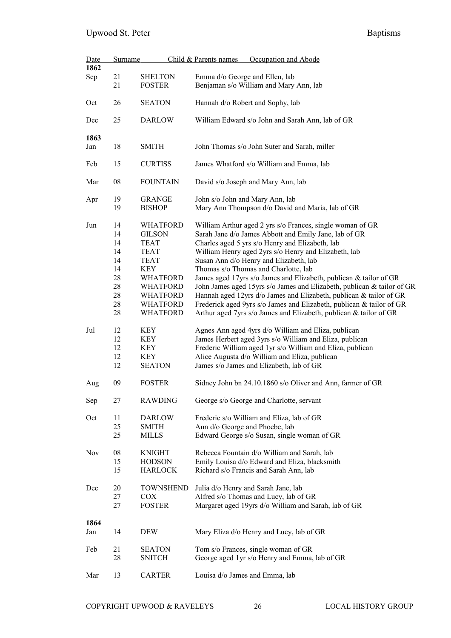| Date        | Child & Parents names<br><b>Surname</b><br>Occupation and Abode |                                                                                                                                                                                            |                                                                                                                                                                                                                                                                                                                                                                                                                                                                                                                                                                                                                                                                                   |  |
|-------------|-----------------------------------------------------------------|--------------------------------------------------------------------------------------------------------------------------------------------------------------------------------------------|-----------------------------------------------------------------------------------------------------------------------------------------------------------------------------------------------------------------------------------------------------------------------------------------------------------------------------------------------------------------------------------------------------------------------------------------------------------------------------------------------------------------------------------------------------------------------------------------------------------------------------------------------------------------------------------|--|
| 1862<br>Sep | 21<br>21                                                        | <b>SHELTON</b><br><b>FOSTER</b>                                                                                                                                                            | Emma d/o George and Ellen, lab<br>Benjaman s/o William and Mary Ann, lab                                                                                                                                                                                                                                                                                                                                                                                                                                                                                                                                                                                                          |  |
| Oct         | 26                                                              | <b>SEATON</b>                                                                                                                                                                              | Hannah d/o Robert and Sophy, lab                                                                                                                                                                                                                                                                                                                                                                                                                                                                                                                                                                                                                                                  |  |
| Dec         | 25                                                              | <b>DARLOW</b>                                                                                                                                                                              | William Edward s/o John and Sarah Ann, lab of GR                                                                                                                                                                                                                                                                                                                                                                                                                                                                                                                                                                                                                                  |  |
| 1863        |                                                                 |                                                                                                                                                                                            |                                                                                                                                                                                                                                                                                                                                                                                                                                                                                                                                                                                                                                                                                   |  |
| Jan         | 18                                                              | <b>SMITH</b>                                                                                                                                                                               | John Thomas s/o John Suter and Sarah, miller                                                                                                                                                                                                                                                                                                                                                                                                                                                                                                                                                                                                                                      |  |
| Feb         | 15                                                              | <b>CURTISS</b>                                                                                                                                                                             | James Whatford s/o William and Emma, lab                                                                                                                                                                                                                                                                                                                                                                                                                                                                                                                                                                                                                                          |  |
| Mar         | 08                                                              | <b>FOUNTAIN</b>                                                                                                                                                                            | David s/o Joseph and Mary Ann, lab                                                                                                                                                                                                                                                                                                                                                                                                                                                                                                                                                                                                                                                |  |
| Apr         | 19<br>19                                                        | <b>GRANGE</b><br><b>BISHOP</b>                                                                                                                                                             | John s/o John and Mary Ann, lab<br>Mary Ann Thompson d/o David and Maria, lab of GR                                                                                                                                                                                                                                                                                                                                                                                                                                                                                                                                                                                               |  |
| Jun         | 14<br>14<br>14<br>14<br>14<br>14<br>28<br>28<br>28<br>28<br>28  | <b>WHATFORD</b><br><b>GILSON</b><br><b>TEAT</b><br><b>TEAT</b><br><b>TEAT</b><br><b>KEY</b><br><b>WHATFORD</b><br><b>WHATFORD</b><br><b>WHATFORD</b><br><b>WHATFORD</b><br><b>WHATFORD</b> | William Arthur aged 2 yrs s/o Frances, single woman of GR<br>Sarah Jane d/o James Abbott and Emily Jane, lab of GR<br>Charles aged 5 yrs s/o Henry and Elizabeth, lab<br>William Henry aged 2yrs s/o Henry and Elizabeth, lab<br>Susan Ann d/o Henry and Elizabeth, lab<br>Thomas s/o Thomas and Charlotte, lab<br>James aged 17yrs s/o James and Elizabeth, publican & tailor of GR<br>John James aged 15yrs s/o James and Elizabeth, publican & tailor of GR<br>Hannah aged 12yrs d/o James and Elizabeth, publican & tailor of GR<br>Frederick aged 9yrs s/o James and Elizabeth, publican & tailor of GR<br>Arthur aged 7yrs s/o James and Elizabeth, publican & tailor of GR |  |
| Jul         | 12<br>12<br>12<br>12<br>12                                      | <b>KEY</b><br><b>KEY</b><br><b>KEY</b><br><b>KEY</b><br><b>SEATON</b>                                                                                                                      | Agnes Ann aged 4yrs d/o William and Eliza, publican<br>James Herbert aged 3yrs s/o William and Eliza, publican<br>Frederic William aged 1yr s/o William and Eliza, publican<br>Alice Augusta d/o William and Eliza, publican<br>James s/o James and Elizabeth, lab of GR                                                                                                                                                                                                                                                                                                                                                                                                          |  |
| Aug         | 09                                                              | <b>FOSTER</b>                                                                                                                                                                              | Sidney John bn 24.10.1860 s/o Oliver and Ann, farmer of GR                                                                                                                                                                                                                                                                                                                                                                                                                                                                                                                                                                                                                        |  |
| Sep         | 27                                                              | <b>RAWDING</b>                                                                                                                                                                             | George s/o George and Charlotte, servant                                                                                                                                                                                                                                                                                                                                                                                                                                                                                                                                                                                                                                          |  |
| Oct         | 11<br>25<br>25                                                  | <b>DARLOW</b><br><b>SMITH</b><br>MILLS                                                                                                                                                     | Frederic s/o William and Eliza, lab of GR<br>Ann d/o George and Phoebe, lab<br>Edward George s/o Susan, single woman of GR                                                                                                                                                                                                                                                                                                                                                                                                                                                                                                                                                        |  |
| Nov         | 08<br>15<br>15                                                  | <b>KNIGHT</b><br><b>HODSON</b><br><b>HARLOCK</b>                                                                                                                                           | Rebecca Fountain d/o William and Sarah, lab<br>Emily Louisa d/o Edward and Eliza, blacksmith<br>Richard s/o Francis and Sarah Ann, lab                                                                                                                                                                                                                                                                                                                                                                                                                                                                                                                                            |  |
| Dec         | 20<br>27<br>27                                                  | <b>TOWNSHEND</b><br>COX<br><b>FOSTER</b>                                                                                                                                                   | Julia d/o Henry and Sarah Jane, lab<br>Alfred s/o Thomas and Lucy, lab of GR<br>Margaret aged 19yrs d/o William and Sarah, lab of GR                                                                                                                                                                                                                                                                                                                                                                                                                                                                                                                                              |  |
| 1864<br>Jan | 14                                                              | DEW                                                                                                                                                                                        | Mary Eliza d/o Henry and Lucy, lab of GR                                                                                                                                                                                                                                                                                                                                                                                                                                                                                                                                                                                                                                          |  |
| Feb         | 21<br>28                                                        | <b>SEATON</b><br><b>SNITCH</b>                                                                                                                                                             | Tom s/o Frances, single woman of GR<br>George aged 1yr s/o Henry and Emma, lab of GR                                                                                                                                                                                                                                                                                                                                                                                                                                                                                                                                                                                              |  |
| Mar         | 13                                                              | <b>CARTER</b>                                                                                                                                                                              | Louisa d/o James and Emma, lab                                                                                                                                                                                                                                                                                                                                                                                                                                                                                                                                                                                                                                                    |  |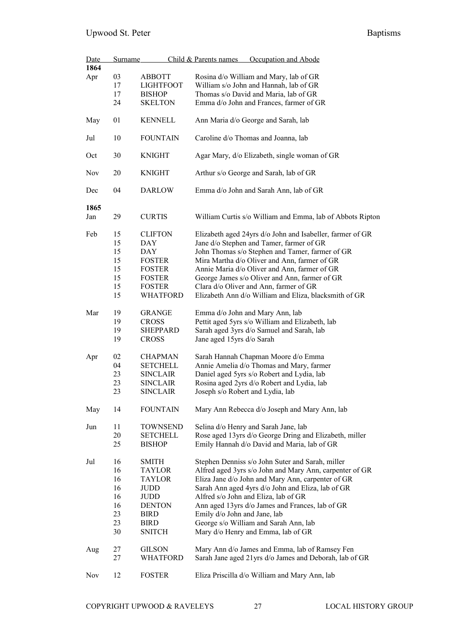| Date | <b>Surname</b> |                  | Child & Parents names<br>Occupation and Abode             |
|------|----------------|------------------|-----------------------------------------------------------|
| 1864 |                |                  |                                                           |
| Apr  | 03             | <b>ABBOTT</b>    | Rosina d/o William and Mary, lab of GR                    |
|      | 17             | <b>LIGHTFOOT</b> | William s/o John and Hannah, lab of GR                    |
|      | 17             | <b>BISHOP</b>    | Thomas s/o David and Maria, lab of GR                     |
|      | 24             | <b>SKELTON</b>   | Emma d/o John and Frances, farmer of GR                   |
|      |                |                  |                                                           |
| May  | 01             | <b>KENNELL</b>   | Ann Maria d/o George and Sarah, lab                       |
| Jul  | 10             | <b>FOUNTAIN</b>  | Caroline d/o Thomas and Joanna, lab                       |
| Oct  | 30             | <b>KNIGHT</b>    | Agar Mary, d/o Elizabeth, single woman of GR              |
| Nov  | 20             | <b>KNIGHT</b>    | Arthur s/o George and Sarah, lab of GR                    |
| Dec  | 04             | <b>DARLOW</b>    | Emma d/o John and Sarah Ann, lab of GR                    |
| 1865 |                |                  |                                                           |
| Jan  | 29             | <b>CURTIS</b>    | William Curtis s/o William and Emma, lab of Abbots Ripton |
| Feb  | 15             | <b>CLIFTON</b>   | Elizabeth aged 24yrs d/o John and Isabeller, farmer of GR |
|      | 15             | DAY              | Jane d/o Stephen and Tamer, farmer of GR                  |
|      | 15             | <b>DAY</b>       | John Thomas s/o Stephen and Tamer, farmer of GR           |
|      | 15             | <b>FOSTER</b>    | Mira Martha d/o Oliver and Ann, farmer of GR              |
|      | 15             | <b>FOSTER</b>    | Annie Maria d/o Oliver and Ann, farmer of GR              |
|      | 15             | <b>FOSTER</b>    | George James s/o Oliver and Ann, farmer of GR             |
|      | 15             | <b>FOSTER</b>    | Clara d/o Oliver and Ann, farmer of GR                    |
|      |                |                  |                                                           |
|      | 15             | <b>WHATFORD</b>  | Elizabeth Ann d/o William and Eliza, blacksmith of GR     |
| Mar  | 19             | <b>GRANGE</b>    | Emma d/o John and Mary Ann, lab                           |
|      | 19             | <b>CROSS</b>     | Pettit aged 5yrs s/o William and Elizabeth, lab           |
|      | 19             | <b>SHEPPARD</b>  | Sarah aged 3yrs d/o Samuel and Sarah, lab                 |
|      | 19             | <b>CROSS</b>     | Jane aged 15yrs d/o Sarah                                 |
|      |                |                  |                                                           |
| Apr  | 02             | <b>CHAPMAN</b>   | Sarah Hannah Chapman Moore d/o Emma                       |
|      | 04             | <b>SETCHELL</b>  | Annie Amelia d/o Thomas and Mary, farmer                  |
|      | 23             | <b>SINCLAIR</b>  | Daniel aged 5yrs s/o Robert and Lydia, lab                |
|      | 23             |                  | Rosina aged 2yrs d/o Robert and Lydia, lab                |
|      | 23             | <b>SINCLAIR</b>  | Joseph s/o Robert and Lydia, lab                          |
|      |                | <b>SINCLAIR</b>  |                                                           |
| May  | 14             | <b>FOUNTAIN</b>  | Mary Ann Rebecca d/o Joseph and Mary Ann, lab             |
| Jun  | 11             | <b>TOWNSEND</b>  | Selina d/o Henry and Sarah Jane, lab                      |
|      | 20             | <b>SETCHELL</b>  | Rose aged 13yrs d/o George Dring and Elizabeth, miller    |
|      | 25             | <b>BISHOP</b>    | Emily Hannah d/o David and Maria, lab of GR               |
| Jul  | 16             | <b>SMITH</b>     | Stephen Denniss s/o John Suter and Sarah, miller          |
|      | 16             | <b>TAYLOR</b>    | Alfred aged 3yrs s/o John and Mary Ann, carpenter of GR   |
|      | 16             | TAYLOR           | Eliza Jane d/o John and Mary Ann, carpenter of GR         |
|      | 16             | JUDD             | Sarah Ann aged 4yrs d/o John and Eliza, lab of GR         |
|      | 16             | JUDD             | Alfred s/o John and Eliza, lab of GR                      |
|      | 16             | <b>DENTON</b>    | Ann aged 13yrs d/o James and Frances, lab of GR           |
|      | 23             | <b>BIRD</b>      | Emily d/o John and Jane, lab                              |
|      | 23             | <b>BIRD</b>      | George s/o William and Sarah Ann, lab                     |
|      | 30             | <b>SNITCH</b>    | Mary d/o Henry and Emma, lab of GR                        |
|      |                |                  |                                                           |
| Aug  | 27             | <b>GILSON</b>    | Mary Ann d/o James and Emma, lab of Ramsey Fen            |
|      | 27             | WHATFORD         | Sarah Jane aged 21yrs d/o James and Deborah, lab of GR    |
|      |                |                  |                                                           |
| Nov  | 12             | <b>FOSTER</b>    | Eliza Priscilla d/o William and Mary Ann, lab             |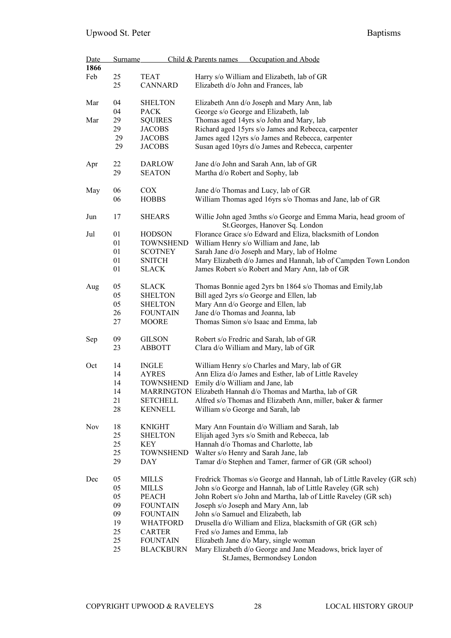| Date<br>1866 | Surname |                  | Occupation and Abode<br>Child & Parents names                                                      |
|--------------|---------|------------------|----------------------------------------------------------------------------------------------------|
| Feb          | 25      | <b>TEAT</b>      |                                                                                                    |
|              | 25      | <b>CANNARD</b>   | Harry s/o William and Elizabeth, lab of GR<br>Elizabeth d/o John and Frances, lab                  |
| Mar          | 04      | <b>SHELTON</b>   | Elizabeth Ann d/o Joseph and Mary Ann, lab                                                         |
|              | 04      | <b>PACK</b>      | George s/o George and Elizabeth, lab                                                               |
| Mar          | 29      | <b>SQUIRES</b>   | Thomas aged 14yrs s/o John and Mary, lab                                                           |
|              | 29      | <b>JACOBS</b>    | Richard aged 15yrs s/o James and Rebecca, carpenter                                                |
|              | 29      | <b>JACOBS</b>    | James aged 12yrs s/o James and Rebecca, carpenter                                                  |
|              | 29      | <b>JACOBS</b>    | Susan aged 10yrs d/o James and Rebecca, carpenter                                                  |
| Apr          | 22      | DARLOW           | Jane d/o John and Sarah Ann, lab of GR                                                             |
|              | 29      | <b>SEATON</b>    | Martha d/o Robert and Sophy, lab                                                                   |
| May          | 06      | <b>COX</b>       | Jane d/o Thomas and Lucy, lab of GR                                                                |
|              | 06      | <b>HOBBS</b>     | William Thomas aged 16yrs s/o Thomas and Jane, lab of GR                                           |
| Jun          | 17      | <b>SHEARS</b>    | Willie John aged 3mths s/o George and Emma Maria, head groom of<br>St. Georges, Hanover Sq. London |
| Jul          | 01      | <b>HODSON</b>    | Florance Grace s/o Edward and Eliza, blacksmith of London                                          |
|              | 01      | <b>TOWNSHEND</b> | William Henry s/o William and Jane, lab                                                            |
|              | 01      | <b>SCOTNEY</b>   | Sarah Jane d/o Joseph and Mary, lab of Holme                                                       |
|              | 01      | <b>SNITCH</b>    | Mary Elizabeth d/o James and Hannah, lab of Campden Town London                                    |
|              | 01      | SLACK            | James Robert s/o Robert and Mary Ann, lab of GR                                                    |
| Aug          | 05      | <b>SLACK</b>     | Thomas Bonnie aged 2yrs bn 1864 s/o Thomas and Emily, lab                                          |
|              | 05      | <b>SHELTON</b>   | Bill aged 2yrs s/o George and Ellen, lab                                                           |
|              | 05      | <b>SHELTON</b>   | Mary Ann d/o George and Ellen, lab                                                                 |
|              | 26      | <b>FOUNTAIN</b>  | Jane d/o Thomas and Joanna, lab                                                                    |
|              | 27      | <b>MOORE</b>     | Thomas Simon s/o Isaac and Emma, lab                                                               |
| Sep          | 09      | <b>GILSON</b>    | Robert s/o Fredric and Sarah, lab of GR                                                            |
|              | 23      | <b>ABBOTT</b>    | Clara d/o William and Mary, lab of GR                                                              |
| Oct          | 14      | <b>INGLE</b>     | William Henry s/o Charles and Mary, lab of GR                                                      |
|              | 14      | <b>AYRES</b>     | Ann Eliza d/o James and Esther, lab of Little Raveley                                              |
|              | 14      | <b>TOWNSHEND</b> | Emily d/o William and Jane, lab                                                                    |
|              | 14      |                  | MARRINGTON Elizabeth Hannah d/o Thomas and Martha, lab of GR                                       |
|              | 21      | <b>SETCHELL</b>  | Alfred s/o Thomas and Elizabeth Ann, miller, baker & farmer                                        |
|              | 28      | <b>KENNELL</b>   | William s/o George and Sarah, lab                                                                  |
| Nov          | 18      | <b>KNIGHT</b>    | Mary Ann Fountain d/o William and Sarah, lab                                                       |
|              | 25      | <b>SHELTON</b>   | Elijah aged 3yrs s/o Smith and Rebecca, lab                                                        |
|              | 25      | KEY              | Hannah d/o Thomas and Charlotte, lab                                                               |
|              | 25      | <b>TOWNSHEND</b> | Walter s/o Henry and Sarah Jane, lab                                                               |
|              | 29      | <b>DAY</b>       | Tamar d/o Stephen and Tamer, farmer of GR (GR school)                                              |
| Dec          | 05      | <b>MILLS</b>     | Fredrick Thomas s/o George and Hannah, lab of Little Raveley (GR sch)                              |
|              | 05      | <b>MILLS</b>     | John s/o George and Hannah, lab of Little Raveley (GR sch)                                         |
|              | 05      | <b>PEACH</b>     | John Robert s/o John and Martha, lab of Little Raveley (GR sch)                                    |
|              | 09      | <b>FOUNTAIN</b>  | Joseph s/o Joseph and Mary Ann, lab                                                                |
|              | 09      | <b>FOUNTAIN</b>  | John s/o Samuel and Elizabeth, lab                                                                 |
|              | 19      | <b>WHATFORD</b>  | Drusella d/o William and Eliza, blacksmith of GR (GR sch)                                          |
|              | 25      | <b>CARTER</b>    | Fred s/o James and Emma, lab                                                                       |
|              | 25      | <b>FOUNTAIN</b>  | Elizabeth Jane d/o Mary, single woman                                                              |
|              | 25      | <b>BLACKBURN</b> | Mary Elizabeth d/o George and Jane Meadows, brick layer of                                         |
|              |         |                  | St.James, Bermondsey London                                                                        |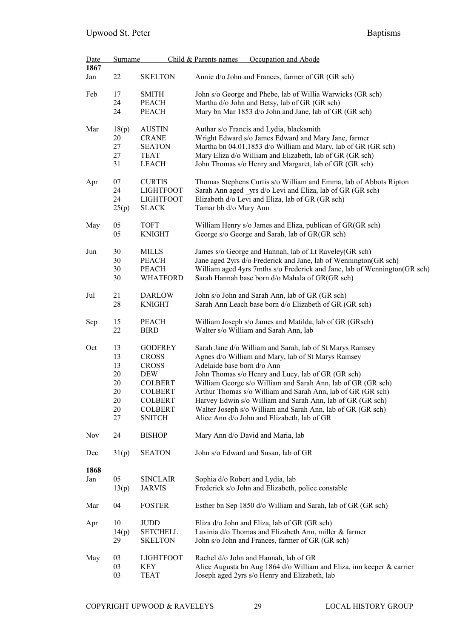| Date<br>1867 | <b>Surname</b> |                  | Child & Parents names            | Occupation and Abode                                                      |
|--------------|----------------|------------------|----------------------------------|---------------------------------------------------------------------------|
|              |                |                  |                                  |                                                                           |
| Jan          | 22             | <b>SKELTON</b>   |                                  | Annie d/o John and Frances, farmer of GR (GR sch)                         |
| Feb          | 17             | <b>SMITH</b>     |                                  | John s/o George and Phebe, lab of Willia Warwicks (GR sch)                |
|              | 24             | <b>PEACH</b>     |                                  | Martha d/o John and Betsy, lab of GR (GR sch)                             |
|              | 24             | <b>PEACH</b>     |                                  | Mary bn Mar 1853 d/o John and Jane, lab of GR (GR sch)                    |
|              |                |                  |                                  |                                                                           |
| Mar          | 18(p)          | <b>AUSTIN</b>    |                                  | Authar s/o Francis and Lydia, blacksmith                                  |
|              | 20             | <b>CRANE</b>     |                                  | Wright Edward s/o James Edward and Mary Jane, farmer                      |
|              | 27             | <b>SEATON</b>    |                                  | Martha bn 04.01.1853 d/o William and Mary, lab of GR (GR sch)             |
|              | 27             | <b>TEAT</b>      |                                  | Mary Eliza d/o William and Elizabeth, lab of GR (GR sch)                  |
|              | 31             | <b>LEACH</b>     |                                  | John Thomas s/o Henry and Margaret, lab of GR (GR sch)                    |
|              |                |                  |                                  |                                                                           |
| Apr          | 07             | <b>CURTIS</b>    |                                  | Thomas Stephens Curtis s/o William and Emma, lab of Abbots Ripton         |
|              | 24             | <b>LIGHTFOOT</b> |                                  | Sarah Ann aged _yrs d/o Levi and Eliza, lab of GR (GR sch)                |
|              | 24             | <b>LIGHTFOOT</b> |                                  | Elizabeth d/o Levi and Eliza, lab of GR (GR sch)                          |
|              | 25(p)          | <b>SLACK</b>     | Tamar bb d/o Mary Ann            |                                                                           |
|              |                |                  |                                  |                                                                           |
| May          | 05             | <b>TOFT</b>      |                                  | William Henry s/o James and Eliza, publican of GR(GR sch)                 |
|              | 05             | <b>KNIGHT</b>    |                                  | George s/o George and Sarah, lab of GR(GR sch)                            |
| Jun          | 30             | <b>MILLS</b>     |                                  | James s/o George and Hannah, lab of Lt Raveley(GR sch)                    |
|              | 30             | <b>PEACH</b>     |                                  | Jane aged 2yrs d/o Frederick and Jane, lab of Wennington(GR sch)          |
|              | 30             | <b>PEACH</b>     |                                  | William aged 4yrs 7mths s/o Frederick and Jane, lab of Wennington(GR sch) |
|              | 30             | <b>WHATFORD</b>  |                                  |                                                                           |
|              |                |                  |                                  | Sarah Hannah base born d/o Mahala of GR(GR sch)                           |
| Jul          | 21             | <b>DARLOW</b>    |                                  | John s/o John and Sarah Ann, lab of GR (GR sch)                           |
|              | 28             | <b>KNIGHT</b>    |                                  | Sarah Ann Leach base born d/o Elizabeth of GR (GR sch)                    |
|              |                |                  |                                  |                                                                           |
| Sep          | 15             | <b>PEACH</b>     |                                  | William Joseph s/o James and Matilda, lab of GR (GRsch)                   |
|              | 22             | <b>BIRD</b>      |                                  | Walter s/o William and Sarah Ann, lab                                     |
| Oct          | 13             | <b>GODFREY</b>   |                                  | Sarah Jane d/o William and Sarah, lab of St Marys Ramsey                  |
|              | 13             | <b>CROSS</b>     |                                  | Agnes d/o William and Mary, lab of St Marys Ramsey                        |
|              | 13             | <b>CROSS</b>     | Adelaide base born d/o Ann       |                                                                           |
|              |                |                  |                                  |                                                                           |
|              | 20             | <b>DEW</b>       |                                  | John Thomas s/o Henry and Lucy, lab of GR (GR sch)                        |
|              | 20             | <b>COLBERT</b>   |                                  | William George s/o William and Sarah Ann, lab of GR (GR sch)              |
|              | 20             | <b>COLBERT</b>   |                                  | Arthur Thomas s/o William and Sarah Ann, lab of GR (GR sch)               |
|              | 20             | <b>COLBERT</b>   |                                  | Harvey Edwin s/o William and Sarah Ann, lab of GR (GR sch)                |
|              | 20             | <b>COLBERT</b>   |                                  | Walter Joseph s/o William and Sarah Ann, lab of GR (GR sch)               |
|              | 27             | <b>SNITCH</b>    |                                  | Alice Ann d/o John and Elizabeth, lab of GR                               |
| <b>Nov</b>   | 24             | <b>BISHOP</b>    |                                  | Mary Ann d/o David and Maria, lab                                         |
| Dec          | 31(p)          | <b>SEATON</b>    |                                  | John s/o Edward and Susan, lab of GR                                      |
|              |                |                  |                                  |                                                                           |
| 1868         |                |                  |                                  |                                                                           |
| Jan          | 05             | <b>SINCLAIR</b>  | Sophia d/o Robert and Lydia, lab |                                                                           |
|              | 13(p)          | <b>JARVIS</b>    |                                  | Frederick s/o John and Elizabeth, police constable                        |
|              |                |                  |                                  |                                                                           |
| Mar          | 04             | <b>FOSTER</b>    |                                  | Esther bn Sep 1850 d/o William and Sarah, lab of GR (GR sch)              |
| Apr          | 10             | <b>JUDD</b>      |                                  | Eliza d/o John and Eliza, lab of GR (GR sch)                              |
|              |                | <b>SETCHELL</b>  |                                  | Lavinia d/o Thomas and Elizabeth Ann, miller & farmer                     |
|              | 14(p)          |                  |                                  |                                                                           |
|              | 29             | <b>SKELTON</b>   |                                  | John s/o John and Frances, farmer of GR (GR sch)                          |
| May          | 03             | <b>LIGHTFOOT</b> |                                  | Rachel d/o John and Hannah, lab of GR                                     |
|              | 03             | KEY              |                                  | Alice Augusta bn Aug 1864 d/o William and Eliza, inn keeper & carrier     |
|              | 03             | <b>TEAT</b>      |                                  | Joseph aged 2yrs s/o Henry and Elizabeth, lab                             |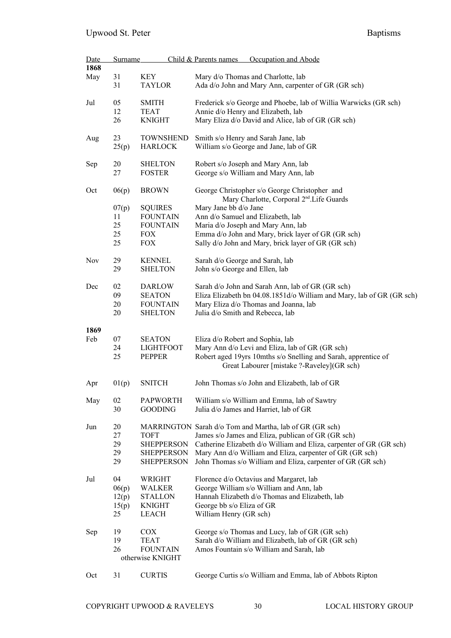| Date | <b>Surname</b> |                          | Occupation and Abode<br>Child & Parents names                                                             |
|------|----------------|--------------------------|-----------------------------------------------------------------------------------------------------------|
| 1868 |                |                          |                                                                                                           |
| May  | 31             | <b>KEY</b>               | Mary d/o Thomas and Charlotte, lab                                                                        |
|      | 31             | <b>TAYLOR</b>            | Ada d/o John and Mary Ann, carpenter of GR (GR sch)                                                       |
| Jul  | 05             | <b>SMITH</b>             | Frederick s/o George and Phoebe, lab of Willia Warwicks (GR sch)                                          |
|      | 12             | <b>TEAT</b>              | Annie d/o Henry and Elizabeth, lab                                                                        |
|      | 26             | <b>KNIGHT</b>            | Mary Eliza d/o David and Alice, lab of GR (GR sch)                                                        |
| Aug  | 23             | <b>TOWNSHEND</b>         | Smith s/o Henry and Sarah Jane, lab                                                                       |
|      | 25(p)          | <b>HARLOCK</b>           | William s/o George and Jane, lab of GR                                                                    |
| Sep  | 20             | <b>SHELTON</b>           | Robert s/o Joseph and Mary Ann, lab                                                                       |
|      | 27             | <b>FOSTER</b>            | George s/o William and Mary Ann, lab                                                                      |
| Oct  | 06(p)          | <b>BROWN</b>             | George Christopher s/o George Christopher and<br>Mary Charlotte, Corporal 2 <sup>nd</sup> . Life Guards   |
|      | 07(p)          | <b>SQUIRES</b>           | Mary Jane bb d/o Jane                                                                                     |
|      | 11             | <b>FOUNTAIN</b>          | Ann d/o Samuel and Elizabeth, lab                                                                         |
|      | 25             | <b>FOUNTAIN</b>          | Maria d/o Joseph and Mary Ann, lab                                                                        |
|      | 25<br>25       | <b>FOX</b><br><b>FOX</b> | Emma d/o John and Mary, brick layer of GR (GR sch)<br>Sally d/o John and Mary, brick layer of GR (GR sch) |
| Nov  | 29             | <b>KENNEL</b>            | Sarah d/o George and Sarah, lab                                                                           |
|      | 29             | <b>SHELTON</b>           | John s/o George and Ellen, lab                                                                            |
| Dec  | 02             | <b>DARLOW</b>            | Sarah d/o John and Sarah Ann, lab of GR (GR sch)                                                          |
|      | 09             | <b>SEATON</b>            | Eliza Elizabeth bn 04.08.1851d/o William and Mary, lab of GR (GR sch)                                     |
|      | 20             | <b>FOUNTAIN</b>          | Mary Eliza d/o Thomas and Joanna, lab                                                                     |
|      | 20             | <b>SHELTON</b>           | Julia d/o Smith and Rebecca, lab                                                                          |
| 1869 |                |                          |                                                                                                           |
| Feb  | 07             | <b>SEATON</b>            | Eliza d/o Robert and Sophia, lab                                                                          |
|      | 24             | <b>LIGHTFOOT</b>         | Mary Ann d/o Levi and Eliza, lab of GR (GR sch)                                                           |
|      | 25             | <b>PEPPER</b>            | Robert aged 19yrs 10mths s/o Snelling and Sarah, apprentice of                                            |
|      |                |                          | Great Labourer [mistake ?-Raveley](GR sch)                                                                |
| Apr  | 01(p)          | <b>SNITCH</b>            | John Thomas s/o John and Elizabeth, lab of GR                                                             |
| May  | 02             | <b>PAPWORTH</b>          | William s/o William and Emma, lab of Sawtry                                                               |
|      | 30             | <b>GOODING</b>           | Julia d/o James and Harriet, lab of GR                                                                    |
| Jun  | 20             |                          | MARRINGTON Sarah d/o Tom and Martha, lab of GR (GR sch)                                                   |
|      | 27             | <b>TOFT</b>              | James s/o James and Eliza, publican of GR (GR sch)                                                        |
|      | 29             | <b>SHEPPERSON</b>        | Catherine Elizabeth d/o William and Eliza, carpenter of GR (GR sch)                                       |
|      | 29             | <b>SHEPPERSON</b>        | Mary Ann d/o William and Eliza, carpenter of GR (GR sch)                                                  |
|      | 29             | <b>SHEPPERSON</b>        | John Thomas s/o William and Eliza, carpenter of GR (GR sch)                                               |
| Jul  | 04             | WRIGHT                   | Florence d/o Octavius and Margaret, lab                                                                   |
|      | 06(p)          | WALKER                   | George William s/o William and Ann, lab                                                                   |
|      | 12(p)          | <b>STALLON</b>           | Hannah Elizabeth d/o Thomas and Elizabeth, lab                                                            |
|      | 15(p)          | <b>KNIGHT</b>            | George bb s/o Eliza of GR                                                                                 |
|      | 25             | <b>LEACH</b>             | William Henry (GR sch)                                                                                    |
| Sep  | 19             | COX                      | George s/o Thomas and Lucy, lab of GR (GR sch)                                                            |
|      | 19             | <b>TEAT</b>              | Sarah d/o William and Elizabeth, lab of GR (GR sch)                                                       |
|      | 26             | <b>FOUNTAIN</b>          | Amos Fountain s/o William and Sarah, lab                                                                  |
|      |                | otherwise KNIGHT         |                                                                                                           |
| Oct  | 31             | <b>CURTIS</b>            | George Curtis s/o William and Emma, lab of Abbots Ripton                                                  |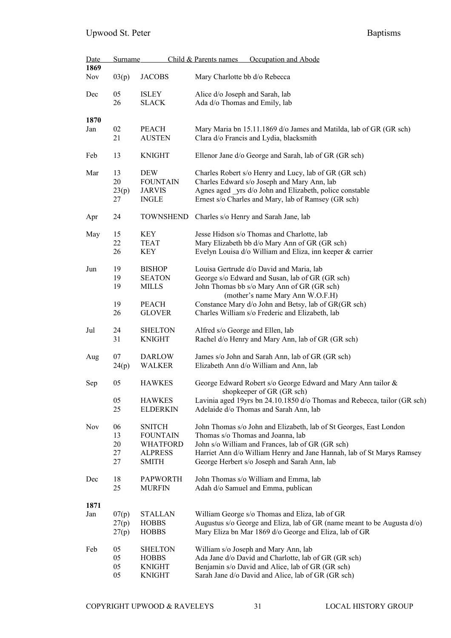| <b>Date</b> | <b>Surname</b> |                                   | Occupation and Abode<br>Child & Parents names                                                                         |
|-------------|----------------|-----------------------------------|-----------------------------------------------------------------------------------------------------------------------|
| 1869        |                |                                   |                                                                                                                       |
| Nov         | 03(p)          | <b>JACOBS</b>                     | Mary Charlotte bb d/o Rebecca                                                                                         |
| Dec         | 05             | <b>ISLEY</b>                      | Alice d/o Joseph and Sarah, lab                                                                                       |
|             | 26             | <b>SLACK</b>                      | Ada d/o Thomas and Emily, lab                                                                                         |
|             |                |                                   |                                                                                                                       |
| 1870        |                |                                   |                                                                                                                       |
| Jan         | 02             | <b>PEACH</b>                      | Mary Maria bn 15.11.1869 d/o James and Matilda, lab of GR (GR sch)                                                    |
|             | 21             | <b>AUSTEN</b>                     | Clara d/o Francis and Lydia, blacksmith                                                                               |
| Feb         | 13             | <b>KNIGHT</b>                     | Ellenor Jane d/o George and Sarah, lab of GR (GR sch)                                                                 |
|             |                |                                   |                                                                                                                       |
| Mar         | 13             | <b>DEW</b>                        | Charles Robert s/o Henry and Lucy, lab of GR (GR sch)                                                                 |
|             | 20             | <b>FOUNTAIN</b>                   | Charles Edward s/o Joseph and Mary Ann, lab                                                                           |
|             | 23(p)          | <b>JARVIS</b>                     | Agnes aged _yrs d/o John and Elizabeth, police constable                                                              |
|             | 27             | <b>INGLE</b>                      | Ernest s/o Charles and Mary, lab of Ramsey (GR sch)                                                                   |
| Apr         | 24             | <b>TOWNSHEND</b>                  | Charles s/o Henry and Sarah Jane, lab                                                                                 |
|             |                |                                   |                                                                                                                       |
| May         | 15             | KEY                               | Jesse Hidson s/o Thomas and Charlotte, lab                                                                            |
|             | 22             | <b>TEAT</b>                       | Mary Elizabeth bb d/o Mary Ann of GR (GR sch)                                                                         |
|             | 26             | <b>KEY</b>                        | Evelyn Louisa d/o William and Eliza, inn keeper & carrier                                                             |
| Jun         | 19             | <b>BISHOP</b>                     | Louisa Gertrude d/o David and Maria, lab                                                                              |
|             | 19             | <b>SEATON</b>                     | George s/o Edward and Susan, lab of GR (GR sch)                                                                       |
|             | 19             | <b>MILLS</b>                      | John Thomas bb s/o Mary Ann of GR (GR sch)                                                                            |
|             |                |                                   | (mother's name Mary Ann W.O.F.H)                                                                                      |
|             | 19             | <b>PEACH</b>                      | Constance Mary d/o John and Betsy, lab of GR(GR sch)                                                                  |
|             | 26             | <b>GLOVER</b>                     | Charles William s/o Frederic and Elizabeth, lab                                                                       |
|             |                |                                   |                                                                                                                       |
| Jul         | 24             | <b>SHELTON</b>                    | Alfred s/o George and Ellen, lab                                                                                      |
|             | 31             | <b>KNIGHT</b>                     | Rachel d/o Henry and Mary Ann, lab of GR (GR sch)                                                                     |
|             |                |                                   |                                                                                                                       |
| Aug         | 07             | <b>DARLOW</b><br><b>WALKER</b>    | James s/o John and Sarah Ann, lab of GR (GR sch)<br>Elizabeth Ann d/o William and Ann, lab                            |
|             | 24(p)          |                                   |                                                                                                                       |
| Sep         | 05             | <b>HAWKES</b>                     | George Edward Robert s/o George Edward and Mary Ann tailor &                                                          |
|             |                |                                   | shopkeeper of GR (GR sch)                                                                                             |
|             | 05             | <b>HAWKES</b>                     | Lavinia aged 19yrs bn 24.10.1850 d/o Thomas and Rebecca, tailor (GR sch)                                              |
|             | 25             | <b>ELDERKIN</b>                   | Adelaide d/o Thomas and Sarah Ann, lab                                                                                |
|             |                |                                   |                                                                                                                       |
| Nov         | 06             | <b>SNITCH</b>                     | John Thomas s/o John and Elizabeth, lab of St Georges, East London                                                    |
|             | 13             | <b>FOUNTAIN</b>                   | Thomas s/o Thomas and Joanna, lab                                                                                     |
|             | 20<br>27       | <b>WHATFORD</b><br><b>ALPRESS</b> | John s/o William and Frances, lab of GR (GR sch)                                                                      |
|             | 27             | <b>SMITH</b>                      | Harriet Ann d/o William Henry and Jane Hannah, lab of St Marys Ramsey<br>George Herbert s/o Joseph and Sarah Ann, lab |
|             |                |                                   |                                                                                                                       |
| Dec         | 18             | <b>PAPWORTH</b>                   | John Thomas s/o William and Emma, lab                                                                                 |
|             | 25             | <b>MURFIN</b>                     | Adah d/o Samuel and Emma, publican                                                                                    |
|             |                |                                   |                                                                                                                       |
| 1871        |                |                                   |                                                                                                                       |
| Jan         | 07(p)          | STALLAN                           | William George s/o Thomas and Eliza, lab of GR                                                                        |
|             | 27(p)          | <b>HOBBS</b>                      | Augustus s/o George and Eliza, lab of GR (name meant to be Augusta d/o)                                               |
|             | 27(p)          | <b>HOBBS</b>                      | Mary Eliza bn Mar 1869 d/o George and Eliza, lab of GR                                                                |
|             |                |                                   |                                                                                                                       |
| Feb         | 05<br>05       | <b>SHELTON</b><br><b>HOBBS</b>    | William s/o Joseph and Mary Ann, lab<br>Ada Jane d/o David and Charlotte, lab of GR (GR sch)                          |
|             | 05             | <b>KNIGHT</b>                     | Benjamin s/o David and Alice, lab of GR (GR sch)                                                                      |
|             | 05             | <b>KNIGHT</b>                     | Sarah Jane d/o David and Alice, lab of GR (GR sch)                                                                    |
|             |                |                                   |                                                                                                                       |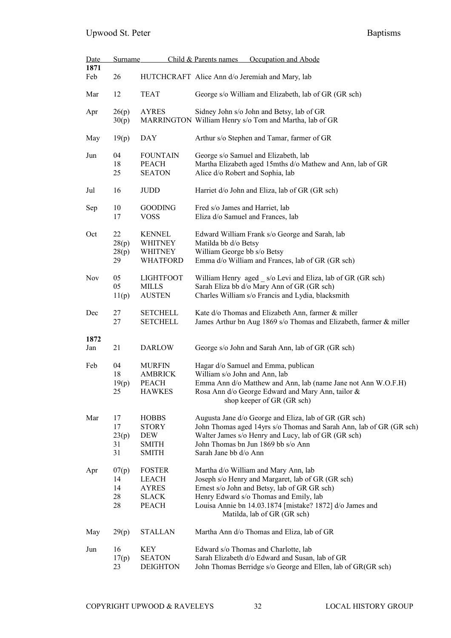| Date        | <b>Surname</b>                |                                                                     | Child & Parents names<br>Occupation and Abode                                                                                                                                                                                                                                  |  |  |  |
|-------------|-------------------------------|---------------------------------------------------------------------|--------------------------------------------------------------------------------------------------------------------------------------------------------------------------------------------------------------------------------------------------------------------------------|--|--|--|
| 1871<br>Feb | 26                            |                                                                     | HUTCHCRAFT Alice Ann d/o Jeremiah and Mary, lab                                                                                                                                                                                                                                |  |  |  |
| Mar         | 12                            | <b>TEAT</b>                                                         | George s/o William and Elizabeth, lab of GR (GR sch)                                                                                                                                                                                                                           |  |  |  |
| Apr         | 26(p)<br>30(p)                | <b>AYRES</b>                                                        | Sidney John s/o John and Betsy, lab of GR<br>MARRINGTON William Henry s/o Tom and Martha, lab of GR                                                                                                                                                                            |  |  |  |
| May         | 19(p)                         | DAY                                                                 | Arthur s/o Stephen and Tamar, farmer of GR                                                                                                                                                                                                                                     |  |  |  |
| Jun         | 04<br>18<br>25                | <b>FOUNTAIN</b><br><b>PEACH</b><br><b>SEATON</b>                    | George s/o Samuel and Elizabeth, lab<br>Martha Elizabeth aged 15mths d/o Mathew and Ann, lab of GR<br>Alice d/o Robert and Sophia, lab                                                                                                                                         |  |  |  |
| Jul         | 16                            | <b>JUDD</b>                                                         | Harriet d/o John and Eliza, lab of GR (GR sch)                                                                                                                                                                                                                                 |  |  |  |
| Sep         | 10<br>17                      | <b>GOODING</b><br><b>VOSS</b>                                       | Fred s/o James and Harriet, lab<br>Eliza d/o Samuel and Frances, lab                                                                                                                                                                                                           |  |  |  |
| Oct         | 22<br>28(p)<br>28(p)<br>29    | <b>KENNEL</b><br>WHITNEY<br><b>WHITNEY</b><br><b>WHATFORD</b>       | Edward William Frank s/o George and Sarah, lab<br>Matilda bb d/o Betsy<br>William George bb s/o Betsy<br>Emma d/o William and Frances, lab of GR (GR sch)                                                                                                                      |  |  |  |
| Nov         | 05<br>05<br>11(p)             | LIGHTFOOT<br>MILLS<br><b>AUSTEN</b>                                 | William Henry aged _ s/o Levi and Eliza, lab of GR (GR sch)<br>Sarah Eliza bb d/o Mary Ann of GR (GR sch)<br>Charles William s/o Francis and Lydia, blacksmith                                                                                                                 |  |  |  |
| Dec         | 27<br>27                      | <b>SETCHELL</b><br><b>SETCHELL</b>                                  | Kate d/o Thomas and Elizabeth Ann, farmer & miller<br>James Arthur bn Aug 1869 s/o Thomas and Elizabeth, farmer & miller                                                                                                                                                       |  |  |  |
| 1872        |                               |                                                                     |                                                                                                                                                                                                                                                                                |  |  |  |
| Jan         | 21                            | <b>DARLOW</b>                                                       | George s/o John and Sarah Ann, lab of GR (GR sch)                                                                                                                                                                                                                              |  |  |  |
| Feb         | 04<br>18<br>19(p)<br>25       | <b>MURFIN</b><br><b>AMBRICK</b><br><b>PEACH</b><br><b>HAWKES</b>    | Hagar d/o Samuel and Emma, publican<br>William s/o John and Ann, lab<br>Emma Ann d/o Matthew and Ann, lab (name Jane not Ann W.O.F.H)<br>Rosa Ann d/o George Edward and Mary Ann, tailor &<br>shop keeper of GR (GR sch)                                                       |  |  |  |
| Mar         | 17<br>17<br>23(p)<br>31<br>31 | <b>HOBBS</b><br><b>STORY</b><br>DEW<br><b>SMITH</b><br><b>SMITH</b> | Augusta Jane d/o George and Eliza, lab of GR (GR sch)<br>John Thomas aged 14yrs s/o Thomas and Sarah Ann, lab of GR (GR sch)<br>Walter James s/o Henry and Lucy, lab of GR (GR sch)<br>John Thomas bn Jun 1869 bb s/o Ann<br>Sarah Jane bb d/o Ann                             |  |  |  |
| Apr         | 07(p)<br>14<br>14<br>28<br>28 | <b>FOSTER</b><br>LEACH<br><b>AYRES</b><br>SLACK<br>PEACH            | Martha d/o William and Mary Ann, lab<br>Joseph s/o Henry and Margaret, lab of GR (GR sch)<br>Ernest s/o John and Betsy, lab of GR GR sch)<br>Henry Edward s/o Thomas and Emily, lab<br>Louisa Annie bn 14.03.1874 [mistake? 1872] d/o James and<br>Matilda, lab of GR (GR sch) |  |  |  |
| May         | 29(p)                         | <b>STALLAN</b>                                                      | Martha Ann d/o Thomas and Eliza, lab of GR                                                                                                                                                                                                                                     |  |  |  |
| Jun         | 16<br>17(p)<br>23             | KEY<br><b>SEATON</b><br><b>DEIGHTON</b>                             | Edward s/o Thomas and Charlotte, lab<br>Sarah Elizabeth d/o Edward and Susan, lab of GR<br>John Thomas Berridge s/o George and Ellen, lab of GR(GR sch)                                                                                                                        |  |  |  |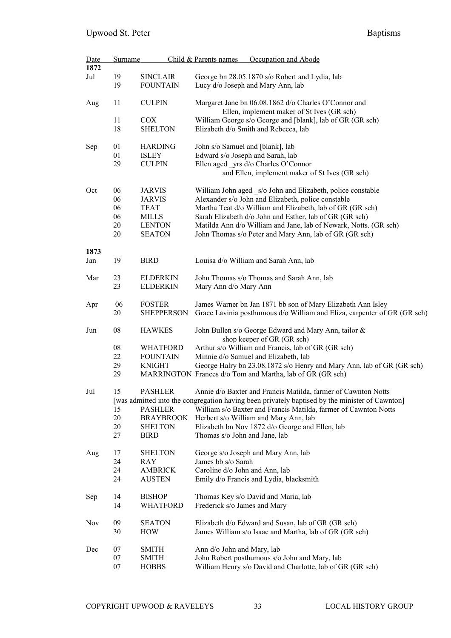| Date<br>1872 | <b>Surname</b> |                                    | Child & Parents names            | Occupation and Abode                                                                           |
|--------------|----------------|------------------------------------|----------------------------------|------------------------------------------------------------------------------------------------|
|              |                |                                    |                                  |                                                                                                |
| Jul          | 19<br>19       | <b>SINCLAIR</b><br><b>FOUNTAIN</b> |                                  | George bn 28.05.1870 s/o Robert and Lydia, lab<br>Lucy d/o Joseph and Mary Ann, lab            |
|              |                |                                    |                                  |                                                                                                |
| Aug          | 11             | <b>CULPIN</b>                      |                                  | Margaret Jane bn 06.08.1862 d/o Charles O'Connor and                                           |
|              |                |                                    |                                  | Ellen, implement maker of St Ives (GR sch)                                                     |
|              | 11             | <b>COX</b>                         |                                  | William George s/o George and [blank], lab of GR (GR sch)                                      |
|              | 18             | <b>SHELTON</b>                     |                                  | Elizabeth d/o Smith and Rebecca, lab                                                           |
|              |                |                                    |                                  |                                                                                                |
| Sep          | 01             | <b>HARDING</b>                     | John s/o Samuel and [blank], lab |                                                                                                |
|              | 01             | <b>ISLEY</b>                       | Edward s/o Joseph and Sarah, lab |                                                                                                |
|              | 29             | <b>CULPIN</b>                      |                                  | Ellen aged yrs d/o Charles O'Connor                                                            |
|              |                |                                    |                                  | and Ellen, implement maker of St Ives (GR sch)                                                 |
| Oct          | 06             | <b>JARVIS</b>                      |                                  | William John aged s/o John and Elizabeth, police constable                                     |
|              | 06             | <b>JARVIS</b>                      |                                  | Alexander s/o John and Elizabeth, police constable                                             |
|              | 06             | <b>TEAT</b>                        |                                  | Martha Teat d/o William and Elizabeth, lab of GR (GR sch)                                      |
|              | 06             | <b>MILLS</b>                       |                                  | Sarah Elizabeth d/o John and Esther, lab of GR (GR sch)                                        |
|              | 20             | <b>LENTON</b>                      |                                  | Matilda Ann d/o William and Jane, lab of Newark, Notts. (GR sch)                               |
|              |                |                                    |                                  |                                                                                                |
|              | 20             | <b>SEATON</b>                      |                                  | John Thomas s/o Peter and Mary Ann, lab of GR (GR sch)                                         |
| 1873         |                |                                    |                                  |                                                                                                |
| Jan          | 19             | <b>BIRD</b>                        |                                  | Louisa d/o William and Sarah Ann, lab                                                          |
|              |                |                                    |                                  |                                                                                                |
| Mar          | 23             | <b>ELDERKIN</b>                    |                                  | John Thomas s/o Thomas and Sarah Ann, lab                                                      |
|              | 23             | <b>ELDERKIN</b>                    | Mary Ann d/o Mary Ann            |                                                                                                |
| Apr          | 06             | <b>FOSTER</b>                      |                                  | James Warner bn Jan 1871 bb son of Mary Elizabeth Ann Isley                                    |
|              | 20             | <b>SHEPPERSON</b>                  |                                  | Grace Lavinia posthumous d/o William and Eliza, carpenter of GR (GR sch)                       |
|              |                |                                    |                                  |                                                                                                |
| Jun          | 08             | <b>HAWKES</b>                      |                                  | John Bullen s/o George Edward and Mary Ann, tailor &                                           |
|              |                |                                    |                                  | shop keeper of GR (GR sch)                                                                     |
|              | 08             | <b>WHATFORD</b>                    |                                  | Arthur s/o William and Francis, lab of GR (GR sch)                                             |
|              | 22             | <b>FOUNTAIN</b>                    |                                  | Minnie d/o Samuel and Elizabeth, lab                                                           |
|              | 29             | <b>KNIGHT</b>                      |                                  | George Halry bn 23.08.1872 s/o Henry and Mary Ann, lab of GR (GR sch)                          |
|              | 29             |                                    |                                  | MARRINGTON Frances d/o Tom and Martha, lab of GR (GR sch)                                      |
| Jul          | 15             | <b>PASHLER</b>                     |                                  | Annie d/o Baxter and Francis Matilda, farmer of Cawnton Notts                                  |
|              |                |                                    |                                  | [was admitted into the congregation having been privately baptised by the minister of Cawnton] |
|              | 15             | <b>PASHLER</b>                     |                                  | William s/o Baxter and Francis Matilda, farmer of Cawnton Notts                                |
|              | 20             |                                    |                                  |                                                                                                |
|              |                | <b>BRAYBROOK</b>                   |                                  | Herbert s/o William and Mary Ann, lab                                                          |
|              | 20             | <b>SHELTON</b>                     |                                  | Elizabeth bn Nov 1872 d/o George and Ellen, lab                                                |
|              | 27             | <b>BIRD</b>                        | Thomas s/o John and Jane, lab    |                                                                                                |
| Aug          | 17             | <b>SHELTON</b>                     |                                  | George s/o Joseph and Mary Ann, lab                                                            |
|              | 24             | RAY                                | James bb s/o Sarah               |                                                                                                |
|              | 24             | <b>AMBRICK</b>                     | Caroline d/o John and Ann, lab   |                                                                                                |
|              | 24             | <b>AUSTEN</b>                      |                                  | Emily d/o Francis and Lydia, blacksmith                                                        |
|              |                |                                    |                                  |                                                                                                |
| Sep          | 14             | <b>BISHOP</b>                      |                                  | Thomas Key s/o David and Maria, lab                                                            |
|              | 14             | <b>WHATFORD</b>                    | Frederick s/o James and Mary     |                                                                                                |
| Nov          | 09             | <b>SEATON</b>                      |                                  | Elizabeth d/o Edward and Susan, lab of GR (GR sch)                                             |
|              | 30             | <b>HOW</b>                         |                                  | James William s/o Isaac and Martha, lab of GR (GR sch)                                         |
|              |                |                                    |                                  |                                                                                                |
| Dec          | 07             | <b>SMITH</b>                       | Ann d/o John and Mary, lab       |                                                                                                |
|              | 07             | <b>SMITH</b>                       |                                  | John Robert posthumous s/o John and Mary, lab                                                  |
|              | 07             | <b>HOBBS</b>                       |                                  | William Henry s/o David and Charlotte, lab of GR (GR sch)                                      |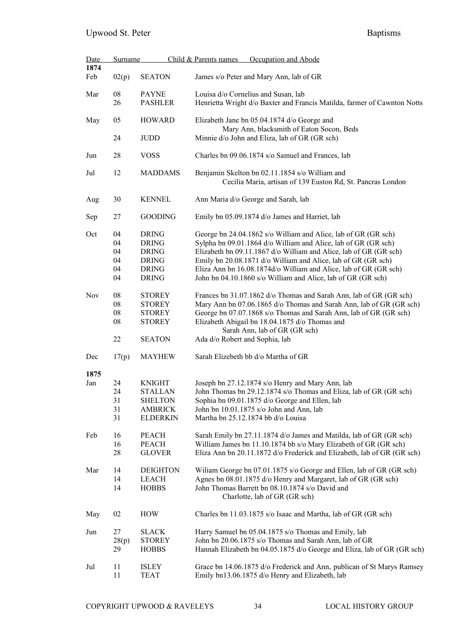| <b>Date</b> | <b>Surname</b>                     |                                                                                              | Occupation and Abode<br>Child & Parents names                                                                                                                                                                                                                                                                                                                                                              |  |  |
|-------------|------------------------------------|----------------------------------------------------------------------------------------------|------------------------------------------------------------------------------------------------------------------------------------------------------------------------------------------------------------------------------------------------------------------------------------------------------------------------------------------------------------------------------------------------------------|--|--|
| 1874<br>Feb | 02(p)                              | <b>SEATON</b>                                                                                | James s/o Peter and Mary Ann, lab of GR                                                                                                                                                                                                                                                                                                                                                                    |  |  |
| Mar         | ${\bf 08}$<br>26                   | <b>PAYNE</b><br><b>PASHLER</b>                                                               | Louisa d/o Cornelius and Susan, lab<br>Henrietta Wright d/o Baxter and Francis Matilda, farmer of Cawnton Notts                                                                                                                                                                                                                                                                                            |  |  |
| May         | 05                                 | <b>HOWARD</b>                                                                                | Elizabeth Jane bn 05.04.1874 d/o George and<br>Mary Ann, blacksmith of Eaton Socon, Beds                                                                                                                                                                                                                                                                                                                   |  |  |
|             | 24                                 | <b>JUDD</b>                                                                                  | Minnie d/o John and Eliza, lab of GR (GR sch)                                                                                                                                                                                                                                                                                                                                                              |  |  |
| Jun         | 28                                 | <b>VOSS</b>                                                                                  | Charles bn 09.06.1874 s/o Samuel and Frances, lab                                                                                                                                                                                                                                                                                                                                                          |  |  |
| Jul         | 12                                 | <b>MADDAMS</b>                                                                               | Benjamin Skelton bn 02.11.1854 s/o William and<br>Cecilia Maria, artisan of 139 Euston Rd, St. Pancras London                                                                                                                                                                                                                                                                                              |  |  |
| Aug         | 30                                 | <b>KENNEL</b>                                                                                | Ann Maria d/o George and Sarah, lab                                                                                                                                                                                                                                                                                                                                                                        |  |  |
| Sep         | 27                                 | <b>GOODING</b>                                                                               | Emily bn 05.09.1874 d/o James and Harriet, lab                                                                                                                                                                                                                                                                                                                                                             |  |  |
| Oct         | 04<br>04<br>04<br>04<br>04<br>04   | <b>DRING</b><br><b>DRING</b><br><b>DRING</b><br><b>DRING</b><br><b>DRING</b><br><b>DRING</b> | George bn 24.04.1862 s/o William and Alice, lab of GR (GR sch)<br>Sylpha bn 09.01.1864 d/o William and Alice, lab of GR (GR sch)<br>Elizabeth bn 09.11.1867 d/o William and Alice, lab of GR (GR sch)<br>Emily bn 20.08.1871 d/o William and Alice, lab of GR (GR sch)<br>Eliza Ann bn 16.08.1874d/o William and Alice, lab of GR (GR sch)<br>John bn 04.10.1860 s/o William and Alice, lab of GR (GR sch) |  |  |
| <b>Nov</b>  | 08<br>${\bf 08}$<br>08<br>08<br>22 | <b>STOREY</b><br><b>STOREY</b><br><b>STOREY</b><br><b>STOREY</b><br><b>SEATON</b>            | Frances bn 31.07.1862 d/o Thomas and Sarah Ann, lab of GR (GR sch)<br>Mary Ann bn 07.06.1865 d/o Thomas and Sarah Ann, lab of GR (GR sch)<br>George bn 07.07.1868 s/o Thomas and Sarah Ann, lab of GR (GR sch)<br>Elizabeth Abigail bn 18.04.1875 d/o Thomas and<br>Sarah Ann, lab of GR (GR sch)<br>Ada d/o Robert and Sophia, lab                                                                        |  |  |
| Dec         | 17(p)                              | <b>MAYHEW</b>                                                                                | Sarah Elizebeth bb d/o Martha of GR                                                                                                                                                                                                                                                                                                                                                                        |  |  |
| 1875<br>Jan | 24<br>24<br>31<br>31<br>31         | <b>KNIGHT</b><br><b>STALLAN</b><br><b>SHELTON</b><br><b>AMBRICK</b><br><b>ELDERKIN</b>       | Joseph bn 27.12.1874 s/o Henry and Mary Ann, lab<br>John Thomas bn 29.12.1874 s/o Thomas and Eliza, lab of GR (GR sch)<br>Sophia bn 09.01.1875 d/o George and Ellen, lab<br>John bn 10.01.1875 s/o John and Ann, lab<br>Martha bn 25.12.1874 bb d/o Louisa                                                                                                                                                 |  |  |
| Feb         | 16<br>16<br>28                     | <b>PEACH</b><br><b>PEACH</b><br><b>GLOVER</b>                                                | Sarah Emily bn 27.11.1874 d/o James and Matilda, lab of GR (GR sch)<br>William James bn 11.10.1874 bb s/o Mary Elizabeth of GR (GR sch)<br>Eliza Ann bn 20.11.1872 d/o Frederick and Elizabeth, lab of GR (GR sch)                                                                                                                                                                                         |  |  |
| Mar         | 14<br>14<br>14                     | <b>DEIGHTON</b><br><b>LEACH</b><br><b>HOBBS</b>                                              | Wiliam George bn 07.01.1875 s/o George and Ellen, lab of GR (GR sch)<br>Agnes bn 08.01.1875 d/o Henry and Margaret, lab of GR (GR sch)<br>John Thomas Barrett bn 08.10.1874 s/o David and<br>Charlotte, lab of GR (GR sch)                                                                                                                                                                                 |  |  |
| May         | 02                                 | <b>HOW</b>                                                                                   | Charles bn 11.03.1875 s/o Isaac and Martha, lab of GR (GR sch)                                                                                                                                                                                                                                                                                                                                             |  |  |
| Jun         | 27<br>28(p)<br>29                  | <b>SLACK</b><br><b>STOREY</b><br><b>HOBBS</b>                                                | Harry Samuel bn 05.04.1875 s/o Thomas and Emily, lab<br>John bn 20.06.1875 s/o Thomas and Sarah Ann, lab of GR<br>Hannah Elizabeth bn 04.05.1875 d/o George and Eliza, lab of GR (GR sch)                                                                                                                                                                                                                  |  |  |
| Jul         | 11<br>11                           | <b>ISLEY</b><br><b>TEAT</b>                                                                  | Grace bn 14.06.1875 d/o Frederick and Ann, publican of St Marys Ramsey<br>Emily bn13.06.1875 d/o Henry and Elizabeth, lab                                                                                                                                                                                                                                                                                  |  |  |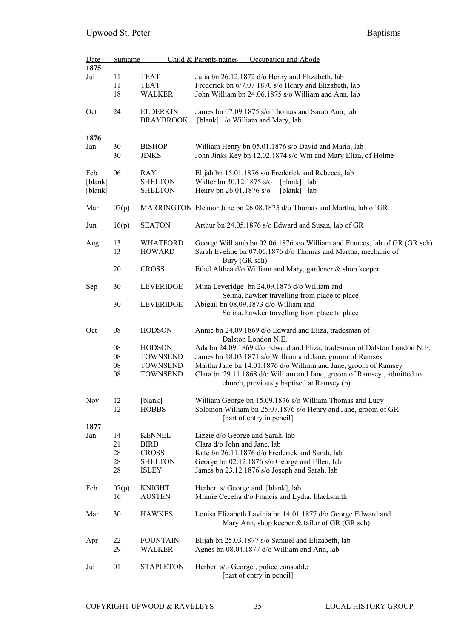| <b>Date</b><br>1875 | <b>Surname</b> |                  | Child & Parents names<br>Occupation and Abode                             |
|---------------------|----------------|------------------|---------------------------------------------------------------------------|
| Jul                 | 11             | <b>TEAT</b>      | Julia bn 26.12.1872 d/o Henry and Elizabeth, lab                          |
|                     | 11             | <b>TEAT</b>      | Frederick bn 6/7.07 1870 s/o Henry and Elizabeth, lab                     |
|                     | 18             | <b>WALKER</b>    | John William bn 24.06.1875 s/o William and Ann, lab                       |
|                     |                |                  |                                                                           |
| Oct                 | 24             | <b>ELDERKIN</b>  | James bn 07.09 1875 s/o Thomas and Sarah Ann, lab                         |
|                     |                | <b>BRAYBROOK</b> | [blank] /o William and Mary, lab                                          |
|                     |                |                  |                                                                           |
| 1876                |                |                  |                                                                           |
| Jan                 | 30             | <b>BISHOP</b>    | William Henry bn 05.01.1876 s/o David and Maria, lab                      |
|                     | 30             | <b>JINKS</b>     | John Jinks Key bn 12.02.1874 s/o Wm and Mary Eliza, of Holme              |
|                     |                |                  |                                                                           |
| Feb                 | 06             | RAY              | Elijah bn 15.01.1876 s/o Frederick and Rebecca, lab                       |
| [blank]             |                | <b>SHELTON</b>   | Walter bn 30.12.1875 s/o<br>[blank] lab                                   |
| [blank]             |                | <b>SHELTON</b>   | Henry bn 26.01.1876 s/o<br>[blank] lab                                    |
|                     |                |                  |                                                                           |
| Mar                 | 07(p)          |                  | MARRINGTON Eleanor Jane bn 26.08.1875 d/o Thomas and Martha, lab of GR    |
|                     |                |                  |                                                                           |
| Jun                 | 16(p)          | <b>SEATON</b>    | Arthur bn 24.05.1876 s/o Edward and Susan, lab of GR                      |
|                     |                |                  |                                                                           |
| Aug                 | 13             | <b>WHATFORD</b>  | George Williamb bn 02.06.1876 s/o William and Frances, lab of GR (GR sch) |
|                     | 13             | <b>HOWARD</b>    | Sarah Eveline bn 07.06.1876 d/o Thomas and Martha, mechanic of            |
|                     |                |                  | Bury (GR sch)                                                             |
|                     | 20             | <b>CROSS</b>     | Ethel Althea d/o William and Mary, gardener & shop keeper                 |
|                     |                |                  |                                                                           |
| Sep                 | 30             | <b>LEVERIDGE</b> | Mina Leveridge bn 24.09.1876 d/o William and                              |
|                     |                |                  | Selina, hawker travelling from place to place                             |
|                     | 30             | LEVERIDGE        | Abigail bn 08.09.1873 d/o William and                                     |
|                     |                |                  | Selina, hawker travelling from place to place                             |
|                     |                |                  |                                                                           |
| Oct                 | ${\bf 08}$     | <b>HODSON</b>    | Annie bn 24.09.1869 d/o Edward and Eliza, tradesman of                    |
|                     |                |                  | Dalston London N.E.                                                       |
|                     | ${\bf 08}$     | <b>HODSON</b>    | Ada bn 24.09.1869 d/o Edward and Eliza, tradesman of Dalston London N.E.  |
|                     | 08             | <b>TOWNSEND</b>  | James bn 18.03.1871 s/o William and Jane, groom of Ramsey                 |
|                     | ${\bf 08}$     | <b>TOWNSEND</b>  | Martha Jane bn 14.01.1876 d/o William and Jane, groom of Ramsey           |
|                     | ${\bf 08}$     | <b>TOWNSEND</b>  | Clara bn 29.11.1868 d/o William and Jane, groom of Ramsey, admitted to    |
|                     |                |                  | church, previously baptised at Ramsey (p)                                 |
|                     |                |                  |                                                                           |
| Nov                 | 12             | [blank]          | William George bn 15.09.1876 s/o William Thomas and Lucy                  |
|                     | 12             | <b>HOBBS</b>     | Solomon William bn 25.07.1876 s/o Henry and Jane, groom of GR             |
|                     |                |                  | [part of entry in pencil]                                                 |
| 1877                |                |                  |                                                                           |
| Jan                 | 14             | <b>KENNEL</b>    | Lizzie d/o George and Sarah, lab                                          |
|                     | 21             | <b>BIRD</b>      | Clara d/o John and Jane, lab                                              |
|                     | 28             | <b>CROSS</b>     | Kate bn 26.11.1876 d/o Frederick and Sarah, lab                           |
|                     | 28             | <b>SHELTON</b>   | George bn 02.12.1876 s/o George and Ellen, lab                            |
|                     | 28             | <b>ISLEY</b>     | James bn 23.12.1876 s/o Joseph and Sarah, lab                             |
|                     |                |                  |                                                                           |
| Feb                 | 07(p)          | <b>KNIGHT</b>    | Herbert s/ George and [blank], lab                                        |
|                     | 16             | <b>AUSTEN</b>    | Minnie Cecelia d/o Francis and Lydia, blacksmith                          |
|                     |                |                  |                                                                           |
| Mar                 | 30             | <b>HAWKES</b>    | Louisa Elizabeth Lavinia bn 14.01.1877 d/o George Edward and              |
|                     |                |                  | Mary Ann, shop keeper & tailor of GR (GR sch)                             |
|                     |                |                  |                                                                           |
| Apr                 | 22             | <b>FOUNTAIN</b>  | Elijah bn 25.03.1877 s/o Samuel and Elizabeth, lab                        |
|                     | 29             | <b>WALKER</b>    | Agnes bn 08.04.1877 d/o William and Ann, lab                              |
|                     |                |                  |                                                                           |
| Jul                 | 01             | <b>STAPLETON</b> | Herbert s/o George, police constable                                      |
|                     |                |                  | [part of entry in pencil]                                                 |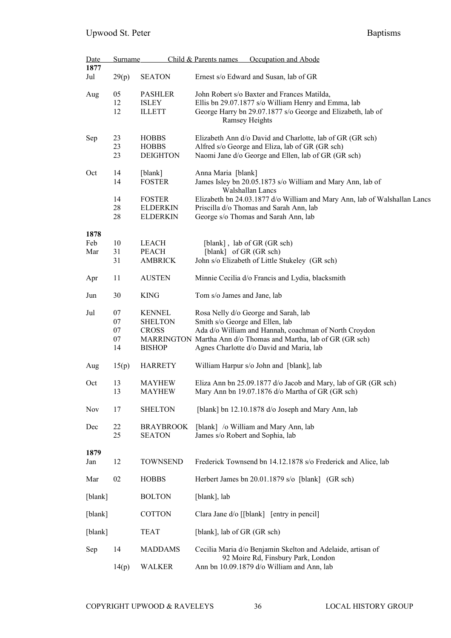| <b>Date</b><br>1877 | Surname                    |                                                                  | Child & Parents names                                                                                                                                                                      | Occupation and Abode                                                                                                                                                                                         |  |
|---------------------|----------------------------|------------------------------------------------------------------|--------------------------------------------------------------------------------------------------------------------------------------------------------------------------------------------|--------------------------------------------------------------------------------------------------------------------------------------------------------------------------------------------------------------|--|
| Jul                 | 29(p)                      | <b>SEATON</b>                                                    |                                                                                                                                                                                            | Ernest s/o Edward and Susan, lab of GR                                                                                                                                                                       |  |
| Aug                 | 05<br>12<br>12             | <b>PASHLER</b><br><b>ISLEY</b><br><b>ILLETT</b>                  | John Robert s/o Baxter and Frances Matilda,<br>Ellis bn 29.07.1877 s/o William Henry and Emma, lab<br>George Harry bn 29.07.1877 s/o George and Elizabeth, lab of<br><b>Ramsey Heights</b> |                                                                                                                                                                                                              |  |
| Sep                 | 23<br>23<br>23             | <b>HOBBS</b><br><b>HOBBS</b><br><b>DEIGHTON</b>                  | Elizabeth Ann d/o David and Charlotte, lab of GR (GR sch)<br>Alfred s/o George and Eliza, lab of GR (GR sch)<br>Naomi Jane d/o George and Ellen, lab of GR (GR sch)                        |                                                                                                                                                                                                              |  |
| Oct                 | 14<br>14<br>14             | [blank]<br><b>FOSTER</b><br><b>FOSTER</b>                        | Anna Maria [blank]                                                                                                                                                                         | James Isley bn 20.05.1873 s/o William and Mary Ann, lab of<br>Walshallan Lancs<br>Elizabeth bn 24.03.1877 d/o William and Mary Ann, lab of Walshallan Lancs                                                  |  |
|                     | 28<br>28                   | <b>ELDERKIN</b><br><b>ELDERKIN</b>                               |                                                                                                                                                                                            | Priscilla d/o Thomas and Sarah Ann, lab<br>George s/o Thomas and Sarah Ann, lab                                                                                                                              |  |
| 1878<br>Feb<br>Mar  | 10<br>31<br>31             | <b>LEACH</b><br><b>PEACH</b><br><b>AMBRICK</b>                   | [blank], lab of GR (GR sch)<br>[blank] of GR (GR sch)                                                                                                                                      | John s/o Elizabeth of Little Stukeley (GR sch)                                                                                                                                                               |  |
| Apr                 | 11                         | <b>AUSTEN</b>                                                    | Minnie Cecilia d/o Francis and Lydia, blacksmith                                                                                                                                           |                                                                                                                                                                                                              |  |
| Jun                 | 30                         | <b>KING</b>                                                      | Tom s/o James and Jane, lab                                                                                                                                                                |                                                                                                                                                                                                              |  |
| Jul                 | 07<br>07<br>07<br>07<br>14 | <b>KENNEL</b><br><b>SHELTON</b><br><b>CROSS</b><br><b>BISHOP</b> | Smith s/o George and Ellen, lab                                                                                                                                                            | Rosa Nelly d/o George and Sarah, lab<br>Ada d/o William and Hannah, coachman of North Croydon<br>MARRINGTON Martha Ann d/o Thomas and Martha, lab of GR (GR sch)<br>Agnes Charlotte d/o David and Maria, lab |  |
| Aug                 | 15(p)                      | <b>HARRETY</b>                                                   |                                                                                                                                                                                            | William Harpur s/o John and [blank], lab                                                                                                                                                                     |  |
| Oct                 | 13<br>13                   | <b>MAYHEW</b><br><b>MAYHEW</b>                                   | Eliza Ann bn 25.09.1877 d/o Jacob and Mary, lab of GR (GR sch)<br>Mary Ann bn 19.07.1876 d/o Martha of GR (GR sch)                                                                         |                                                                                                                                                                                                              |  |
| Nov                 | 17                         | <b>SHELTON</b>                                                   |                                                                                                                                                                                            | [blank] bn 12.10.1878 d/o Joseph and Mary Ann, lab                                                                                                                                                           |  |
| Dec                 | 22<br>25                   | <b>BRAYBROOK</b><br><b>SEATON</b>                                | James s/o Robert and Sophia, lab                                                                                                                                                           | [blank] /o William and Mary Ann, lab                                                                                                                                                                         |  |
| 1879<br>Jan         | 12                         | <b>TOWNSEND</b>                                                  |                                                                                                                                                                                            | Frederick Townsend bn 14.12.1878 s/o Frederick and Alice, lab                                                                                                                                                |  |
| Mar                 | 02                         | <b>HOBBS</b>                                                     |                                                                                                                                                                                            | Herbert James bn 20.01.1879 s/o [blank] (GR sch)                                                                                                                                                             |  |
| [blank]             |                            | <b>BOLTON</b>                                                    | [blank], lab                                                                                                                                                                               |                                                                                                                                                                                                              |  |
| [blank]             |                            | <b>COTTON</b>                                                    |                                                                                                                                                                                            | Clara Jane d/o [[blank] [entry in pencil]                                                                                                                                                                    |  |
| [blank]             |                            | <b>TEAT</b>                                                      | [blank], lab of GR (GR sch)                                                                                                                                                                |                                                                                                                                                                                                              |  |
| Sep                 | 14                         | <b>MADDAMS</b>                                                   |                                                                                                                                                                                            | Cecilia Maria d/o Benjamin Skelton and Adelaide, artisan of                                                                                                                                                  |  |
|                     | 14(p)                      | <b>WALKER</b>                                                    |                                                                                                                                                                                            | 92 Moire Rd, Finsbury Park, London<br>Ann bn 10.09.1879 d/o William and Ann, lab                                                                                                                             |  |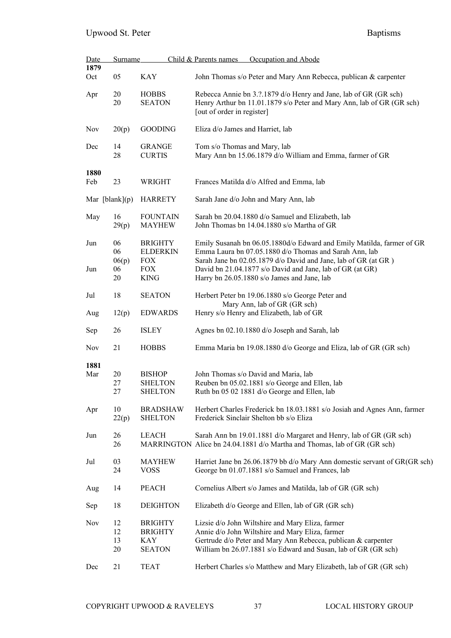| <b>Date</b>      | <b>Surname</b>       |                                                                 | Child & Parents names<br>Occupation and Abode                                                                                                                                                                                          |  |  |
|------------------|----------------------|-----------------------------------------------------------------|----------------------------------------------------------------------------------------------------------------------------------------------------------------------------------------------------------------------------------------|--|--|
| 1879<br>Oct      | 05                   | <b>KAY</b>                                                      | John Thomas s/o Peter and Mary Ann Rebecca, publican & carpenter                                                                                                                                                                       |  |  |
| Apr              | 20<br>20             | <b>HOBBS</b><br><b>SEATON</b>                                   | Rebecca Annie bn 3.?.1879 d/o Henry and Jane, lab of GR (GR sch)<br>Henry Arthur bn 11.01.1879 s/o Peter and Mary Ann, lab of GR (GR sch)<br>[out of order in register]                                                                |  |  |
| <b>Nov</b>       | 20(p)                | <b>GOODING</b>                                                  | Eliza d/o James and Harriet, lab                                                                                                                                                                                                       |  |  |
| Dec              | 14<br>28             | <b>GRANGE</b><br><b>CURTIS</b>                                  | Tom s/o Thomas and Mary, lab<br>Mary Ann bn 15.06.1879 d/o William and Emma, farmer of GR                                                                                                                                              |  |  |
| 1880<br>Feb      | 23                   | <b>WRIGHT</b>                                                   | Frances Matilda d/o Alfred and Emma, lab                                                                                                                                                                                               |  |  |
| Mar $[blank](p)$ |                      | <b>HARRETY</b>                                                  | Sarah Jane d/o John and Mary Ann, lab                                                                                                                                                                                                  |  |  |
| May              | 16<br>29(p)          | <b>FOUNTAIN</b><br><b>MAYHEW</b>                                | Sarah bn 20.04.1880 d/o Samuel and Elizabeth, lab<br>John Thomas bn 14.04.1880 s/o Martha of GR                                                                                                                                        |  |  |
| Jun              | 06<br>06<br>06(p)    | <b>BRIGHTY</b><br><b>ELDERKIN</b><br>${\rm FOX}$                | Emily Susanah bn 06.05.1880d/o Edward and Emily Matilda, farmer of GR<br>Emma Laura bn 07.05.1880 d/o Thomas and Sarah Ann, lab<br>Sarah Jane bn 02.05.1879 d/o David and Jane, lab of GR (at GR)                                      |  |  |
| Jun              | 06<br>20             | <b>FOX</b><br><b>KING</b>                                       | David bn 21.04.1877 s/o David and Jane, lab of GR (at GR)<br>Harry bn 26.05.1880 s/o James and Jane, lab                                                                                                                               |  |  |
|                  |                      |                                                                 |                                                                                                                                                                                                                                        |  |  |
| Jul              | 18                   | <b>SEATON</b>                                                   | Herbert Peter bn 19.06.1880 s/o George Peter and<br>Mary Ann, lab of GR (GR sch)                                                                                                                                                       |  |  |
| Aug              | 12(p)                | <b>EDWARDS</b>                                                  | Henry s/o Henry and Elizabeth, lab of GR                                                                                                                                                                                               |  |  |
| Sep              | 26                   | <b>ISLEY</b>                                                    | Agnes bn 02.10.1880 d/o Joseph and Sarah, lab                                                                                                                                                                                          |  |  |
| Nov              | 21                   | <b>HOBBS</b>                                                    | Emma Maria bn 19.08.1880 d/o George and Eliza, lab of GR (GR sch)                                                                                                                                                                      |  |  |
| 1881<br>Mar      | 20<br>27<br>27       | <b>BISHOP</b><br><b>SHELTON</b><br><b>SHELTON</b>               | John Thomas s/o David and Maria, lab<br>Reuben bn 05.02.1881 s/o George and Ellen, lab<br>Ruth bn 05 02 1881 d/o George and Ellen, lab                                                                                                 |  |  |
| Apr              | 10<br>22(p)          | <b>BRADSHAW</b><br><b>SHELTON</b>                               | Herbert Charles Frederick bn 18.03.1881 s/o Josiah and Agnes Ann, farmer<br>Frederick Sinclair Shelton bb s/o Eliza                                                                                                                    |  |  |
| Jun              | 26<br>26             | <b>LEACH</b>                                                    | Sarah Ann bn 19.01.1881 d/o Margaret and Henry, lab of GR (GR sch)<br>MARRINGTON Alice bn 24.04.1881 d/o Martha and Thomas, lab of GR (GR sch)                                                                                         |  |  |
| Jul              | 03<br>24             | <b>MAYHEW</b><br><b>VOSS</b>                                    | Harriet Jane bn 26.06.1879 bb d/o Mary Ann domestic servant of GR(GR sch)<br>George bn 01.07.1881 s/o Samuel and Frances, lab                                                                                                          |  |  |
| Aug              | 14                   | <b>PEACH</b>                                                    | Cornelius Albert s/o James and Matilda, lab of GR (GR sch)                                                                                                                                                                             |  |  |
| Sep              | 18                   | <b>DEIGHTON</b>                                                 | Elizabeth d/o George and Ellen, lab of GR (GR sch)                                                                                                                                                                                     |  |  |
| <b>Nov</b>       | 12<br>12<br>13<br>20 | <b>BRIGHTY</b><br><b>BRIGHTY</b><br><b>KAY</b><br><b>SEATON</b> | Lizsie d/o John Wiltshire and Mary Eliza, farmer<br>Annie d/o John Wiltshire and Mary Eliza, farmer<br>Gertrude d/o Peter and Mary Ann Rebecca, publican & carpenter<br>William bn 26.07.1881 s/o Edward and Susan, lab of GR (GR sch) |  |  |
| Dec              | 21                   | <b>TEAT</b>                                                     | Herbert Charles s/o Matthew and Mary Elizabeth, lab of GR (GR sch)                                                                                                                                                                     |  |  |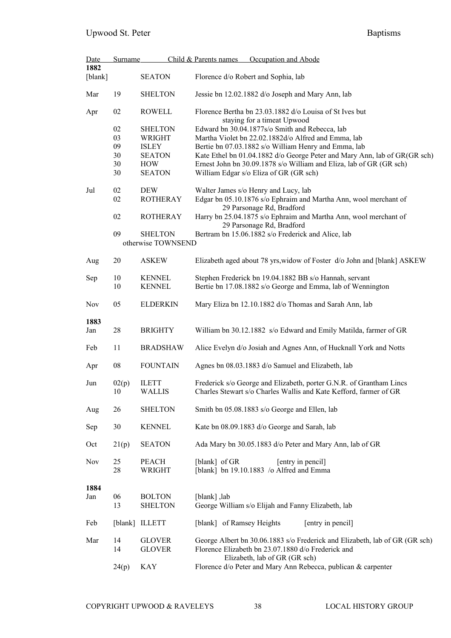| <b>Date</b>     | <b>Surname</b> |                                      | Child & Parents names<br>Occupation and Abode                                                                                                                      |  |  |
|-----------------|----------------|--------------------------------------|--------------------------------------------------------------------------------------------------------------------------------------------------------------------|--|--|
| 1882<br>[blank] |                | <b>SEATON</b>                        | Florence d/o Robert and Sophia, lab                                                                                                                                |  |  |
| Mar             | 19             | <b>SHELTON</b>                       | Jessie bn 12.02.1882 d/o Joseph and Mary Ann, lab                                                                                                                  |  |  |
| Apr             | 02             | <b>ROWELL</b>                        | Florence Bertha bn 23.03.1882 d/o Louisa of St Ives but<br>staying for a timeat Upwood                                                                             |  |  |
|                 | 02             | <b>SHELTON</b>                       | Edward bn 30.04.1877s/o Smith and Rebecca, lab                                                                                                                     |  |  |
|                 | 03             | <b>WRIGHT</b>                        | Martha Violet bn 22.02.1882d/o Alfred and Emma, lab                                                                                                                |  |  |
|                 | 09             | <b>ISLEY</b>                         | Bertie bn 07.03.1882 s/o William Henry and Emma, lab                                                                                                               |  |  |
|                 | 30             | <b>SEATON</b>                        | Kate Ethel bn 01.04.1882 d/o George Peter and Mary Ann, lab of GR(GR sch)                                                                                          |  |  |
|                 | 30             | <b>HOW</b>                           | Ernest John bn 30.09.1878 s/o William and Eliza, lab of GR (GR sch)                                                                                                |  |  |
|                 | 30             | <b>SEATON</b>                        | William Edgar s/o Eliza of GR (GR sch)                                                                                                                             |  |  |
| Jul             | 02             | <b>DEW</b>                           | Walter James s/o Henry and Lucy, lab                                                                                                                               |  |  |
|                 | 02             | <b>ROTHERAY</b>                      | Edgar bn 05.10.1876 s/o Ephraim and Martha Ann, wool merchant of<br>29 Parsonage Rd, Bradford                                                                      |  |  |
|                 | 02             | <b>ROTHERAY</b>                      | Harry bn 25.04.1875 s/o Ephraim and Martha Ann, wool merchant of<br>29 Parsonage Rd, Bradford                                                                      |  |  |
|                 | 09             | <b>SHELTON</b><br>otherwise TOWNSEND | Bertram bn 15.06.1882 s/o Frederick and Alice, lab                                                                                                                 |  |  |
| Aug             | 20             | <b>ASKEW</b>                         | Elizabeth aged about 78 yrs, widow of Foster d/o John and [blank] ASKEW                                                                                            |  |  |
| Sep             | 10<br>10       | <b>KENNEL</b><br><b>KENNEL</b>       | Stephen Frederick bn 19.04.1882 BB s/o Hannah, servant<br>Bertie bn 17.08.1882 s/o George and Emma, lab of Wennington                                              |  |  |
| <b>Nov</b>      | 05             | <b>ELDERKIN</b>                      | Mary Eliza bn 12.10.1882 d/o Thomas and Sarah Ann, lab                                                                                                             |  |  |
| 1883            |                |                                      |                                                                                                                                                                    |  |  |
| Jan             | 28             | <b>BRIGHTY</b>                       | William bn 30.12.1882 s/o Edward and Emily Matilda, farmer of GR                                                                                                   |  |  |
| Feb             | 11             | <b>BRADSHAW</b>                      | Alice Evelyn d/o Josiah and Agnes Ann, of Hucknall York and Notts                                                                                                  |  |  |
| Apr             | 08             | <b>FOUNTAIN</b>                      | Agnes bn 08.03.1883 d/o Samuel and Elizabeth, lab                                                                                                                  |  |  |
| Jun             | 02(p)<br>10    | <b>ILETT</b><br><b>WALLIS</b>        | Frederick s/o George and Elizabeth, porter G.N.R. of Grantham Lincs<br>Charles Stewart s/o Charles Wallis and Kate Kefford, farmer of GR                           |  |  |
| Aug             | 26             | <b>SHELTON</b>                       | Smith bn 05.08.1883 s/o George and Ellen, lab                                                                                                                      |  |  |
| Sep             | 30             | <b>KENNEL</b>                        | Kate bn 08.09.1883 d/o George and Sarah, lab                                                                                                                       |  |  |
| Oct             | 21(p)          | <b>SEATON</b>                        | Ada Mary bn 30.05.1883 d/o Peter and Mary Ann, lab of GR                                                                                                           |  |  |
| <b>Nov</b>      | 25<br>28       | <b>PEACH</b><br><b>WRIGHT</b>        | [blank] of GR<br>[entry in pencil]<br>[blank] bn 19.10.1883 /o Alfred and Emma                                                                                     |  |  |
| 1884<br>Jan     | 06<br>13       | <b>BOLTON</b><br><b>SHELTON</b>      | [blank], lab<br>George William s/o Elijah and Fanny Elizabeth, lab                                                                                                 |  |  |
| Feb             |                | [blank] ILLETT                       | [blank] of Ramsey Heights<br>[entry in pencil]                                                                                                                     |  |  |
| Mar             | 14<br>14       | <b>GLOVER</b><br><b>GLOVER</b>       | George Albert bn 30.06.1883 s/o Frederick and Elizabeth, lab of GR (GR sch)<br>Florence Elizabeth bn 23.07.1880 d/o Frederick and<br>Elizabeth, lab of GR (GR sch) |  |  |
|                 | 24(p)          | <b>KAY</b>                           | Florence d/o Peter and Mary Ann Rebecca, publican & carpenter                                                                                                      |  |  |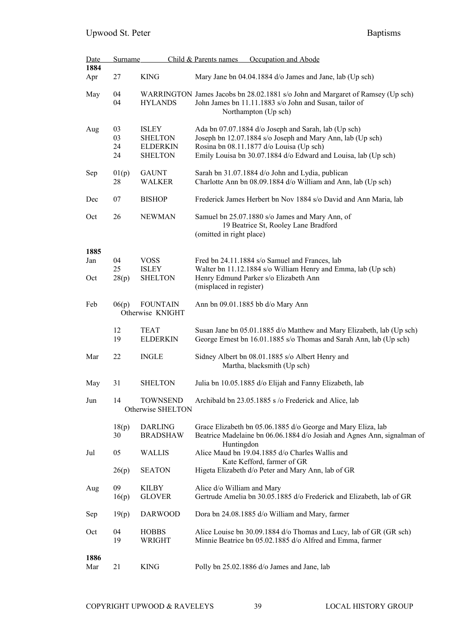| Date | Surname     |                                   | Occupation and Abode<br>Child & Parents names                                                                                           |
|------|-------------|-----------------------------------|-----------------------------------------------------------------------------------------------------------------------------------------|
| 1884 |             |                                   |                                                                                                                                         |
| Apr  | 27          | <b>KING</b>                       | Mary Jane bn 04.04.1884 d/o James and Jane, lab (Up sch)                                                                                |
| May  | 04          |                                   | WARRINGTON James Jacobs bn 28.02.1881 s/o John and Margaret of Ramsey (Up sch)                                                          |
|      | 04          | <b>HYLANDS</b>                    | John James bn 11.11.1883 s/o John and Susan, tailor of                                                                                  |
|      |             |                                   | Northampton (Up sch)                                                                                                                    |
| Aug  | 03          | <b>ISLEY</b>                      | Ada bn 07.07.1884 d/o Joseph and Sarah, lab (Up sch)                                                                                    |
|      | 03          | <b>SHELTON</b>                    | Joseph bn 12.07.1884 s/o Joseph and Mary Ann, lab (Up sch)                                                                              |
|      | 24          | <b>ELDERKIN</b>                   | Rosina bn 08.11.1877 d/o Louisa (Up sch)                                                                                                |
|      | 24          | <b>SHELTON</b>                    | Emily Louisa bn 30.07.1884 d/o Edward and Louisa, lab (Up sch)                                                                          |
| Sep  | 01(p)       | <b>GAUNT</b>                      | Sarah bn 31.07.1884 d/o John and Lydia, publican                                                                                        |
|      | 28          | <b>WALKER</b>                     | Charlotte Ann bn 08.09.1884 d/o William and Ann, lab (Up sch)                                                                           |
| Dec  | 07          | <b>BISHOP</b>                     | Frederick James Herbert bn Nov 1884 s/o David and Ann Maria, lab                                                                        |
|      |             |                                   |                                                                                                                                         |
| Oct  | 26          | <b>NEWMAN</b>                     | Samuel bn 25.07.1880 s/o James and Mary Ann, of                                                                                         |
|      |             |                                   | 19 Beatrice St, Rooley Lane Bradford<br>(omitted in right place)                                                                        |
|      |             |                                   |                                                                                                                                         |
| 1885 |             |                                   |                                                                                                                                         |
| Jan  | 04          | <b>VOSS</b>                       | Fred bn 24.11.1884 s/o Samuel and Frances, lab                                                                                          |
|      | 25          | <b>ISLEY</b>                      | Walter bn 11.12.1884 s/o William Henry and Emma, lab (Up sch)                                                                           |
| Oct  | 28(p)       | <b>SHELTON</b>                    | Henry Edmund Parker s/o Elizabeth Ann                                                                                                   |
|      |             |                                   | (misplaced in register)                                                                                                                 |
| Feb  | 06(p)       | <b>FOUNTAIN</b>                   | Ann bn 09.01.1885 bb d/o Mary Ann                                                                                                       |
|      |             | Otherwise KNIGHT                  |                                                                                                                                         |
|      |             |                                   |                                                                                                                                         |
|      | 12<br>19    | <b>TEAT</b>                       | Susan Jane bn 05.01.1885 d/o Matthew and Mary Elizabeth, lab (Up sch)                                                                   |
|      |             | <b>ELDERKIN</b>                   | George Ernest bn 16.01.1885 s/o Thomas and Sarah Ann, lab (Up sch)                                                                      |
| Mar  | 22          | <b>INGLE</b>                      | Sidney Albert bn 08.01.1885 s/o Albert Henry and                                                                                        |
|      |             |                                   | Martha, blacksmith (Up sch)                                                                                                             |
|      |             |                                   |                                                                                                                                         |
| May  | 31          | <b>SHELTON</b>                    | Julia bn 10.05.1885 d/o Elijah and Fanny Elizabeth, lab                                                                                 |
| Jun  | 14          | <b>TOWNSEND</b>                   | Archibald bn 23.05.1885 s /o Frederick and Alice, lab                                                                                   |
|      |             | Otherwise SHELTON                 |                                                                                                                                         |
|      |             |                                   |                                                                                                                                         |
|      | 18(p)<br>30 | <b>DARLING</b><br><b>BRADSHAW</b> | Grace Elizabeth bn 05.06.1885 d/o George and Mary Eliza, lab<br>Beatrice Madelaine bn 06.06.1884 d/o Josiah and Agnes Ann, signalman of |
|      |             |                                   | Huntingdon                                                                                                                              |
| Jul  | 05          | <b>WALLIS</b>                     | Alice Maud bn 19.04.1885 d/o Charles Wallis and                                                                                         |
|      |             |                                   | Kate Kefford, farmer of GR                                                                                                              |
|      | 26(p)       | <b>SEATON</b>                     | Higeta Elizabeth d/o Peter and Mary Ann, lab of GR                                                                                      |
| Aug  | 09          | <b>KILBY</b>                      | Alice d/o William and Mary                                                                                                              |
|      | 16(p)       | <b>GLOVER</b>                     | Gertrude Amelia bn 30.05.1885 d/o Frederick and Elizabeth, lab of GR                                                                    |
|      |             |                                   |                                                                                                                                         |
| Sep  | 19(p)       | <b>DARWOOD</b>                    | Dora bn 24.08.1885 d/o William and Mary, farmer                                                                                         |
| Oct  | 04          | <b>HOBBS</b>                      | Alice Louise bn 30.09.1884 d/o Thomas and Lucy, lab of GR (GR sch)                                                                      |
|      | 19          | WRIGHT                            | Minnie Beatrice bn 05.02.1885 d/o Alfred and Emma, farmer                                                                               |
| 1886 |             |                                   |                                                                                                                                         |
| Mar  | 21          | <b>KING</b>                       | Polly bn 25.02.1886 d/o James and Jane, lab                                                                                             |
|      |             |                                   |                                                                                                                                         |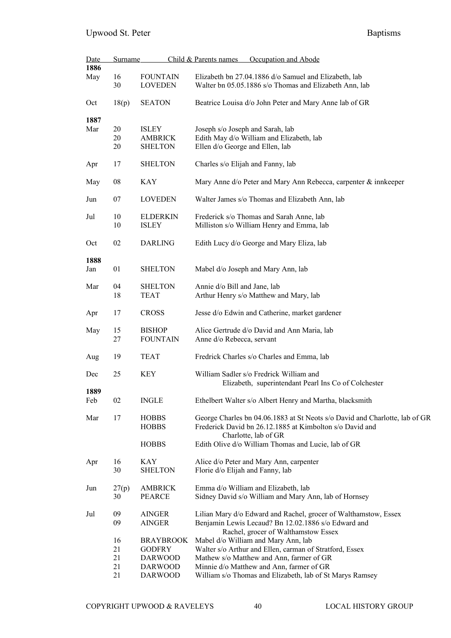| Date<br>1886 | <b>Surname</b> |                                   | Child & Parents names<br>Occupation and Abode                                                                   |
|--------------|----------------|-----------------------------------|-----------------------------------------------------------------------------------------------------------------|
|              | 16             |                                   |                                                                                                                 |
| May          | 30             | <b>FOUNTAIN</b><br><b>LOVEDEN</b> | Elizabeth bn 27.04.1886 d/o Samuel and Elizabeth, lab<br>Walter bn 05.05.1886 s/o Thomas and Elizabeth Ann, lab |
| Oct          | 18(p)          | <b>SEATON</b>                     | Beatrice Louisa d/o John Peter and Mary Anne lab of GR                                                          |
| 1887         |                |                                   |                                                                                                                 |
| Mar          | 20             | <b>ISLEY</b>                      | Joseph s/o Joseph and Sarah, lab                                                                                |
|              | 20             | <b>AMBRICK</b>                    | Edith May d/o William and Elizabeth, lab                                                                        |
|              | 20             | <b>SHELTON</b>                    | Ellen d/o George and Ellen, lab                                                                                 |
| Apr          | 17             | <b>SHELTON</b>                    | Charles s/o Elijah and Fanny, lab                                                                               |
| May          | ${\bf 08}$     | <b>KAY</b>                        | Mary Anne d/o Peter and Mary Ann Rebecca, carpenter & innkeeper                                                 |
| Jun          | 07             | <b>LOVEDEN</b>                    | Walter James s/o Thomas and Elizabeth Ann, lab                                                                  |
| Jul          | 10             | <b>ELDERKIN</b>                   | Frederick s/o Thomas and Sarah Anne, lab                                                                        |
|              | 10             | <b>ISLEY</b>                      | Milliston s/o William Henry and Emma, lab                                                                       |
| Oct          | 02             | <b>DARLING</b>                    | Edith Lucy d/o George and Mary Eliza, lab                                                                       |
| 1888         |                |                                   |                                                                                                                 |
| Jan          | 01             | <b>SHELTON</b>                    | Mabel d/o Joseph and Mary Ann, lab                                                                              |
| Mar          | 04             | <b>SHELTON</b>                    | Annie d/o Bill and Jane, lab                                                                                    |
|              | 18             | <b>TEAT</b>                       | Arthur Henry s/o Matthew and Mary, lab                                                                          |
| Apr          | 17             | <b>CROSS</b>                      | Jesse d/o Edwin and Catherine, market gardener                                                                  |
| May          | 15             | <b>BISHOP</b>                     | Alice Gertrude d/o David and Ann Maria, lab                                                                     |
|              | 27             | <b>FOUNTAIN</b>                   | Anne d/o Rebecca, servant                                                                                       |
|              |                |                                   |                                                                                                                 |
| Aug          | 19             | <b>TEAT</b>                       | Fredrick Charles s/o Charles and Emma, lab                                                                      |
| Dec          | 25             | <b>KEY</b>                        | William Sadler s/o Fredrick William and                                                                         |
|              |                |                                   | Elizabeth, superintendant Pearl Ins Co of Colchester                                                            |
| 1889         |                |                                   |                                                                                                                 |
| Feb          | 02             | <b>INGLE</b>                      | Ethelbert Walter s/o Albert Henry and Martha, blacksmith                                                        |
| Mar          | 17             | <b>HOBBS</b>                      | George Charles bn 04.06.1883 at St Neots s/o David and Charlotte, lab of GR                                     |
|              |                | <b>HOBBS</b>                      | Frederick David bn 26.12.1885 at Kimbolton s/o David and                                                        |
|              |                |                                   | Charlotte, lab of GR                                                                                            |
|              |                | <b>HOBBS</b>                      | Edith Olive d/o William Thomas and Lucie, lab of GR                                                             |
| Apr          | 16             | <b>KAY</b>                        | Alice d/o Peter and Mary Ann, carpenter                                                                         |
|              | 30             | <b>SHELTON</b>                    | Florie d/o Elijah and Fanny, lab                                                                                |
|              |                |                                   |                                                                                                                 |
| Jun          | 27(p)          | <b>AMBRICK</b>                    | Emma d/o William and Elizabeth, lab                                                                             |
|              | 30             | <b>PEARCE</b>                     | Sidney David s/o William and Mary Ann, lab of Hornsey                                                           |
| Jul          | 09             | <b>AINGER</b>                     | Lilian Mary d/o Edward and Rachel, grocer of Walthamstow, Essex                                                 |
|              | 09             | <b>AINGER</b>                     | Benjamin Lewis Lecaud? Bn 12.02.1886 s/o Edward and                                                             |
|              |                |                                   | Rachel, grocer of Walthamstow Essex                                                                             |
|              | 16             | <b>BRAYBROOK</b>                  | Mabel d/o William and Mary Ann, lab                                                                             |
|              | 21             | <b>GODFRY</b>                     | Walter s/o Arthur and Ellen, carman of Stratford, Essex                                                         |
|              | 21             | <b>DARWOOD</b>                    | Mathew s/o Matthew and Ann, farmer of GR                                                                        |
|              | 21             | <b>DARWOOD</b>                    | Minnie d/o Matthew and Ann, farmer of GR                                                                        |
|              | 21             | <b>DARWOOD</b>                    | William s/o Thomas and Elizabeth, lab of St Marys Ramsey                                                        |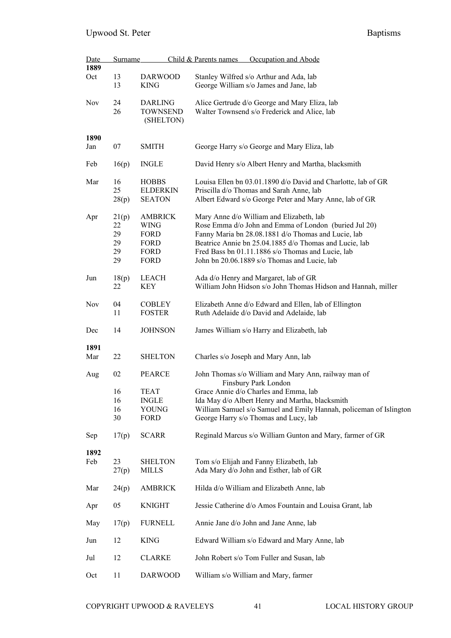| Date        | Surname                             |                                                                             | Occupation and Abode<br>Child & Parents names                                                                                                                                                                                                                                                                           |  |  |
|-------------|-------------------------------------|-----------------------------------------------------------------------------|-------------------------------------------------------------------------------------------------------------------------------------------------------------------------------------------------------------------------------------------------------------------------------------------------------------------------|--|--|
| 1889<br>Oct | 13<br>13                            | <b>DARWOOD</b><br><b>KING</b>                                               | Stanley Wilfred s/o Arthur and Ada, lab                                                                                                                                                                                                                                                                                 |  |  |
|             |                                     |                                                                             | George William s/o James and Jane, lab                                                                                                                                                                                                                                                                                  |  |  |
| <b>Nov</b>  | 24<br>26                            | <b>DARLING</b><br><b>TOWNSEND</b><br>(SHELTON)                              | Alice Gertrude d/o George and Mary Eliza, lab<br>Walter Townsend s/o Frederick and Alice, lab                                                                                                                                                                                                                           |  |  |
| 1890        |                                     |                                                                             |                                                                                                                                                                                                                                                                                                                         |  |  |
| Jan         | 07                                  | <b>SMITH</b>                                                                | George Harry s/o George and Mary Eliza, lab                                                                                                                                                                                                                                                                             |  |  |
| Feb         | 16(p)                               | <b>INGLE</b>                                                                | David Henry s/o Albert Henry and Martha, blacksmith                                                                                                                                                                                                                                                                     |  |  |
| Mar         | 16<br>25<br>28(p)                   | <b>HOBBS</b><br><b>ELDERKIN</b><br><b>SEATON</b>                            | Louisa Ellen bn 03.01.1890 d/o David and Charlotte, lab of GR<br>Priscilla d/o Thomas and Sarah Anne, lab<br>Albert Edward s/o George Peter and Mary Anne, lab of GR                                                                                                                                                    |  |  |
| Apr         | 21(p)<br>22<br>29<br>29<br>29<br>29 | <b>AMBRICK</b><br><b>WING</b><br>FORD<br><b>FORD</b><br>FORD<br><b>FORD</b> | Mary Anne d/o William and Elizabeth, lab<br>Rose Emma d/o John and Emma of London (buried Jul 20)<br>Fanny Maria bn 28.08.1881 d/o Thomas and Lucie, lab<br>Beatrice Annie bn 25.04.1885 d/o Thomas and Lucie, lab<br>Fred Bass bn 01.11.1886 s/o Thomas and Lucie, lab<br>John bn 20.06.1889 s/o Thomas and Lucie, lab |  |  |
| Jun         | 18(p)<br>22                         | <b>LEACH</b><br>KEY                                                         | Ada d/o Henry and Margaret, lab of GR<br>William John Hidson s/o John Thomas Hidson and Hannah, miller                                                                                                                                                                                                                  |  |  |
| <b>Nov</b>  | 04<br>11                            | <b>COBLEY</b><br><b>FOSTER</b>                                              | Elizabeth Anne d/o Edward and Ellen, lab of Ellington<br>Ruth Adelaide d/o David and Adelaide, lab                                                                                                                                                                                                                      |  |  |
| Dec         | 14                                  | <b>JOHNSON</b>                                                              | James William s/o Harry and Elizabeth, lab                                                                                                                                                                                                                                                                              |  |  |
| 1891<br>Mar | 22                                  | <b>SHELTON</b>                                                              | Charles s/o Joseph and Mary Ann, lab                                                                                                                                                                                                                                                                                    |  |  |
| Aug         | 02                                  | <b>PEARCE</b>                                                               | John Thomas s/o William and Mary Ann, railway man of                                                                                                                                                                                                                                                                    |  |  |
|             | 16<br>16<br>16<br>30                | TEAT<br><b>INGLE</b><br>YOUNG<br>FORD                                       | Finsbury Park London<br>Grace Annie d/o Charles and Emma, lab<br>Ida May d/o Albert Henry and Martha, blacksmith<br>William Samuel s/o Samuel and Emily Hannah, policeman of Islington<br>George Harry s/o Thomas and Lucy, lab                                                                                         |  |  |
| Sep         | 17(p)                               | <b>SCARR</b>                                                                | Reginald Marcus s/o William Gunton and Mary, farmer of GR                                                                                                                                                                                                                                                               |  |  |
| 1892<br>Feb | 23<br>27(p)                         | <b>SHELTON</b><br><b>MILLS</b>                                              | Tom s/o Elijah and Fanny Elizabeth, lab<br>Ada Mary d/o John and Esther, lab of GR                                                                                                                                                                                                                                      |  |  |
| Mar         | 24(p)                               | <b>AMBRICK</b>                                                              | Hilda d/o William and Elizabeth Anne, lab                                                                                                                                                                                                                                                                               |  |  |
| Apr         | 05                                  | <b>KNIGHT</b>                                                               | Jessie Catherine d/o Amos Fountain and Louisa Grant, lab                                                                                                                                                                                                                                                                |  |  |
| May         | 17(p)                               | <b>FURNELL</b>                                                              | Annie Jane d/o John and Jane Anne, lab                                                                                                                                                                                                                                                                                  |  |  |
| Jun         | 12                                  | <b>KING</b>                                                                 | Edward William s/o Edward and Mary Anne, lab                                                                                                                                                                                                                                                                            |  |  |
| Jul         | 12                                  | <b>CLARKE</b>                                                               | John Robert s/o Tom Fuller and Susan, lab                                                                                                                                                                                                                                                                               |  |  |
| Oct         | 11                                  | <b>DARWOOD</b>                                                              | William s/o William and Mary, farmer                                                                                                                                                                                                                                                                                    |  |  |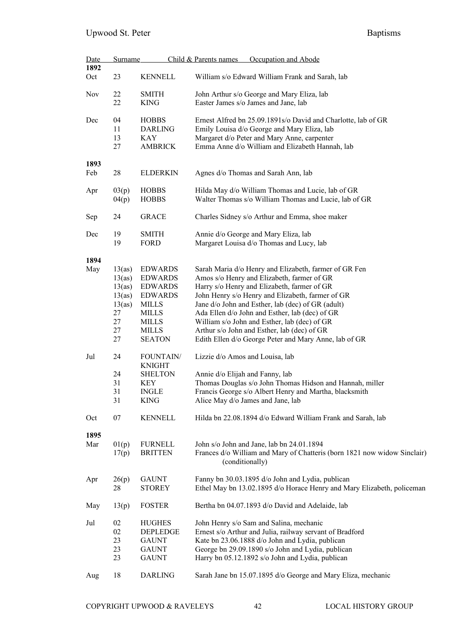| Date               | <b>Surname</b>                                                               |                                                                                                                                                                                     | Child & Parents names<br>Occupation and Abode                                                                                                                                                                                                                                                                                                                                                                                                                                                            |
|--------------------|------------------------------------------------------------------------------|-------------------------------------------------------------------------------------------------------------------------------------------------------------------------------------|----------------------------------------------------------------------------------------------------------------------------------------------------------------------------------------------------------------------------------------------------------------------------------------------------------------------------------------------------------------------------------------------------------------------------------------------------------------------------------------------------------|
| 1892<br>Oct        | 23                                                                           | <b>KENNELL</b>                                                                                                                                                                      | William s/o Edward William Frank and Sarah, lab                                                                                                                                                                                                                                                                                                                                                                                                                                                          |
| Nov                | 22<br>22                                                                     | <b>SMITH</b><br><b>KING</b>                                                                                                                                                         | John Arthur s/o George and Mary Eliza, lab<br>Easter James s/o James and Jane, lab                                                                                                                                                                                                                                                                                                                                                                                                                       |
| Dec                | 04<br>11<br>13<br>27                                                         | <b>HOBBS</b><br><b>DARLING</b><br>KAY<br><b>AMBRICK</b>                                                                                                                             | Ernest Alfred bn 25.09.1891s/o David and Charlotte, lab of GR<br>Emily Louisa d/o George and Mary Eliza, lab<br>Margaret d/o Peter and Mary Anne, carpenter<br>Emma Anne d/o William and Elizabeth Hannah, lab                                                                                                                                                                                                                                                                                           |
| 1893<br>Feb        | 28                                                                           | <b>ELDERKIN</b>                                                                                                                                                                     | Agnes d/o Thomas and Sarah Ann, lab                                                                                                                                                                                                                                                                                                                                                                                                                                                                      |
| Apr                | 03(p)<br>04(p)                                                               | <b>HOBBS</b><br><b>HOBBS</b>                                                                                                                                                        | Hilda May d/o William Thomas and Lucie, lab of GR<br>Walter Thomas s/o William Thomas and Lucie, lab of GR                                                                                                                                                                                                                                                                                                                                                                                               |
| Sep                | 24                                                                           | <b>GRACE</b>                                                                                                                                                                        | Charles Sidney s/o Arthur and Emma, shoe maker                                                                                                                                                                                                                                                                                                                                                                                                                                                           |
| Dec                | 19<br>19                                                                     | <b>SMITH</b><br>FORD                                                                                                                                                                | Annie d/o George and Mary Eliza, lab<br>Margaret Louisa d/o Thomas and Lucy, lab                                                                                                                                                                                                                                                                                                                                                                                                                         |
| 1894<br>May<br>Jul | 13(as)<br>13(as)<br>13(as)<br>13(as)<br>13(as)<br>27<br>27<br>27<br>27<br>24 | <b>EDWARDS</b><br><b>EDWARDS</b><br><b>EDWARDS</b><br><b>EDWARDS</b><br><b>MILLS</b><br><b>MILLS</b><br><b>MILLS</b><br><b>MILLS</b><br><b>SEATON</b><br>FOUNTAIN/<br><b>KNIGHT</b> | Sarah Maria d/o Henry and Elizabeth, farmer of GR Fen<br>Amos s/o Henry and Elizabeth, farmer of GR<br>Harry s/o Henry and Elizabeth, farmer of GR<br>John Henry s/o Henry and Elizabeth, farmer of GR<br>Jane d/o John and Esther, lab (dec) of GR (adult)<br>Ada Ellen d/o John and Esther, lab (dec) of GR<br>William s/o John and Esther, lab (dec) of GR<br>Arthur s/o John and Esther, lab (dec) of GR<br>Edith Ellen d/o George Peter and Mary Anne, lab of GR<br>Lizzie d/o Amos and Louisa, lab |
|                    | 24<br>31<br>31<br>31                                                         | <b>SHELTON</b><br><b>KEY</b><br><b>INGLE</b><br><b>KING</b>                                                                                                                         | Annie d/o Elijah and Fanny, lab<br>Thomas Douglas s/o John Thomas Hidson and Hannah, miller<br>Francis George s/o Albert Henry and Martha, blacksmith<br>Alice May d/o James and Jane, lab                                                                                                                                                                                                                                                                                                               |
| Oct                | 07                                                                           | <b>KENNELL</b>                                                                                                                                                                      | Hilda bn 22.08.1894 d/o Edward William Frank and Sarah, lab                                                                                                                                                                                                                                                                                                                                                                                                                                              |
| 1895<br>Mar        | 01(p)<br>17(p)                                                               | <b>FURNELL</b><br><b>BRITTEN</b>                                                                                                                                                    | John s/o John and Jane, lab bn 24.01.1894<br>Frances d/o William and Mary of Chatteris (born 1821 now widow Sinclair)<br>(conditionally)                                                                                                                                                                                                                                                                                                                                                                 |
| Apr                | 26(p)<br>28                                                                  | <b>GAUNT</b><br><b>STOREY</b>                                                                                                                                                       | Fanny bn 30.03.1895 d/o John and Lydia, publican<br>Ethel May bn 13.02.1895 d/o Horace Henry and Mary Elizabeth, policeman                                                                                                                                                                                                                                                                                                                                                                               |
| May                | 13(p)                                                                        | <b>FOSTER</b>                                                                                                                                                                       | Bertha bn 04.07.1893 d/o David and Adelaide, lab                                                                                                                                                                                                                                                                                                                                                                                                                                                         |
| Jul                | 02<br>02<br>23<br>23<br>23                                                   | <b>HUGHES</b><br>DEPLEDGE<br><b>GAUNT</b><br><b>GAUNT</b><br><b>GAUNT</b>                                                                                                           | John Henry s/o Sam and Salina, mechanic<br>Ernest s/o Arthur and Julia, railway servant of Bradford<br>Kate bn 23.06.1888 d/o John and Lydia, publican<br>George bn 29.09.1890 s/o John and Lydia, publican<br>Harry bn 05.12.1892 s/o John and Lydia, publican                                                                                                                                                                                                                                          |
| Aug                | 18                                                                           | <b>DARLING</b>                                                                                                                                                                      | Sarah Jane bn 15.07.1895 d/o George and Mary Eliza, mechanic                                                                                                                                                                                                                                                                                                                                                                                                                                             |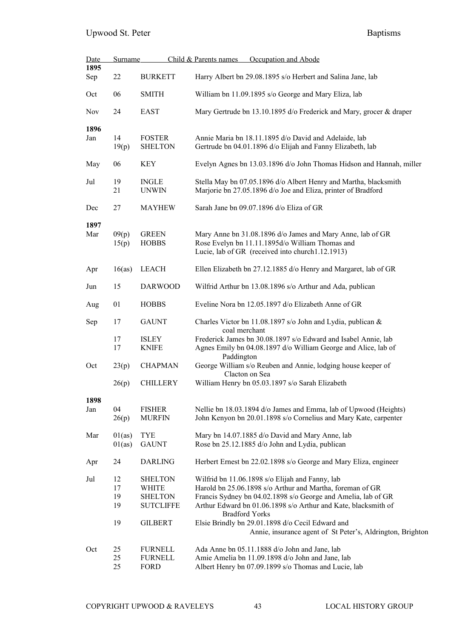| <b>Date</b> | <b>Surname</b>             |                                                                                        | Occupation and Abode<br>Child & Parents names                                                                                                                                                                                                                                                                                                                                              |
|-------------|----------------------------|----------------------------------------------------------------------------------------|--------------------------------------------------------------------------------------------------------------------------------------------------------------------------------------------------------------------------------------------------------------------------------------------------------------------------------------------------------------------------------------------|
| 1895<br>Sep | 22                         | <b>BURKETT</b>                                                                         | Harry Albert bn 29.08.1895 s/o Herbert and Salina Jane, lab                                                                                                                                                                                                                                                                                                                                |
| Oct         | 06                         | <b>SMITH</b>                                                                           | William bn 11.09.1895 s/o George and Mary Eliza, lab                                                                                                                                                                                                                                                                                                                                       |
| <b>Nov</b>  | 24                         | <b>EAST</b>                                                                            | Mary Gertrude bn 13.10.1895 d/o Frederick and Mary, grocer & draper                                                                                                                                                                                                                                                                                                                        |
| 1896<br>Jan | 14<br>19(p)                | <b>FOSTER</b><br><b>SHELTON</b>                                                        | Annie Maria bn 18.11.1895 d/o David and Adelaide, lab<br>Gertrude bn 04.01.1896 d/o Elijah and Fanny Elizabeth, lab                                                                                                                                                                                                                                                                        |
| May         | 06                         | <b>KEY</b>                                                                             | Evelyn Agnes bn 13.03.1896 d/o John Thomas Hidson and Hannah, miller                                                                                                                                                                                                                                                                                                                       |
| Jul         | 19<br>21                   | <b>INGLE</b><br><b>UNWIN</b>                                                           | Stella May bn 07.05.1896 d/o Albert Henry and Martha, blacksmith<br>Marjorie bn 27.05.1896 d/o Joe and Eliza, printer of Bradford                                                                                                                                                                                                                                                          |
| Dec         | 27                         | <b>MAYHEW</b>                                                                          | Sarah Jane bn 09.07.1896 d/o Eliza of GR                                                                                                                                                                                                                                                                                                                                                   |
| 1897<br>Mar | 09(p)<br>15(p)             | <b>GREEN</b><br><b>HOBBS</b>                                                           | Mary Anne bn 31.08.1896 d/o James and Mary Anne, lab of GR<br>Rose Evelyn bn 11.11.1895d/o William Thomas and<br>Lucie, lab of GR (received into church1.12.1913)                                                                                                                                                                                                                          |
| Apr         | 16(as)                     | <b>LEACH</b>                                                                           | Ellen Elizabeth bn 27.12.1885 d/o Henry and Margaret, lab of GR                                                                                                                                                                                                                                                                                                                            |
| Jun         | 15                         | <b>DARWOOD</b>                                                                         | Wilfrid Arthur bn 13.08.1896 s/o Arthur and Ada, publican                                                                                                                                                                                                                                                                                                                                  |
| Aug         | 01                         | <b>HOBBS</b>                                                                           | Eveline Nora bn 12.05.1897 d/o Elizabeth Anne of GR                                                                                                                                                                                                                                                                                                                                        |
| Sep         | 17                         | <b>GAUNT</b>                                                                           | Charles Victor bn 11.08.1897 s/o John and Lydia, publican &<br>coal merchant                                                                                                                                                                                                                                                                                                               |
|             | 17<br>17                   | <b>ISLEY</b><br><b>KNIFE</b>                                                           | Frederick James bn 30.08.1897 s/o Edward and Isabel Annie, lab<br>Agnes Emily bn 04.08.1897 d/o William George and Alice, lab of<br>Paddington                                                                                                                                                                                                                                             |
| Oct         | 23(p)                      | <b>CHAPMAN</b>                                                                         | George William s/o Reuben and Annie, lodging house keeper of<br>Clacton on Sea                                                                                                                                                                                                                                                                                                             |
|             | 26(p)                      | <b>CHILLERY</b>                                                                        | William Henry bn 05.03.1897 s/o Sarah Elizabeth                                                                                                                                                                                                                                                                                                                                            |
| 1898<br>Jan | 04<br>26(p)                | <b>FISHER</b><br><b>MURFIN</b>                                                         | Nellie bn 18.03.1894 d/o James and Emma, lab of Upwood (Heights)<br>John Kenyon bn 20.01.1898 s/o Cornelius and Mary Kate, carpenter                                                                                                                                                                                                                                                       |
| Mar         | 01(as)<br>01(as)           | <b>TYE</b><br><b>GAUNT</b>                                                             | Mary bn 14.07.1885 d/o David and Mary Anne, lab<br>Rose bn 25.12.1885 d/o John and Lydia, publican                                                                                                                                                                                                                                                                                         |
| Apr         | 24                         | <b>DARLING</b>                                                                         | Herbert Ernest bn 22.02.1898 s/o George and Mary Eliza, engineer                                                                                                                                                                                                                                                                                                                           |
| Jul         | 12<br>17<br>19<br>19<br>19 | <b>SHELTON</b><br><b>WHITE</b><br><b>SHELTON</b><br><b>SUTCLIFFE</b><br><b>GILBERT</b> | Wilfrid bn 11.06.1898 s/o Elijah and Fanny, lab<br>Harold bn 25.06.1898 s/o Arthur and Martha, foreman of GR<br>Francis Sydney bn 04.02.1898 s/o George and Amelia, lab of GR<br>Arthur Edward bn 01.06.1898 s/o Arthur and Kate, blacksmith of<br><b>Bradford Yorks</b><br>Elsie Brindly bn 29.01.1898 d/o Cecil Edward and<br>Annie, insurance agent of St Peter's, Aldrington, Brighton |
| Oct         | 25<br>25<br>25             | <b>FURNELL</b><br><b>FURNELL</b><br><b>FORD</b>                                        | Ada Anne bn 05.11.1888 d/o John and Jane, lab<br>Amie Amelia bn 11.09.1898 d/o John and Jane, lab<br>Albert Henry bn 07.09.1899 s/o Thomas and Lucie, lab                                                                                                                                                                                                                                  |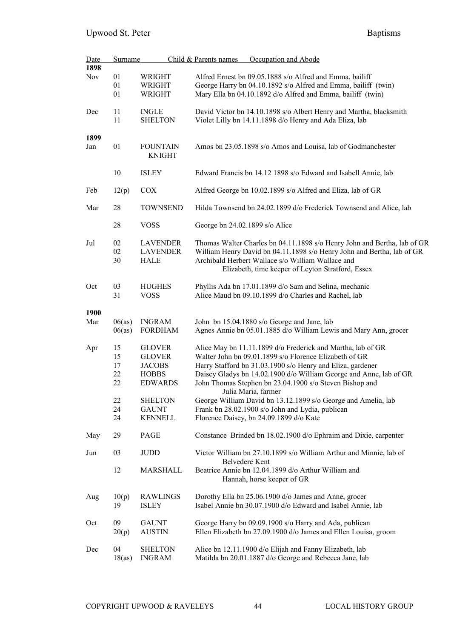| <b>Date</b> | <b>Surname</b> |                 | Child & Parents names          | Occupation and Abode                                                     |
|-------------|----------------|-----------------|--------------------------------|--------------------------------------------------------------------------|
| 1898        |                |                 |                                |                                                                          |
| <b>Nov</b>  | 01             | WRIGHT          |                                | Alfred Ernest bn 09.05.1888 s/o Alfred and Emma, bailiff                 |
|             | 01             | <b>WRIGHT</b>   |                                | George Harry bn 04.10.1892 s/o Alfred and Emma, bailiff (twin)           |
|             | 01             | WRIGHT          |                                | Mary Ella bn 04.10.1892 d/o Alfred and Emma, bailiff (twin)              |
|             |                |                 |                                |                                                                          |
| Dec         | 11             | <b>INGLE</b>    |                                | David Victor bn 14.10.1898 s/o Albert Henry and Martha, blacksmith       |
|             | 11             | <b>SHELTON</b>  |                                | Violet Lilly bn 14.11.1898 d/o Henry and Ada Eliza, lab                  |
|             |                |                 |                                |                                                                          |
| 1899        |                |                 |                                |                                                                          |
| Jan         | 01             | <b>FOUNTAIN</b> |                                | Amos bn 23.05.1898 s/o Amos and Louisa, lab of Godmanchester             |
|             |                | <b>KNIGHT</b>   |                                |                                                                          |
|             |                |                 |                                |                                                                          |
|             | 10             | <b>ISLEY</b>    |                                | Edward Francis bn 14.12 1898 s/o Edward and Isabell Annie, lab           |
|             |                |                 |                                |                                                                          |
| Feb         | 12(p)          | <b>COX</b>      |                                | Alfred George bn 10.02.1899 s/o Alfred and Eliza, lab of GR              |
|             |                |                 |                                |                                                                          |
|             | 28             | <b>TOWNSEND</b> |                                |                                                                          |
| Mar         |                |                 |                                | Hilda Townsend bn 24.02.1899 d/o Frederick Townsend and Alice, lab       |
|             |                |                 |                                |                                                                          |
|             | 28             | <b>VOSS</b>     | George bn 24.02.1899 s/o Alice |                                                                          |
|             |                |                 |                                |                                                                          |
| Jul         | 02             | <b>LAVENDER</b> |                                | Thomas Walter Charles bn 04.11.1898 s/o Henry John and Bertha, lab of GR |
|             | 02             | <b>LAVENDER</b> |                                | William Henry David bn 04.11.1898 s/o Henry John and Bertha, lab of GR   |
|             | 30             | <b>HALE</b>     |                                | Archibald Herbert Wallace s/o William Wallace and                        |
|             |                |                 |                                | Elizabeth, time keeper of Leyton Stratford, Essex                        |
|             |                |                 |                                |                                                                          |
| Oct         | 03             | <b>HUGHES</b>   |                                | Phyllis Ada bn 17.01.1899 d/o Sam and Selina, mechanic                   |
|             | 31             | <b>VOSS</b>     |                                | Alice Maud bn 09.10.1899 d/o Charles and Rachel, lab                     |
|             |                |                 |                                |                                                                          |
|             |                |                 |                                |                                                                          |
| 1900        |                |                 |                                |                                                                          |
| Mar         | 06(as)         | <b>INGRAM</b>   |                                | John bn 15.04.1880 s/o George and Jane, lab                              |
|             | 06(as)         | <b>FORDHAM</b>  |                                | Agnes Annie bn 05.01.1885 d/o William Lewis and Mary Ann, grocer         |
|             |                |                 |                                |                                                                          |
| Apr         | 15             | <b>GLOVER</b>   |                                | Alice May bn 11.11.1899 d/o Frederick and Martha, lab of GR              |
|             | 15             | <b>GLOVER</b>   |                                | Walter John bn 09.01.1899 s/o Florence Elizabeth of GR                   |
|             | 17             | <b>JACOBS</b>   |                                | Harry Stafford bn 31.03.1900 s/o Henry and Eliza, gardener               |
|             | 22             | <b>HOBBS</b>    |                                | Daisey Gladys bn 14.02.1900 d/o William George and Anne, lab of GR       |
|             | 22             | <b>EDWARDS</b>  |                                | John Thomas Stephen bn 23.04.1900 s/o Steven Bishop and                  |
|             |                |                 |                                |                                                                          |
|             |                |                 |                                | Julia Maria, farmer                                                      |
|             | $22\,$         | <b>SHELTON</b>  |                                | George William David bn 13.12.1899 s/o George and Amelia, lab            |
|             | 24             | <b>GAUNT</b>    |                                | Frank bn 28.02.1900 s/o John and Lydia, publican                         |
|             | 24             | <b>KENNELL</b>  |                                | Florence Daisey, bn 24.09.1899 d/o Kate                                  |
|             |                |                 |                                |                                                                          |
| May         | 29             | PAGE            |                                | Constance Brinded bn 18.02.1900 d/o Ephraim and Dixie, carpenter         |
|             |                |                 |                                |                                                                          |
| Jun         | 03             | <b>JUDD</b>     |                                | Victor William bn 27.10.1899 s/o William Arthur and Minnie, lab of       |
|             |                |                 |                                | Belvedere Kent                                                           |
|             | 12             | <b>MARSHALL</b> |                                | Beatrice Annie bn 12.04.1899 d/o Arthur William and                      |
|             |                |                 |                                |                                                                          |
|             |                |                 |                                | Hannah, horse keeper of GR                                               |
|             |                |                 |                                |                                                                          |
| Aug         | 10(p)          | <b>RAWLINGS</b> |                                | Dorothy Ella bn 25.06.1900 d/o James and Anne, grocer                    |
|             | 19             | <b>ISLEY</b>    |                                | Isabel Annie bn 30.07.1900 d/o Edward and Isabel Annie, lab              |
|             |                |                 |                                |                                                                          |
| Oct         | 09             | <b>GAUNT</b>    |                                | George Harry bn 09.09.1900 s/o Harry and Ada, publican                   |
|             | 20(p)          | <b>AUSTIN</b>   |                                | Ellen Elizabeth bn 27.09.1900 d/o James and Ellen Louisa, groom          |
|             |                |                 |                                |                                                                          |
| Dec         | 04             | <b>SHELTON</b>  |                                | Alice bn 12.11.1900 d/o Elijah and Fanny Elizabeth, lab                  |
|             | 18(as)         | <b>INGRAM</b>   |                                | Matilda bn 20.01.1887 d/o George and Rebecca Jane, lab                   |
|             |                |                 |                                |                                                                          |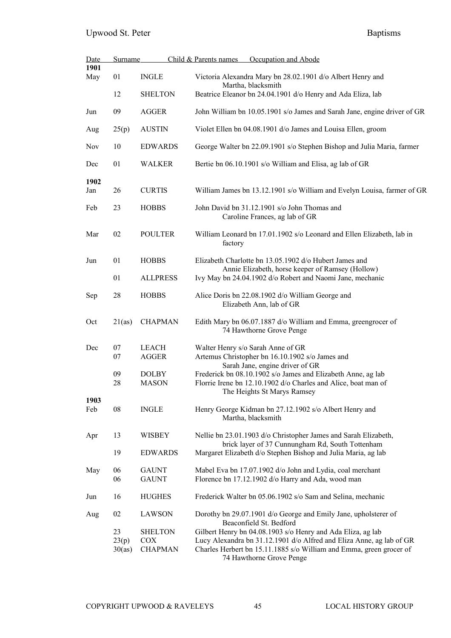| <b>Date</b> | <b>Surname</b>        |                                                | Child & Parents names<br>Occupation and Abode                                                                                                                                                                                          |  |  |  |
|-------------|-----------------------|------------------------------------------------|----------------------------------------------------------------------------------------------------------------------------------------------------------------------------------------------------------------------------------------|--|--|--|
| 1901<br>May | 01                    | <b>INGLE</b>                                   | Victoria Alexandra Mary bn 28.02.1901 d/o Albert Henry and<br>Martha, blacksmith                                                                                                                                                       |  |  |  |
|             | 12                    | <b>SHELTON</b>                                 | Beatrice Eleanor bn 24.04.1901 d/o Henry and Ada Eliza, lab                                                                                                                                                                            |  |  |  |
| Jun         | 09                    | <b>AGGER</b>                                   | John William bn 10.05.1901 s/o James and Sarah Jane, engine driver of GR                                                                                                                                                               |  |  |  |
| Aug         | 25(p)                 | <b>AUSTIN</b>                                  | Violet Ellen bn 04.08.1901 d/o James and Louisa Ellen, groom                                                                                                                                                                           |  |  |  |
| <b>Nov</b>  | 10                    | <b>EDWARDS</b>                                 | George Walter bn 22.09.1901 s/o Stephen Bishop and Julia Maria, farmer                                                                                                                                                                 |  |  |  |
| Dec         | 01                    | <b>WALKER</b>                                  | Bertie bn 06.10.1901 s/o William and Elisa, ag lab of GR                                                                                                                                                                               |  |  |  |
| 1902<br>Jan | 26                    | <b>CURTIS</b>                                  | William James bn 13.12.1901 s/o William and Evelyn Louisa, farmer of GR                                                                                                                                                                |  |  |  |
| Feb         | 23                    | <b>HOBBS</b>                                   | John David bn 31.12.1901 s/o John Thomas and<br>Caroline Frances, ag lab of GR                                                                                                                                                         |  |  |  |
| Mar         | 02                    | <b>POULTER</b>                                 | William Leonard bn 17.01.1902 s/o Leonard and Ellen Elizabeth, lab in<br>factory                                                                                                                                                       |  |  |  |
| Jun         | 01                    | <b>HOBBS</b>                                   | Elizabeth Charlotte bn 13.05.1902 d/o Hubert James and<br>Annie Elizabeth, horse keeper of Ramsey (Hollow)                                                                                                                             |  |  |  |
|             | 01                    | <b>ALLPRESS</b>                                | Ivy May bn 24.04.1902 d/o Robert and Naomi Jane, mechanic                                                                                                                                                                              |  |  |  |
| Sep         | 28                    | <b>HOBBS</b>                                   | Alice Doris bn 22.08.1902 d/o William George and<br>Elizabeth Ann, lab of GR                                                                                                                                                           |  |  |  |
| Oct         | 21(as)                | <b>CHAPMAN</b>                                 | Edith Mary bn 06.07.1887 d/o William and Emma, greengrocer of<br>74 Hawthorne Grove Penge                                                                                                                                              |  |  |  |
| Dec         | 07                    | LEACH                                          | Walter Henry s/o Sarah Anne of GR                                                                                                                                                                                                      |  |  |  |
|             | 07                    | <b>AGGER</b>                                   | Artemus Christopher bn 16.10.1902 s/o James and<br>Sarah Jane, engine driver of GR                                                                                                                                                     |  |  |  |
|             | 09<br>28              | <b>DOLBY</b><br><b>MASON</b>                   | Frederick bn 08.10.1902 s/o James and Elizabeth Anne, ag lab<br>Florrie Irene bn 12.10.1902 d/o Charles and Alice, boat man of<br>The Heights St Marys Ramsey                                                                          |  |  |  |
| 1903<br>Feb | 08                    | <b>INGLE</b>                                   | Henry George Kidman bn 27.12.1902 s/o Albert Henry and<br>Martha, blacksmith                                                                                                                                                           |  |  |  |
| Apr         | 13                    | <b>WISBEY</b>                                  | Nellie bn 23.01.1903 d/o Christopher James and Sarah Elizabeth,<br>brick layer of 37 Cunnungham Rd, South Tottenham                                                                                                                    |  |  |  |
|             | 19                    | <b>EDWARDS</b>                                 | Margaret Elizabeth d/o Stephen Bishop and Julia Maria, ag lab                                                                                                                                                                          |  |  |  |
| May         | 06<br>06              | <b>GAUNT</b><br><b>GAUNT</b>                   | Mabel Eva bn 17.07.1902 d/o John and Lydia, coal merchant<br>Florence bn 17.12.1902 d/o Harry and Ada, wood man                                                                                                                        |  |  |  |
| Jun         | 16                    | <b>HUGHES</b>                                  | Frederick Walter bn 05.06.1902 s/o Sam and Selina, mechanic                                                                                                                                                                            |  |  |  |
| Aug         | 02                    | <b>LAWSON</b>                                  | Dorothy bn 29.07.1901 d/o George and Emily Jane, upholsterer of<br>Beaconfield St. Bedford                                                                                                                                             |  |  |  |
|             | 23<br>23(p)<br>30(as) | <b>SHELTON</b><br><b>COX</b><br><b>CHAPMAN</b> | Gilbert Henry bn 04.08.1903 s/o Henry and Ada Eliza, ag lab<br>Lucy Alexandra bn 31.12.1901 d/o Alfred and Eliza Anne, ag lab of GR<br>Charles Herbert bn 15.11.1885 s/o William and Emma, green grocer of<br>74 Hawthorne Grove Penge |  |  |  |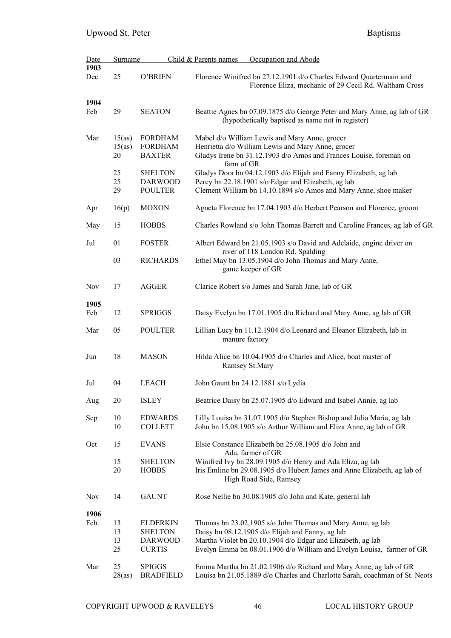| <b>Date</b> | Surname                |                                                                      | Child & Parents names<br>Occupation and Abode                                                                                                                                                                                                          |
|-------------|------------------------|----------------------------------------------------------------------|--------------------------------------------------------------------------------------------------------------------------------------------------------------------------------------------------------------------------------------------------------|
| 1903<br>Dec | 25                     | O'BRIEN                                                              | Florence Winifred bn 27.12.1901 d/o Charles Edward Quartermain and<br>Florence Eliza, mechanic of 29 Cecil Rd. Waltham Cross                                                                                                                           |
| 1904<br>Feb | 29                     | <b>SEATON</b>                                                        | Beattie Agnes bn 07.09.1875 d/o George Peter and Mary Anne, ag lab of GR<br>(hypothetically baptised as name not in register)                                                                                                                          |
| Mar         | 15(as)<br>15(as)<br>20 | <b>FORDHAM</b><br><b>FORDHAM</b><br><b>BAXTER</b>                    | Mabel d/o William Lewis and Mary Anne, grocer<br>Henrietta d/o William Lewis and Mary Anne, grocer<br>Gladys Irene bn 31.12.1903 d/o Amos and Frances Louise, foreman on<br>farm of GR                                                                 |
|             | 25<br>25<br>29         | <b>SHELTON</b><br><b>DARWOOD</b><br><b>POULTER</b>                   | Gladys Dora bn 04.12.1903 d/o Elijah and Fanny Elizabeth, ag lab<br>Percy bn 22.18.1901 s/o Edgar and Elizabeth, ag lab<br>Clement William bn 14.10.1894 s/o Amos and Mary Anne, shoe maker                                                            |
| Apr         | 16(p)                  | <b>MOXON</b>                                                         | Agneta Florence bn 17.04.1903 d/o Herbert Pearson and Florence, groom                                                                                                                                                                                  |
| May         | 15                     | <b>HOBBS</b>                                                         | Charles Rowland s/o John Thomas Barrett and Caroline Frances, ag lab of GR                                                                                                                                                                             |
| Jul         | 01                     | <b>FOSTER</b>                                                        | Albert Edward bn 21.05.1903 s/o David and Adelaide, engine driver on                                                                                                                                                                                   |
|             | 03                     | <b>RICHARDS</b>                                                      | river of 118 London Rd. Spalding<br>Ethel May bn 13.05.1904 d/o John Thomas and Mary Anne,<br>game keeper of GR                                                                                                                                        |
| <b>Nov</b>  | 17                     | <b>AGGER</b>                                                         | Clarice Robert s/o James and Sarah Jane, lab of GR                                                                                                                                                                                                     |
| 1905<br>Feb | 12                     | <b>SPRIGGS</b>                                                       | Daisy Evelyn bn 17.01.1905 d/o Richard and Mary Anne, ag lab of GR                                                                                                                                                                                     |
| Mar         | 05                     | <b>POULTER</b>                                                       | Lillian Lucy bn 11.12.1904 d/o Leonard and Eleanor Elizabeth, lab in<br>manure factory                                                                                                                                                                 |
| Jun         | 18                     | <b>MASON</b>                                                         | Hilda Alice bn 10.04.1905 d/o Charles and Alice, boat master of<br>Ramsey St.Mary                                                                                                                                                                      |
| Jul         | 04                     | <b>LEACH</b>                                                         | John Gaunt bn 24.12.1881 s/o Lydia                                                                                                                                                                                                                     |
| Aug         | 20                     | <b>ISLEY</b>                                                         | Beatrice Daisy bn 25.07.1905 d/o Edward and Isabel Annie, ag lab                                                                                                                                                                                       |
| Sep         | 10<br>10               | <b>EDWARDS</b><br><b>COLLETT</b>                                     | Lilly Louisa bn 31.07.1905 d/o Stephen Bishop and Julia Maria, ag lab<br>John bn 15.08.1905 s/o Arthur William and Eliza Anne, ag lab of GR                                                                                                            |
| Oct         | 15                     | <b>EVANS</b>                                                         | Elsie Constance Elizabeth bn 25.08.1905 d/o John and<br>Ada, farmer of GR                                                                                                                                                                              |
|             | 15<br>20               | <b>SHELTON</b><br><b>HOBBS</b>                                       | Winifred Ivy bn 28.09.1905 d/o Henry and Ada Eliza, ag lab<br>Iris Emline bn 29.08.1905 d/o Hubert James and Anne Elizabeth, ag lab of<br>High Road Side, Ramsey                                                                                       |
| Nov         | 14                     | <b>GAUNT</b>                                                         | Rose Nellie bn 30.08.1905 d/o John and Kate, general lab                                                                                                                                                                                               |
| 1906<br>Feb | 13<br>13<br>13<br>25   | <b>ELDERKIN</b><br><b>SHELTON</b><br><b>DARWOOD</b><br><b>CURTIS</b> | Thomas bn 23.02,1905 s/o John Thomas and Mary Anne, ag lab<br>Daisy bn 08.12.1905 d/o Elijah and Fanny, ag lab<br>Martha Violet bn 20.10.1904 d/o Edgar and Elizabeth, ag lab<br>Evelyn Emma bn 08.01.1906 d/o William and Evelyn Louisa, farmer of GR |
| Mar         | 25<br>28(as)           | <b>SPIGGS</b><br><b>BRADFIELD</b>                                    | Emma Martha bn 21.02.1906 d/o Richard and Mary Anne, ag lab of GR<br>Louisa bn 21.05.1889 d/o Charles and Charlotte Sarah, coachman of St. Neots                                                                                                       |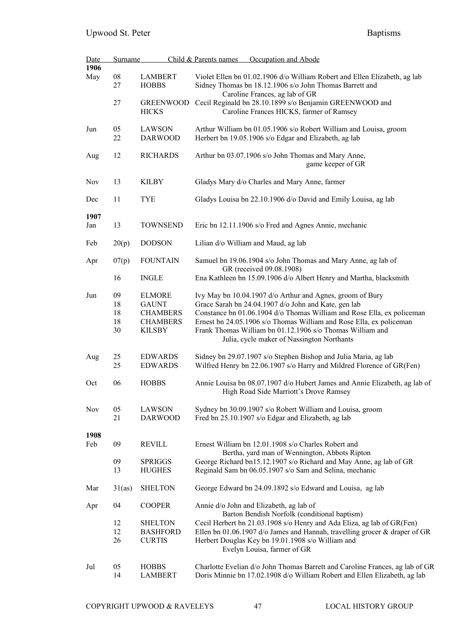| Date        | <b>Surname</b>             |                                                                                      | Child & Parents names<br>Occupation and Abode                                                                                                                                                                                                                                                                                                                                 |
|-------------|----------------------------|--------------------------------------------------------------------------------------|-------------------------------------------------------------------------------------------------------------------------------------------------------------------------------------------------------------------------------------------------------------------------------------------------------------------------------------------------------------------------------|
| 1906        |                            |                                                                                      |                                                                                                                                                                                                                                                                                                                                                                               |
| May         | 08<br>27                   | <b>LAMBERT</b><br><b>HOBBS</b>                                                       | Violet Ellen bn 01.02.1906 d/o William Robert and Ellen Elizabeth, ag lab<br>Sidney Thomas bn 18.12.1906 s/o John Thomas Barrett and<br>Caroline Frances, ag lab of GR                                                                                                                                                                                                        |
|             | 27                         | <b>GREENWOOD</b><br><b>HICKS</b>                                                     | Cecil Reginald bn 28.10.1899 s/o Benjamin GREENWOOD and<br>Caroline Frances HICKS, farmer of Ramsey                                                                                                                                                                                                                                                                           |
| Jun         | 05<br>22                   | <b>LAWSON</b><br><b>DARWOOD</b>                                                      | Arthur William bn 01.05.1906 s/o Robert William and Louisa, groom<br>Herbert bn 19.05.1906 s/o Edgar and Elizabeth, ag lab                                                                                                                                                                                                                                                    |
| Aug         | 12                         | <b>RICHARDS</b>                                                                      | Arthur bn 03.07.1906 s/o John Thomas and Mary Anne,<br>game keeper of GR                                                                                                                                                                                                                                                                                                      |
| Nov         | 13                         | KILBY                                                                                | Gladys Mary d/o Charles and Mary Anne, farmer                                                                                                                                                                                                                                                                                                                                 |
| Dec         | 11                         | <b>TYE</b>                                                                           | Gladys Louisa bn 22.10.1906 d/o David and Emily Louisa, ag lab                                                                                                                                                                                                                                                                                                                |
| 1907<br>Jan | 13                         | <b>TOWNSEND</b>                                                                      | Eric bn 12.11.1906 s/o Fred and Agnes Annie, mechanic                                                                                                                                                                                                                                                                                                                         |
| Feb         | 20(p)                      | <b>DODSON</b>                                                                        | Lilian d/o William and Maud, ag lab                                                                                                                                                                                                                                                                                                                                           |
| Apr         | 07(p)                      | <b>FOUNTAIN</b>                                                                      | Samuel bn 19.06.1904 s/o John Thomas and Mary Anne, ag lab of                                                                                                                                                                                                                                                                                                                 |
|             | 16                         | <b>INGLE</b>                                                                         | GR (received 09.08.1908)<br>Ena Kathleen bn 15.09.1906 d/o Albert Henry and Martha, blacksmith                                                                                                                                                                                                                                                                                |
| Jun         | 09<br>18<br>18<br>18<br>30 | <b>ELMORE</b><br><b>GAUNT</b><br><b>CHAMBERS</b><br><b>CHAMBERS</b><br><b>KILSBY</b> | Ivy May bn 10.04.1907 d/o Arthur and Agnes, groom of Bury<br>Grace Sarah bn 24.04.1907 d/o John and Kate, gen lab<br>Constance bn 01.06.1904 d/o Thomas William and Rose Ella, ex policeman<br>Ernest bn 24.05.1906 s/o Thomas William and Rose Ella, ex policeman<br>Frank Thomas William bn 01.12.1906 s/o Thomas William and<br>Julia, cycle maker of Nassington Northants |
| Aug         | 25<br>25                   | <b>EDWARDS</b><br><b>EDWARDS</b>                                                     | Sidney bn 29.07.1907 s/o Stephen Bishop and Julia Maria, ag lab<br>Wilfred Henry bn 22.06.1907 s/o Harry and Mildred Florence of GR(Fen)                                                                                                                                                                                                                                      |
| Oct         | 06                         | <b>HOBBS</b>                                                                         | Annie Louisa bn 08.07.1907 d/o Hubert James and Annie Elizabeth, ag lab of<br>High Road Side Marriott's Drove Ramsey                                                                                                                                                                                                                                                          |
| <b>Nov</b>  | 05<br>21                   | <b>LAWSON</b><br><b>DARWOOD</b>                                                      | Sydney bn 30.09.1907 s/o Robert William and Louisa, groom<br>Fred bn 25.10.1907 s/o Edgar and Elizabeth, ag lab                                                                                                                                                                                                                                                               |
| 1908        |                            |                                                                                      |                                                                                                                                                                                                                                                                                                                                                                               |
| Feb         | 09                         | <b>REVILL</b>                                                                        | Ernest William bn 12.01.1908 s/o Charles Robert and<br>Bertha, yard man of Wennington, Abbots Ripton                                                                                                                                                                                                                                                                          |
|             | 09<br>13                   | <b>SPRIGGS</b><br><b>HUGHES</b>                                                      | George Richard bn15.12.1907 s/o Richard and May Anne, ag lab of GR<br>Reginald Sam bn 06.05.1907 s/o Sam and Selina, mechanic                                                                                                                                                                                                                                                 |
| Mar         | 31(as)                     | <b>SHELTON</b>                                                                       | George Edward bn 24.09.1892 s/o Edward and Louisa, ag lab                                                                                                                                                                                                                                                                                                                     |
| Apr         | 04                         | <b>COOPER</b>                                                                        | Annie d/o John and Elizabeth, ag lab of<br>Barton Bendish Norfolk (conditional baptism)                                                                                                                                                                                                                                                                                       |
|             | 12<br>12<br>26             | <b>SHELTON</b><br><b>BASHFORD</b><br><b>CURTIS</b>                                   | Cecil Herbert bn 21.03.1908 s/o Henry and Ada Eliza, ag lab of GR(Fen)<br>Ellen bn 01.06.1907 d/o James and Hannah, travelling grocer & draper of GR<br>Herbert Douglas Key bn 19.01.1908 s/o William and<br>Evelyn Louisa, farmer of GR                                                                                                                                      |
| Jul         | 05<br>14                   | <b>HOBBS</b><br><b>LAMBERT</b>                                                       | Charlotte Evelian d/o John Thomas Barrett and Caroline Frances, ag lab of GR<br>Doris Minnie bn 17.02.1908 d/o William Robert and Ellen Elizabeth, ag lab                                                                                                                                                                                                                     |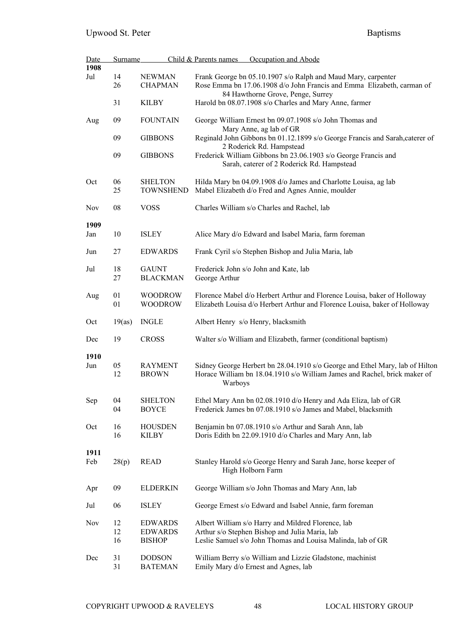| Date        | <b>Surname</b> |                                    | Child & Parents names<br>Occupation and Abode                                                                                                                        |
|-------------|----------------|------------------------------------|----------------------------------------------------------------------------------------------------------------------------------------------------------------------|
| 1908        |                |                                    |                                                                                                                                                                      |
| Jul         | 14<br>26       | <b>NEWMAN</b><br><b>CHAPMAN</b>    | Frank George bn 05.10.1907 s/o Ralph and Maud Mary, carpenter<br>Rose Emma bn 17.06.1908 d/o John Francis and Emma Elizabeth, carman of                              |
|             | 31             | <b>KILBY</b>                       | 84 Hawthorne Grove, Penge, Surrey<br>Harold bn 08.07.1908 s/o Charles and Mary Anne, farmer                                                                          |
| Aug         | 09             | <b>FOUNTAIN</b>                    | George William Ernest bn 09.07.1908 s/o John Thomas and<br>Mary Anne, ag lab of GR                                                                                   |
|             | 09             | <b>GIBBONS</b>                     | Reginald John Gibbons bn 01.12.1899 s/o George Francis and Sarah, caterer of<br>2 Roderick Rd. Hampstead                                                             |
|             | 09             | <b>GIBBONS</b>                     | Frederick William Gibbons bn 23.06.1903 s/o George Francis and<br>Sarah, caterer of 2 Roderick Rd. Hampstead                                                         |
| Oct         | 06<br>25       | <b>SHELTON</b><br><b>TOWNSHEND</b> | Hilda Mary bn 04.09.1908 d/o James and Charlotte Louisa, ag lab<br>Mabel Elizabeth d/o Fred and Agnes Annie, moulder                                                 |
| <b>Nov</b>  | 08             | <b>VOSS</b>                        | Charles William s/o Charles and Rachel, lab                                                                                                                          |
| 1909        |                |                                    |                                                                                                                                                                      |
| Jan         | 10             | <b>ISLEY</b>                       | Alice Mary d/o Edward and Isabel Maria, farm foreman                                                                                                                 |
| Jun         | 27             | <b>EDWARDS</b>                     | Frank Cyril s/o Stephen Bishop and Julia Maria, lab                                                                                                                  |
| Jul         | 18<br>27       | <b>GAUNT</b><br><b>BLACKMAN</b>    | Frederick John s/o John and Kate, lab<br>George Arthur                                                                                                               |
| Aug         | 01<br>01       | <b>WOODROW</b><br><b>WOODROW</b>   | Florence Mabel d/o Herbert Arthur and Florence Louisa, baker of Holloway<br>Elizabeth Louisa d/o Herbert Arthur and Florence Louisa, baker of Holloway               |
| Oct         | 19(as)         | <b>INGLE</b>                       | Albert Henry s/o Henry, blacksmith                                                                                                                                   |
| Dec         | 19             | <b>CROSS</b>                       | Walter s/o William and Elizabeth, farmer (conditional baptism)                                                                                                       |
| 1910        |                |                                    |                                                                                                                                                                      |
| Jun         | 05<br>12       | <b>RAYMENT</b><br><b>BROWN</b>     | Sidney George Herbert bn 28.04.1910 s/o George and Ethel Mary, lab of Hilton<br>Horace William bn 18.04.1910 s/o William James and Rachel, brick maker of<br>Warboys |
| Sep         | 04<br>04       | <b>SHELTON</b><br><b>BOYCE</b>     | Ethel Mary Ann bn 02.08.1910 d/o Henry and Ada Eliza, lab of GR<br>Frederick James bn 07.08.1910 s/o James and Mabel, blacksmith                                     |
| Oct         | 16<br>16       | <b>HOUSDEN</b><br><b>KILBY</b>     | Benjamin bn 07.08.1910 s/o Arthur and Sarah Ann, lab<br>Doris Edith bn 22.09.1910 d/o Charles and Mary Ann, lab                                                      |
| 1911<br>Feb | 28(p)          | <b>READ</b>                        | Stanley Harold s/o George Henry and Sarah Jane, horse keeper of<br>High Holborn Farm                                                                                 |
| Apr         | 09             | <b>ELDERKIN</b>                    | George William s/o John Thomas and Mary Ann, lab                                                                                                                     |
| Jul         | 06             | <b>ISLEY</b>                       | George Ernest s/o Edward and Isabel Annie, farm foreman                                                                                                              |
| Nov         | 12<br>12       | <b>EDWARDS</b><br><b>EDWARDS</b>   | Albert William s/o Harry and Mildred Florence, lab<br>Arthur s/o Stephen Bishop and Julia Maria, lab                                                                 |
|             | 16             | <b>BISHOP</b>                      | Leslie Samuel s/o John Thomas and Louisa Malinda, lab of GR                                                                                                          |
| Dec         | 31<br>31       | <b>DODSON</b><br><b>BATEMAN</b>    | William Berry s/o William and Lizzie Gladstone, machinist<br>Emily Mary d/o Ernest and Agnes, lab                                                                    |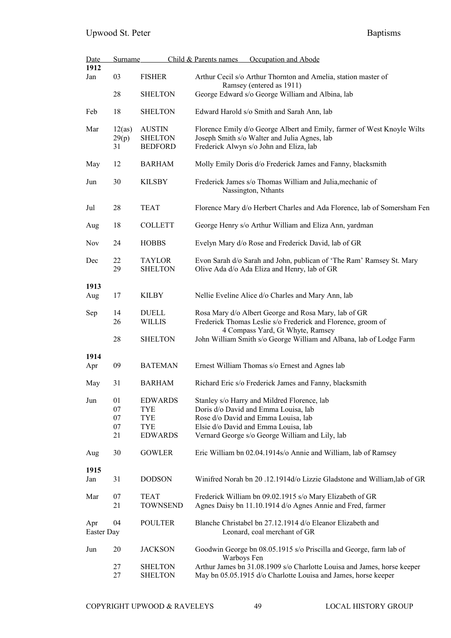| <u>Date</u>       | Surname                    |                                                                            | Child & Parents names<br>Occupation and Abode                                                                                                                                                                         |  |
|-------------------|----------------------------|----------------------------------------------------------------------------|-----------------------------------------------------------------------------------------------------------------------------------------------------------------------------------------------------------------------|--|
| 1912<br>Jan       | 03                         | <b>FISHER</b>                                                              | Arthur Cecil s/o Arthur Thornton and Amelia, station master of<br>Ramsey (entered as 1911)                                                                                                                            |  |
|                   | 28                         | <b>SHELTON</b>                                                             | George Edward s/o George William and Albina, lab                                                                                                                                                                      |  |
| Feb               | 18                         | <b>SHELTON</b>                                                             | Edward Harold s/o Smith and Sarah Ann, lab                                                                                                                                                                            |  |
| Mar               | 12(as)<br>29(p)<br>31      | <b>AUSTIN</b><br><b>SHELTON</b><br><b>BEDFORD</b>                          | Florence Emily d/o George Albert and Emily, farmer of West Knoyle Wilts<br>Joseph Smith s/o Walter and Julia Agnes, lab<br>Frederick Alwyn s/o John and Eliza, lab                                                    |  |
| May               | 12                         | <b>BARHAM</b>                                                              | Molly Emily Doris d/o Frederick James and Fanny, blacksmith                                                                                                                                                           |  |
| Jun               | 30                         | <b>KILSBY</b>                                                              | Frederick James s/o Thomas William and Julia, mechanic of<br>Nassington, Nthants                                                                                                                                      |  |
| Jul               | 28                         | <b>TEAT</b>                                                                | Florence Mary d/o Herbert Charles and Ada Florence, lab of Somersham Fen                                                                                                                                              |  |
| Aug               | 18                         | <b>COLLETT</b>                                                             | George Henry s/o Arthur William and Eliza Ann, yardman                                                                                                                                                                |  |
| Nov               | 24                         | <b>HOBBS</b>                                                               | Evelyn Mary d/o Rose and Frederick David, lab of GR                                                                                                                                                                   |  |
| Dec               | 22<br>29                   | <b>TAYLOR</b><br><b>SHELTON</b>                                            | Evon Sarah d/o Sarah and John, publican of 'The Ram' Ramsey St. Mary<br>Olive Ada d/o Ada Eliza and Henry, lab of GR                                                                                                  |  |
| 1913<br>Aug       | 17                         | <b>KILBY</b>                                                               | Nellie Eveline Alice d/o Charles and Mary Ann, lab                                                                                                                                                                    |  |
| Sep               | 14<br>26                   | <b>DUELL</b><br><b>WILLIS</b>                                              | Rosa Mary d/o Albert George and Rosa Mary, lab of GR<br>Frederick Thomas Leslie s/o Frederick and Florence, groom of<br>4 Compass Yard, Gt Whyte, Ramsey                                                              |  |
|                   | 28                         | <b>SHELTON</b>                                                             | John William Smith s/o George William and Albana, lab of Lodge Farm                                                                                                                                                   |  |
| 1914<br>Apr       | 09                         | <b>BATEMAN</b>                                                             | Ernest William Thomas s/o Ernest and Agnes lab                                                                                                                                                                        |  |
| May               | 31                         | <b>BARHAM</b>                                                              | Richard Eric s/o Frederick James and Fanny, blacksmith                                                                                                                                                                |  |
| Jun               | 01<br>07<br>07<br>07<br>21 | <b>EDWARDS</b><br><b>TYE</b><br><b>TYE</b><br><b>TYE</b><br><b>EDWARDS</b> | Stanley s/o Harry and Mildred Florence, lab<br>Doris d/o David and Emma Louisa, lab<br>Rose d/o David and Emma Louisa, lab<br>Elsie d/o David and Emma Louisa, lab<br>Vernard George s/o George William and Lily, lab |  |
| Aug               | 30                         | <b>GOWLER</b>                                                              | Eric William bn 02.04.1914s/o Annie and William, lab of Ramsey                                                                                                                                                        |  |
| 1915              |                            |                                                                            |                                                                                                                                                                                                                       |  |
| Jan               | 31                         | <b>DODSON</b>                                                              | Winifred Norah bn 20 .12.1914d/o Lizzie Gladstone and William, lab of GR                                                                                                                                              |  |
| Mar               | 07<br>21                   | <b>TEAT</b><br><b>TOWNSEND</b>                                             | Frederick William bn 09.02.1915 s/o Mary Elizabeth of GR<br>Agnes Daisy bn 11.10.1914 d/o Agnes Annie and Fred, farmer                                                                                                |  |
| Apr<br>Easter Day | 04                         | <b>POULTER</b>                                                             | Blanche Christabel bn 27.12.1914 d/o Eleanor Elizabeth and<br>Leonard, coal merchant of GR                                                                                                                            |  |
| Jun               | 20                         | <b>JACKSON</b>                                                             | Goodwin George bn 08.05.1915 s/o Priscilla and George, farm lab of<br>Warboys Fen                                                                                                                                     |  |
|                   | 27<br>27                   | <b>SHELTON</b><br><b>SHELTON</b>                                           | Arthur James bn 31.08.1909 s/o Charlotte Louisa and James, horse keeper<br>May bn 05.05.1915 d/o Charlotte Louisa and James, horse keeper                                                                             |  |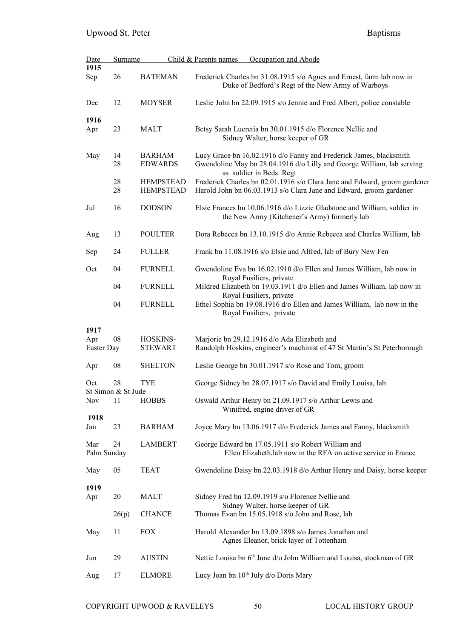| <b>Date</b>        | Surname                  |                  | Occupation and Abode<br>Child & Parents names                                                                              |
|--------------------|--------------------------|------------------|----------------------------------------------------------------------------------------------------------------------------|
| 1915               |                          |                  |                                                                                                                            |
| Sep                | 26                       | <b>BATEMAN</b>   | Frederick Charles bn 31.08.1915 s/o Agnes and Ernest, farm lab now in<br>Duke of Bedford's Regt of the New Army of Warboys |
| Dec                | 12                       | <b>MOYSER</b>    | Leslie John bn 22.09.1915 s/o Jennie and Fred Albert, police constable                                                     |
| 1916               |                          |                  |                                                                                                                            |
| Apr                | 23                       | <b>MALT</b>      | Betsy Sarah Lucretia bn 30.01.1915 d/o Florence Nellie and<br>Sidney Walter, horse keeper of GR                            |
| May                | 14                       | <b>BARHAM</b>    | Lucy Grace bn 16.02.1916 d/o Fanny and Frederick James, blacksmith                                                         |
|                    | 28                       | <b>EDWARDS</b>   | Gwendoline May bn 28.04.1916 d/o Lilly and George William, lab serving<br>as soldier in Beds. Regt                         |
|                    | 28                       | <b>HEMPSTEAD</b> | Frederick Charles bn 02.01.1916 s/o Clara Jane and Edward, groom gardener                                                  |
|                    | 28                       | <b>HEMPSTEAD</b> | Harold John bn 06.03.1913 s/o Clara Jane and Edward, groom gardener                                                        |
| Jul                | 16                       | <b>DODSON</b>    | Elsie Frances bn 10.06.1916 d/o Lizzie Gladstone and William, soldier in<br>the New Army (Kitchener's Army) formerly lab   |
| Aug                | 13                       | <b>POULTER</b>   | Dora Rebecca bn 13.10.1915 d/o Annie Rebecca and Charles William, lab                                                      |
| Sep                | 24                       | <b>FULLER</b>    | Frank bn 11.08.1916 s/o Elsie and Alfred, lab of Bury New Fen                                                              |
| Oct                | 04                       | <b>FURNELL</b>   | Gwendoline Eva bn 16.02.1910 d/o Ellen and James William, lab now in<br>Royal Fusiliers, private                           |
|                    | 04                       | <b>FURNELL</b>   | Mildred Elizabeth bn 19.03.1911 d/o Ellen and James William, lab now in<br>Royal Fusiliers, private                        |
|                    | 04                       | <b>FURNELL</b>   | Ethel Sophia bn 19.08.1916 d/o Ellen and James William, lab now in the<br>Royal Fusiliers, private                         |
| 1917               |                          |                  |                                                                                                                            |
| Apr                | 08                       | HOSKINS-         | Marjorie bn 29.12.1916 d/o Ada Elizabeth and                                                                               |
| Easter Day         |                          | <b>STEWART</b>   | Randolph Hoskins, engineer's machinist of 47 St Martin's St Peterborough                                                   |
| Apr                | 08                       | <b>SHELTON</b>   | Leslie George bn 30.01.1917 s/o Rose and Tom, groom                                                                        |
| Oct                | 28<br>St Simon & St Jude | <b>TYE</b>       | George Sidney bn 28.07.1917 s/o David and Emily Louisa, lab                                                                |
| <b>Nov</b>         | 11                       | <b>HOBBS</b>     | Oswald Arthur Henry bn 21.09.1917 s/o Arthur Lewis and<br>Winifred, engine driver of GR                                    |
| 1918               |                          |                  |                                                                                                                            |
| Jan                | 23                       | <b>BARHAM</b>    | Joyce Mary bn 13.06.1917 d/o Frederick James and Fanny, blacksmith                                                         |
| Mar<br>Palm Sunday | 24                       | <b>LAMBERT</b>   | George Edward bn 17.05.1911 s/o Robert William and<br>Ellen Elizabeth, lab now in the RFA on active service in France      |
| May                | 05                       | <b>TEAT</b>      | Gwendoline Daisy bn 22.03.1918 d/o Arthur Henry and Daisy, horse keeper                                                    |
| 1919               |                          |                  |                                                                                                                            |
| Apr                | 20                       | <b>MALT</b>      | Sidney Fred bn 12.09.1919 s/o Florence Nellie and                                                                          |
|                    | 26(p)                    | <b>CHANCE</b>    | Sidney Walter, horse keeper of GR<br>Thomas Evan bn 15.05.1918 s/o John and Rose, lab                                      |
| May                | 11                       | <b>FOX</b>       | Harold Alexander bn 13.09.1898 s/o James Jonathan and<br>Agnes Eleanor, brick layer of Tottenham                           |
| Jun                | 29                       | <b>AUSTIN</b>    | Nettie Louisa bn 6 <sup>th</sup> June d/o John William and Louisa, stockman of GR                                          |
| Aug                | 17                       | <b>ELMORE</b>    | Lucy Joan bn 10 <sup>th</sup> July d/o Doris Mary                                                                          |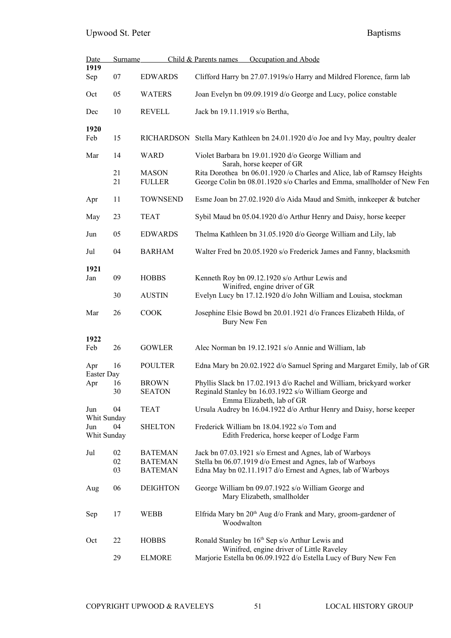## Upwood St. Peter Baptisms

| Date               | Surname |                 | Child & Parents names<br>Occupation and Abode                                                            |  |  |
|--------------------|---------|-----------------|----------------------------------------------------------------------------------------------------------|--|--|
| 1919               |         |                 |                                                                                                          |  |  |
| Sep                | 07      | <b>EDWARDS</b>  | Clifford Harry bn 27.07.1919s/o Harry and Mildred Florence, farm lab                                     |  |  |
| Oct                | 05      | <b>WATERS</b>   | Joan Evelyn bn 09.09.1919 d/o George and Lucy, police constable                                          |  |  |
| Dec                | 10      | <b>REVELL</b>   | Jack bn 19.11.1919 s/o Bertha,                                                                           |  |  |
| 1920               |         |                 |                                                                                                          |  |  |
| Feb                | 15      |                 | RICHARDSON Stella Mary Kathleen bn 24.01.1920 d/o Joe and Ivy May, poultry dealer                        |  |  |
| Mar                | 14      | <b>WARD</b>     | Violet Barbara bn 19.01.1920 d/o George William and<br>Sarah, horse keeper of GR                         |  |  |
|                    | 21      | <b>MASON</b>    | Rita Dorothea bn 06.01.1920 /o Charles and Alice, lab of Ramsey Heights                                  |  |  |
|                    | 21      | <b>FULLER</b>   | George Colin bn 08.01.1920 s/o Charles and Emma, smallholder of New Fen                                  |  |  |
|                    |         |                 |                                                                                                          |  |  |
| Apr                | 11      | <b>TOWNSEND</b> | Esme Joan bn 27.02.1920 d/o Aida Maud and Smith, innkeeper & butcher                                     |  |  |
| May                | 23      | <b>TEAT</b>     | Sybil Maud bn 05.04.1920 d/o Arthur Henry and Daisy, horse keeper                                        |  |  |
| Jun                | 05      | <b>EDWARDS</b>  | Thelma Kathleen bn 31.05.1920 d/o George William and Lily, lab                                           |  |  |
| Jul                | 04      | <b>BARHAM</b>   | Walter Fred bn 20.05.1920 s/o Frederick James and Fanny, blacksmith                                      |  |  |
| 1921               |         |                 |                                                                                                          |  |  |
| Jan                | 09      | <b>HOBBS</b>    | Kenneth Roy bn 09.12.1920 s/o Arthur Lewis and<br>Winifred, engine driver of GR                          |  |  |
|                    | 30      | <b>AUSTIN</b>   | Evelyn Lucy bn 17.12.1920 d/o John William and Louisa, stockman                                          |  |  |
| Mar                | 26      | <b>COOK</b>     | Josephine Elsie Bowd bn 20.01.1921 d/o Frances Elizabeth Hilda, of<br>Bury New Fen                       |  |  |
|                    |         |                 |                                                                                                          |  |  |
| 1922               |         |                 |                                                                                                          |  |  |
| Feb                | 26      | <b>GOWLER</b>   | Alec Norman bn 19.12.1921 s/o Annie and William, lab                                                     |  |  |
| Apr<br>Easter Day  | 16      | <b>POULTER</b>  | Edna Mary bn 20.02.1922 d/o Samuel Spring and Margaret Emily, lab of GR                                  |  |  |
| Apr                | 16      | <b>BROWN</b>    | Phyllis Slack bn 17.02.1913 d/o Rachel and William, brickyard worker                                     |  |  |
|                    | 30      | <b>SEATON</b>   | Reginald Stanley bn 16.03.1922 s/o William George and                                                    |  |  |
|                    |         |                 | Emma Elizabeth, lab of GR                                                                                |  |  |
| Jun<br>Whit Sunday | 04      | <b>TEAT</b>     | Ursula Audrey bn 16.04.1922 d/o Arthur Henry and Daisy, horse keeper                                     |  |  |
| Jun                | 04      | <b>SHELTON</b>  | Frederick William bn 18.04.1922 s/o Tom and                                                              |  |  |
| Whit Sunday        |         |                 | Edith Frederica, horse keeper of Lodge Farm                                                              |  |  |
| Jul                | 02      | <b>BATEMAN</b>  | Jack bn 07.03.1921 s/o Ernest and Agnes, lab of Warboys                                                  |  |  |
|                    | 02      | <b>BATEMAN</b>  | Stella bn 06.07.1919 d/o Ernest and Agnes, lab of Warboys                                                |  |  |
|                    | 03      | <b>BATEMAN</b>  | Edna May bn 02.11.1917 d/o Ernest and Agnes, lab of Warboys                                              |  |  |
| Aug                | 06      | <b>DEIGHTON</b> | George William bn 09.07.1922 s/o William George and<br>Mary Elizabeth, smallholder                       |  |  |
| Sep                | 17      | <b>WEBB</b>     | Elfrida Mary bn 20 <sup>th</sup> Aug d/o Frank and Mary, groom-gardener of<br>Woodwalton                 |  |  |
| Oct                | 22      | <b>HOBBS</b>    | Ronald Stanley bn 16 <sup>th</sup> Sep s/o Arthur Lewis and<br>Winifred, engine driver of Little Raveley |  |  |
|                    | 29      | <b>ELMORE</b>   | Marjorie Estella bn 06.09.1922 d/o Estella Lucy of Bury New Fen                                          |  |  |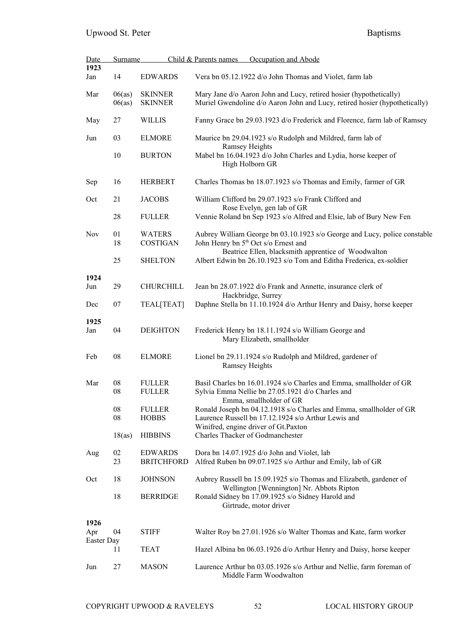| <b>Date</b>       | <b>Surname</b>   |                                     | Child & Parents names<br>Occupation and Abode                                                                                                    |
|-------------------|------------------|-------------------------------------|--------------------------------------------------------------------------------------------------------------------------------------------------|
| 1923<br>Jan       | 14               | <b>EDWARDS</b>                      | Vera bn 05.12.1922 d/o John Thomas and Violet, farm lab                                                                                          |
| Mar               | 06(as)<br>06(as) | <b>SKINNER</b><br><b>SKINNER</b>    | Mary Jane d/o Aaron John and Lucy, retired hosier (hypothetically)<br>Muriel Gwendoline d/o Aaron John and Lucy, retired hosier (hypothetically) |
| May               | 27               | <b>WILLIS</b>                       | Fanny Grace bn 29.03.1923 d/o Frederick and Florence, farm lab of Ramsey                                                                         |
| Jun               | 03               | <b>ELMORE</b>                       | Maurice bn 29.04.1923 s/o Rudolph and Mildred, farm lab of<br><b>Ramsey Heights</b>                                                              |
|                   | 10               | <b>BURTON</b>                       | Mabel bn 16.04.1923 d/o John Charles and Lydia, horse keeper of<br>High Holborn GR                                                               |
| Sep               | 16               | <b>HERBERT</b>                      | Charles Thomas bn 18.07.1923 s/o Thomas and Emily, farmer of GR                                                                                  |
| Oct               | 21               | <b>JACOBS</b>                       | William Clifford bn 29.07.1923 s/o Frank Clifford and<br>Rose Evelyn, gen lab of GR                                                              |
|                   | 28               | <b>FULLER</b>                       | Vennie Roland bn Sep 1923 s/o Alfred and Elsie, lab of Bury New Fen                                                                              |
| <b>Nov</b>        | 01<br>18         | <b>WATERS</b><br><b>COSTIGAN</b>    | Aubrey William George bn 03.10.1923 s/o George and Lucy, police constable<br>John Henry bn 5 <sup>th</sup> Oct s/o Ernest and                    |
|                   | 25               | <b>SHELTON</b>                      | Beatrice Ellen, blacksmith apprentice of Woodwalton<br>Albert Edwin bn 26.10.1923 s/o Tom and Editha Frederica, ex-soldier                       |
| 1924              |                  |                                     |                                                                                                                                                  |
| Jun               | 29               | <b>CHURCHILL</b>                    | Jean bn 28.07.1922 d/o Frank and Annette, insurance clerk of<br>Hackbridge, Surrey                                                               |
| Dec               | 07               | <b>TEAL[TEAT]</b>                   | Daphne Stella bn 11.10.1924 d/o Arthur Henry and Daisy, horse keeper                                                                             |
| 1925<br>Jan       | 04               | <b>DEIGHTON</b>                     | Frederick Henry bn 18.11.1924 s/o William George and<br>Mary Elizabeth, smallholder                                                              |
| Feb               | 08               | <b>ELMORE</b>                       | Lionel bn 29.11.1924 s/o Rudolph and Mildred, gardener of<br><b>Ramsey Heights</b>                                                               |
| Mar               | 08               | <b>FULLER</b>                       | Basil Charles bn 16.01.1924 s/o Charles and Emma, smallholder of GR                                                                              |
|                   | 08               | <b>FULLER</b>                       | Sylvia Emma Nellie bn 27.05.1921 d/o Charles and<br>Emma, smallholder of GR                                                                      |
|                   | 08<br>08         | <b>FULLER</b><br><b>HOBBS</b>       | Ronald Joseph bn 04.12.1918 s/o Charles and Emma, smallholder of GR<br>Laurence Russell bn 17.12.1924 s/o Arthur Lewis and                       |
|                   | 18(as)           | <b>HIBBINS</b>                      | Winifred, engine driver of Gt.Paxton<br>Charles Thacker of Godmanchester                                                                         |
|                   |                  |                                     |                                                                                                                                                  |
| Aug               | 02<br>23         | <b>EDWARDS</b><br><b>BRITCHFORD</b> | Dora bn 14.07.1925 d/o John and Violet, lab<br>Alfred Ruben bn 09.07.1925 s/o Arthur and Emily, lab of GR                                        |
| Oct               | 18               | <b>JOHNSON</b>                      | Aubrey Russell bn 15.09.1925 s/o Thomas and Elizabeth, gardener of<br>Wellington [Wennington] Nr. Abbots Ripton                                  |
|                   | 18               | <b>BERRIDGE</b>                     | Ronald Sidney bn 17.09.1925 s/o Sidney Harold and<br>Girtrude, motor driver                                                                      |
| 1926              |                  |                                     |                                                                                                                                                  |
| Apr<br>Easter Day | 04               | <b>STIFF</b>                        | Walter Roy bn 27.01.1926 s/o Walter Thomas and Kate, farm worker                                                                                 |
|                   | 11               | <b>TEAT</b>                         | Hazel Albina bn 06.03.1926 d/o Arthur Henry and Daisy, horse keeper                                                                              |
| Jun               | 27               | <b>MASON</b>                        | Laurence Arthur bn 03.05.1926 s/o Arthur and Nellie, farm foreman of<br>Middle Farm Woodwalton                                                   |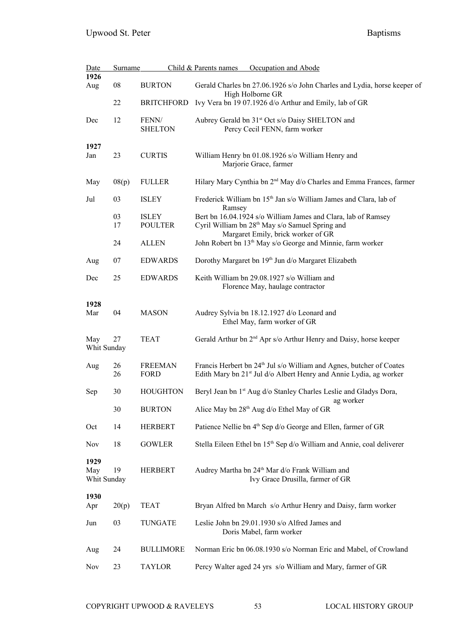| <b>Date</b>        | Surname    |                   | Child & Parents names<br>Occupation and Abode                                                                |
|--------------------|------------|-------------------|--------------------------------------------------------------------------------------------------------------|
| 1926               |            |                   |                                                                                                              |
| Aug                | ${\bf 08}$ | <b>BURTON</b>     | Gerald Charles bn 27.06.1926 s/o John Charles and Lydia, horse keeper of<br>High Holborne GR                 |
|                    | 22         | <b>BRITCHFORD</b> | Ivy Vera bn 19 07.1926 d/o Arthur and Emily, lab of GR                                                       |
| Dec                | 12         | FENN/             | Aubrey Gerald bn 31 <sup>st</sup> Oct s/o Daisy SHELTON and                                                  |
|                    |            | <b>SHELTON</b>    | Percy Cecil FENN, farm worker                                                                                |
| 1927               |            |                   |                                                                                                              |
| Jan                | 23         | <b>CURTIS</b>     | William Henry bn 01.08.1926 s/o William Henry and<br>Marjorie Grace, farmer                                  |
| May                | 08(p)      | <b>FULLER</b>     | Hilary Mary Cynthia bn 2 <sup>nd</sup> May d/o Charles and Emma Frances, farmer                              |
| Jul                | 03         | <b>ISLEY</b>      | Frederick William bn 15 <sup>th</sup> Jan s/o William James and Clara, lab of<br>Ramsey                      |
|                    | 03         | <b>ISLEY</b>      | Bert bn 16.04.1924 s/o William James and Clara, lab of Ramsey                                                |
|                    | 17         | <b>POULTER</b>    | Cyril William bn 28 <sup>th</sup> May s/o Samuel Spring and                                                  |
|                    | 24         | <b>ALLEN</b>      | Margaret Emily, brick worker of GR<br>John Robert bn 13 <sup>th</sup> May s/o George and Minnie, farm worker |
| Aug                | 07         | <b>EDWARDS</b>    | Dorothy Margaret bn 19th Jun d/o Margaret Elizabeth                                                          |
| Dec                | 25         | <b>EDWARDS</b>    | Keith William bn 29.08.1927 s/o William and                                                                  |
|                    |            |                   | Florence May, haulage contractor                                                                             |
| 1928               |            |                   |                                                                                                              |
| Mar                | 04         | <b>MASON</b>      | Audrey Sylvia bn 18.12.1927 d/o Leonard and<br>Ethel May, farm worker of GR                                  |
| May                | 27         | <b>TEAT</b>       | Gerald Arthur bn 2 <sup>nd</sup> Apr s/o Arthur Henry and Daisy, horse keeper                                |
| Whit Sunday        |            |                   |                                                                                                              |
| Aug                | 26         | <b>FREEMAN</b>    | Francis Herbert bn 24 <sup>th</sup> Jul s/o William and Agnes, butcher of Coates                             |
|                    | 26         | FORD              | Edith Mary bn 21 <sup>st</sup> Jul d/o Albert Henry and Annie Lydia, ag worker                               |
| Sep                | 30         | <b>HOUGHTON</b>   | Beryl Jean bn 1 <sup>st</sup> Aug d/o Stanley Charles Leslie and Gladys Dora,<br>ag worker                   |
|                    | 30         | <b>BURTON</b>     | Alice May bn 28 <sup>th</sup> Aug d/o Ethel May of GR                                                        |
| Oct                | 14         | <b>HERBERT</b>    | Patience Nellie bn 4 <sup>th</sup> Sep d/o George and Ellen, farmer of GR                                    |
| <b>Nov</b>         | 18         | <b>GOWLER</b>     | Stella Eileen Ethel bn 15 <sup>th</sup> Sep d/o William and Annie, coal deliverer                            |
| 1929               |            |                   |                                                                                                              |
| May<br>Whit Sunday | 19         | <b>HERBERT</b>    | Audrey Martha bn 24 <sup>th</sup> Mar d/o Frank William and<br>Ivy Grace Drusilla, farmer of GR              |
|                    |            |                   |                                                                                                              |
| 1930<br>Apr        | 20(p)      | <b>TEAT</b>       | Bryan Alfred bn March s/o Arthur Henry and Daisy, farm worker                                                |
| Jun                | 03         | <b>TUNGATE</b>    | Leslie John bn 29.01.1930 s/o Alfred James and<br>Doris Mabel, farm worker                                   |
| Aug                | 24         | <b>BULLIMORE</b>  | Norman Eric bn 06.08.1930 s/o Norman Eric and Mabel, of Crowland                                             |
| <b>Nov</b>         | 23         | <b>TAYLOR</b>     | Percy Walter aged 24 yrs s/o William and Mary, farmer of GR                                                  |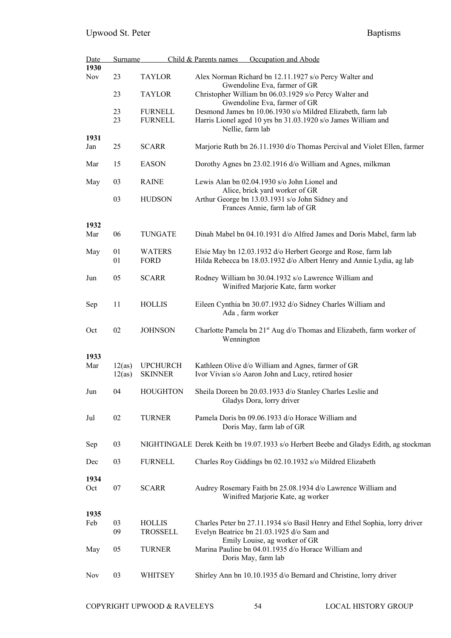| <b>Date</b> | Surname |                 | Child & Parents names | Occupation and Abode                                                                   |
|-------------|---------|-----------------|-----------------------|----------------------------------------------------------------------------------------|
| 1930        |         |                 |                       |                                                                                        |
| <b>Nov</b>  | 23      | <b>TAYLOR</b>   |                       | Alex Norman Richard bn 12.11.1927 s/o Percy Walter and<br>Gwendoline Eva, farmer of GR |
|             | 23      | <b>TAYLOR</b>   |                       | Christopher William bn 06.03.1929 s/o Percy Walter and<br>Gwendoline Eva, farmer of GR |
|             | 23      | <b>FURNELL</b>  |                       | Desmond James bn 10.06.1930 s/o Mildred Elizabeth, farm lab                            |
|             | 23      | <b>FURNELL</b>  | Nellie, farm lab      | Harris Lionel aged 10 yrs bn 31.03.1920 s/o James William and                          |
| 1931        |         |                 |                       |                                                                                        |
| Jan         | 25      | <b>SCARR</b>    |                       | Marjorie Ruth bn 26.11.1930 d/o Thomas Percival and Violet Ellen, farmer               |
| Mar         | 15      | <b>EASON</b>    |                       | Dorothy Agnes bn 23.02.1916 d/o William and Agnes, milkman                             |
| May         | 03      | <b>RAINE</b>    |                       | Lewis Alan bn 02.04.1930 s/o John Lionel and<br>Alice, brick yard worker of GR         |
|             | 03      | <b>HUDSON</b>   |                       | Arthur George bn 13.03.1931 s/o John Sidney and                                        |
|             |         |                 |                       | Frances Annie, farm lab of GR                                                          |
| 1932        |         |                 |                       |                                                                                        |
| Mar         | 06      | <b>TUNGATE</b>  |                       | Dinah Mabel bn 04.10.1931 d/o Alfred James and Doris Mabel, farm lab                   |
| May         | 01      | <b>WATERS</b>   |                       | Elsie May bn 12.03.1932 d/o Herbert George and Rose, farm lab                          |
|             | 01      | <b>FORD</b>     |                       | Hilda Rebecca bn 18.03.1932 d/o Albert Henry and Annie Lydia, ag lab                   |
| Jun         | 05      | <b>SCARR</b>    |                       | Rodney William bn 30.04.1932 s/o Lawrence William and                                  |
|             |         |                 |                       | Winifred Marjorie Kate, farm worker                                                    |
| Sep         | 11      | <b>HOLLIS</b>   |                       | Eileen Cynthia bn 30.07.1932 d/o Sidney Charles William and                            |
|             |         |                 | Ada, farm worker      |                                                                                        |
| Oct         | 02      | <b>JOHNSON</b>  | Wennington            | Charlotte Pamela bn 21 <sup>st</sup> Aug d/o Thomas and Elizabeth, farm worker of      |
| 1933        |         |                 |                       |                                                                                        |
| Mar         | 12(as)  | <b>UPCHURCH</b> |                       | Kathleen Olive d/o William and Agnes, farmer of GR                                     |
|             | 12(as)  | <b>SKINNER</b>  |                       | Ivor Vivian s/o Aaron John and Lucy, retired hosier                                    |
| Jun         | 04      | <b>HOUGHTON</b> |                       | Sheila Doreen bn 20.03.1933 d/o Stanley Charles Leslie and                             |
|             |         |                 |                       | Gladys Dora, lorry driver                                                              |
| Jul         | 02      | <b>TURNER</b>   |                       | Pamela Doris bn 09.06.1933 d/o Horace William and                                      |
|             |         |                 |                       | Doris May, farm lab of GR                                                              |
| Sep         | 03      |                 |                       | NIGHTINGALE Derek Keith bn 19.07.1933 s/o Herbert Beebe and Gladys Edith, ag stockman  |
| Dec         | 03      | <b>FURNELL</b>  |                       | Charles Roy Giddings bn 02.10.1932 s/o Mildred Elizabeth                               |
| 1934        |         |                 |                       |                                                                                        |
| Oct         | 07      | <b>SCARR</b>    |                       | Audrey Rosemary Faith bn 25.08.1934 d/o Lawrence William and                           |
|             |         |                 |                       | Winifred Marjorie Kate, ag worker                                                      |
| 1935        |         |                 |                       |                                                                                        |
| Feb         | 03      | <b>HOLLIS</b>   |                       | Charles Peter bn 27.11.1934 s/o Basil Henry and Ethel Sophia, lorry driver             |
|             | 09      | <b>TROSSELL</b> |                       | Evelyn Beatrice bn 21.03.1925 d/o Sam and<br>Emily Louise, ag worker of GR             |
| May         | 05      | <b>TURNER</b>   |                       | Marina Pauline bn 04.01.1935 d/o Horace William and                                    |
|             |         |                 |                       | Doris May, farm lab                                                                    |
| <b>Nov</b>  | 03      | WHITSEY         |                       | Shirley Ann bn 10.10.1935 d/o Bernard and Christine, lorry driver                      |
|             |         |                 |                       |                                                                                        |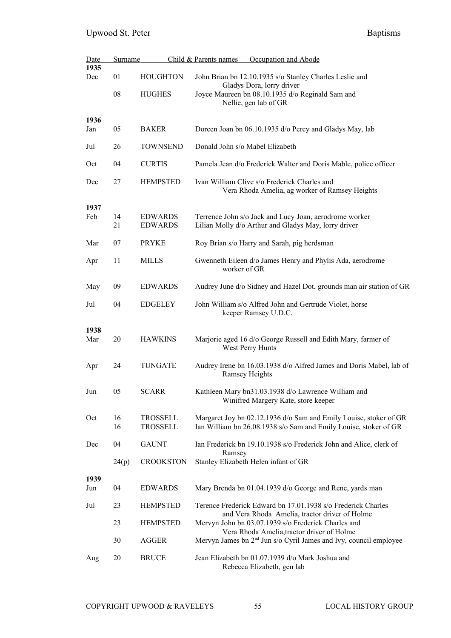| Date        | <b>Surname</b> |                                    | Child & Parents names<br>Occupation and Abode                                                                                         |
|-------------|----------------|------------------------------------|---------------------------------------------------------------------------------------------------------------------------------------|
| 1935<br>Dec | 01             | <b>HOUGHTON</b>                    | John Brian bn 12.10.1935 s/o Stanley Charles Leslie and<br>Gladys Dora, lorry driver                                                  |
|             | 08             | <b>HUGHES</b>                      | Joyce Maureen bn 08.10.1935 d/o Reginald Sam and<br>Nellie, gen lab of GR                                                             |
| 1936<br>Jan | 05             | <b>BAKER</b>                       | Doreen Joan bn 06.10.1935 d/o Percy and Gladys May, lab                                                                               |
| Jul         | 26             | <b>TOWNSEND</b>                    | Donald John s/o Mabel Elizabeth                                                                                                       |
| Oct         | 04             | <b>CURTIS</b>                      | Pamela Jean d/o Frederick Walter and Doris Mable, police officer                                                                      |
| Dec         | 27             | <b>HEMPSTED</b>                    | Ivan William Clive s/o Frederick Charles and<br>Vera Rhoda Amelia, ag worker of Ramsey Heights                                        |
| 1937<br>Feb | 14<br>21       | <b>EDWARDS</b><br><b>EDWARDS</b>   | Terrence John s/o Jack and Lucy Joan, aerodrome worker<br>Lilian Molly d/o Arthur and Gladys May, lorry driver                        |
| Mar         | 07             | <b>PRYKE</b>                       | Roy Brian s/o Harry and Sarah, pig herdsman                                                                                           |
| Apr         | 11             | <b>MILLS</b>                       | Gwenneth Eileen d/o James Henry and Phylis Ada, aerodrome<br>worker of GR                                                             |
| May         | 09             | <b>EDWARDS</b>                     | Audrey June d/o Sidney and Hazel Dot, grounds man air station of GR                                                                   |
| Jul         | 04             | <b>EDGELEY</b>                     | John William s/o Alfred John and Gertrude Violet, horse<br>keeper Ramsey U.D.C.                                                       |
| 1938<br>Mar | 20             | <b>HAWKINS</b>                     | Marjorie aged 16 d/o George Russell and Edith Mary, farmer of<br>West Perry Hunts                                                     |
| Apr         | 24             | <b>TUNGATE</b>                     | Audrey Irene bn 16.03.1938 d/o Alfred James and Doris Mabel, lab of<br>Ramsey Heights                                                 |
| Jun         | 05             | <b>SCARR</b>                       | Kathleen Mary bn31.03.1938 d/o Lawrence William and<br>Winifred Margery Kate, store keeper                                            |
| Oct         | 16<br>16       | <b>TROSSELL</b><br><b>TROSSELL</b> | Margaret Joy bn 02.12.1936 d/o Sam and Emily Louise, stoker of GR<br>Ian William bn 26.08.1938 s/o Sam and Emily Louise, stoker of GR |
| Dec         | 04             | <b>GAUNT</b>                       | Ian Frederick bn 19.10.1938 s/o Frederick John and Alice, clerk of                                                                    |
|             | 24(p)          | <b>CROOKSTON</b>                   | Ramsey<br>Stanley Elizabeth Helen infant of GR                                                                                        |
| 1939        |                |                                    |                                                                                                                                       |
| Jun         | 04             | <b>EDWARDS</b>                     | Mary Brenda bn 01.04.1939 d/o George and Rene, yards man                                                                              |
| Jul         | 23             | <b>HEMPSTED</b>                    | Terence Frederick Edward bn 17.01.1938 s/o Frederick Charles<br>and Vera Rhoda Amelia, tractor driver of Holme                        |
|             | 23             | <b>HEMPSTED</b>                    | Mervyn John bn 03.07.1939 s/o Frederick Charles and<br>Vera Rhoda Amelia, tractor driver of Holme                                     |
|             | 30             | <b>AGGER</b>                       | Mervyn James bn 2 <sup>nd</sup> Jun s/o Cyril James and Ivy, council employee                                                         |
| Aug         | 20             | <b>BRUCE</b>                       | Jean Elizabeth bn 01.07.1939 d/o Mark Joshua and<br>Rebecca Elizabeth, gen lab                                                        |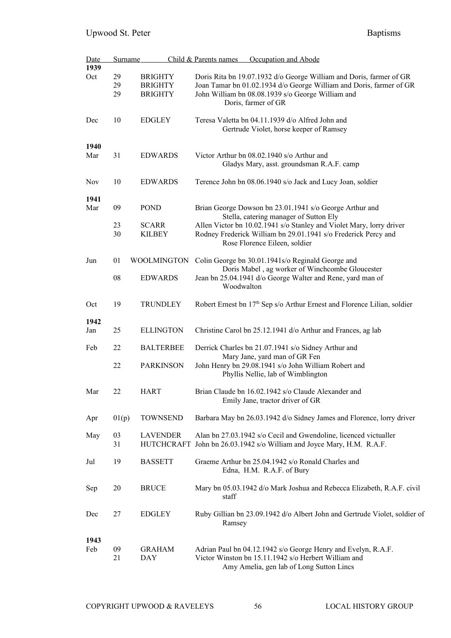| <b>Date</b> | Surname  |                                      | Occupation and Abode<br>Child & Parents names                                                                                                                     |
|-------------|----------|--------------------------------------|-------------------------------------------------------------------------------------------------------------------------------------------------------------------|
| 1939        |          |                                      |                                                                                                                                                                   |
| Oct         | 29       | <b>BRIGHTY</b>                       | Doris Rita bn 19.07.1932 d/o George William and Doris, farmer of GR                                                                                               |
|             | 29       | <b>BRIGHTY</b>                       | Joan Tamar bn 01.02.1934 d/o George William and Doris, farmer of GR                                                                                               |
|             | 29       | <b>BRIGHTY</b>                       | John William bn 08.08.1939 s/o George William and<br>Doris, farmer of GR                                                                                          |
| Dec         | 10       | <b>EDGLEY</b>                        | Teresa Valetta bn 04.11.1939 d/o Alfred John and<br>Gertrude Violet, horse keeper of Ramsey                                                                       |
| 1940        |          |                                      |                                                                                                                                                                   |
| Mar         | 31       | <b>EDWARDS</b>                       | Victor Arthur bn 08.02.1940 s/o Arthur and<br>Gladys Mary, asst. groundsman R.A.F. camp                                                                           |
| <b>Nov</b>  | 10       | <b>EDWARDS</b>                       | Terence John bn 08.06.1940 s/o Jack and Lucy Joan, soldier                                                                                                        |
| 1941        |          |                                      |                                                                                                                                                                   |
| Mar         | 09       | <b>POND</b>                          | Brian George Dowson bn 23.01.1941 s/o George Arthur and<br>Stella, catering manager of Sutton Ely                                                                 |
|             | 23       | <b>SCARR</b>                         | Allen Victor bn 10.02.1941 s/o Stanley and Violet Mary, lorry driver                                                                                              |
|             | 30       | <b>KILBEY</b>                        | Rodney Frederick William bn 29.01.1941 s/o Frederick Percy and<br>Rose Florence Eileen, soldier                                                                   |
| Jun         | 01       | <b>WOOLMINGTON</b>                   | Colin George bn 30.01.1941s/o Reginald George and                                                                                                                 |
|             |          |                                      | Doris Mabel, ag worker of Winchcombe Gloucester                                                                                                                   |
|             | 08       | <b>EDWARDS</b>                       | Jean bn 25.04.1941 d/o George Walter and Rene, yard man of<br>Woodwalton                                                                                          |
| Oct         | 19       | <b>TRUNDLEY</b>                      | Robert Ernest bn 17 <sup>th</sup> Sep s/o Arthur Ernest and Florence Lilian, soldier                                                                              |
| 1942        |          |                                      |                                                                                                                                                                   |
| Jan         | 25       | <b>ELLINGTON</b>                     | Christine Carol bn 25.12.1941 d/o Arthur and Frances, ag lab                                                                                                      |
| Feb         | 22       | <b>BALTERBEE</b>                     | Derrick Charles bn 21.07.1941 s/o Sidney Arthur and<br>Mary Jane, yard man of GR Fen                                                                              |
|             | 22       | <b>PARKINSON</b>                     | John Henry bn 29.08.1941 s/o John William Robert and<br>Phyllis Nellie, lab of Wimblington                                                                        |
| Mar         | 22       | <b>HART</b>                          | Brian Claude bn 16.02.1942 s/o Claude Alexander and<br>Emily Jane, tractor driver of GR                                                                           |
| Apr         | 01(p)    | <b>TOWNSEND</b>                      | Barbara May bn 26.03.1942 d/o Sidney James and Florence, lorry driver                                                                                             |
| May         | 03<br>31 | <b>LAVENDER</b><br><b>HUTCHCRAFT</b> | Alan bn 27.03.1942 s/o Cecil and Gwendoline, licenced victualler<br>John bn 26.03.1942 s/o William and Joyce Mary, H.M. R.A.F.                                    |
| Jul         | 19       | <b>BASSETT</b>                       | Graeme Arthur bn 25.04.1942 s/o Ronald Charles and<br>Edna, H.M. R.A.F. of Bury                                                                                   |
| Sep         | 20       | <b>BRUCE</b>                         | Mary bn 05.03.1942 d/o Mark Joshua and Rebecca Elizabeth, R.A.F. civil<br>staff                                                                                   |
| Dec         | 27       | <b>EDGLEY</b>                        | Ruby Gillian bn 23.09.1942 d/o Albert John and Gertrude Violet, soldier of<br>Ramsey                                                                              |
| 1943<br>Feb | 09<br>21 | <b>GRAHAM</b><br><b>DAY</b>          | Adrian Paul bn 04.12.1942 s/o George Henry and Evelyn, R.A.F.<br>Victor Winston bn 15.11.1942 s/o Herbert William and<br>Amy Amelia, gen lab of Long Sutton Lincs |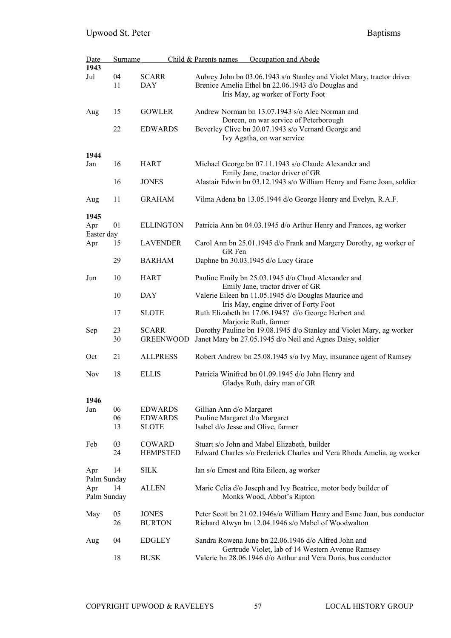| <b>Date</b> | Surname |                  | Child & Parents names<br>Occupation and Abode                           |
|-------------|---------|------------------|-------------------------------------------------------------------------|
| 1943        |         |                  |                                                                         |
| Jul         | 04      | <b>SCARR</b>     | Aubrey John bn 03.06.1943 s/o Stanley and Violet Mary, tractor driver   |
|             | 11      | <b>DAY</b>       | Brenice Amelia Ethel bn 22.06.1943 d/o Douglas and                      |
|             |         |                  | Iris May, ag worker of Forty Foot                                       |
|             |         |                  |                                                                         |
|             | 15      | <b>GOWLER</b>    | Andrew Norman bn 13.07.1943 s/o Alec Norman and                         |
| Aug         |         |                  |                                                                         |
|             |         |                  | Doreen, on war service of Peterborough                                  |
|             | 22      | <b>EDWARDS</b>   | Beverley Clive bn 20.07.1943 s/o Vernard George and                     |
|             |         |                  | Ivy Agatha, on war service                                              |
|             |         |                  |                                                                         |
| 1944        |         |                  |                                                                         |
| Jan         | 16      | <b>HART</b>      | Michael George bn 07.11.1943 s/o Claude Alexander and                   |
|             |         |                  | Emily Jane, tractor driver of GR                                        |
|             | 16      | <b>JONES</b>     | Alastair Edwin bn 03.12.1943 s/o William Henry and Esme Joan, soldier   |
|             |         |                  |                                                                         |
| Aug         | 11      | <b>GRAHAM</b>    | Vilma Adena bn 13.05.1944 d/o George Henry and Evelyn, R.A.F.           |
|             |         |                  |                                                                         |
| 1945        |         |                  |                                                                         |
| Apr         | 01      | <b>ELLINGTON</b> | Patricia Ann bn 04.03.1945 d/o Arthur Henry and Frances, ag worker      |
| Easter day  |         |                  |                                                                         |
| Apr         | 15      | <b>LAVENDER</b>  | Carol Ann bn 25.01.1945 d/o Frank and Margery Dorothy, ag worker of     |
|             |         |                  | GR Fen                                                                  |
|             | 29      | <b>BARHAM</b>    | Daphne bn 30.03.1945 d/o Lucy Grace                                     |
|             |         |                  |                                                                         |
| Jun         | 10      | <b>HART</b>      | Pauline Emily bn 25.03.1945 d/o Claud Alexander and                     |
|             |         |                  |                                                                         |
|             |         |                  | Emily Jane, tractor driver of GR                                        |
|             | 10      | DAY              | Valerie Eileen bn 11.05.1945 d/o Douglas Maurice and                    |
|             |         |                  | Iris May, engine driver of Forty Foot                                   |
|             | 17      | <b>SLOTE</b>     | Ruth Elizabeth bn 17.06.1945? d/o George Herbert and                    |
|             |         |                  | Marjorie Ruth, farmer                                                   |
| Sep         | 23      | <b>SCARR</b>     | Dorothy Pauline bn 19.08.1945 d/o Stanley and Violet Mary, ag worker    |
|             | 30      | <b>GREENWOOD</b> | Janet Mary bn 27.05.1945 d/o Neil and Agnes Daisy, soldier              |
|             |         |                  |                                                                         |
| Oct         | 21      | <b>ALLPRESS</b>  | Robert Andrew bn 25.08.1945 s/o Ivy May, insurance agent of Ramsey      |
|             |         |                  |                                                                         |
| <b>Nov</b>  | 18      | <b>ELLIS</b>     | Patricia Winifred bn 01.09.1945 d/o John Henry and                      |
|             |         |                  | Gladys Ruth, dairy man of GR                                            |
|             |         |                  |                                                                         |
| 1946        |         |                  |                                                                         |
| Jan         | 06      | <b>EDWARDS</b>   | Gillian Ann d/o Margaret                                                |
|             | 06      | <b>EDWARDS</b>   | Pauline Margaret d/o Margaret                                           |
|             | 13      |                  |                                                                         |
|             |         | <b>SLOTE</b>     | Isabel d/o Jesse and Olive, farmer                                      |
|             |         |                  |                                                                         |
| Feb         | 03      | COWARD           | Stuart s/o John and Mabel Elizabeth, builder                            |
|             | 24      | <b>HEMPSTED</b>  | Edward Charles s/o Frederick Charles and Vera Rhoda Amelia, ag worker   |
|             |         |                  |                                                                         |
| Apr         | 14      | <b>SILK</b>      | Ian s/o Ernest and Rita Eileen, ag worker                               |
| Palm Sunday |         |                  |                                                                         |
| Apr         | 14      | <b>ALLEN</b>     | Marie Celia d/o Joseph and Ivy Beatrice, motor body builder of          |
| Palm Sunday |         |                  | Monks Wood, Abbot's Ripton                                              |
|             |         |                  |                                                                         |
| May         | 05      | <b>JONES</b>     | Peter Scott bn 21.02.1946s/o William Henry and Esme Joan, bus conductor |
|             | 26      | <b>BURTON</b>    | Richard Alwyn bn 12.04.1946 s/o Mabel of Woodwalton                     |
|             |         |                  |                                                                         |
| Aug         | 04      | <b>EDGLEY</b>    | Sandra Rowena June bn 22.06.1946 d/o Alfred John and                    |
|             |         |                  | Gertrude Violet, lab of 14 Western Avenue Ramsey                        |
|             | 18      | <b>BUSK</b>      | Valerie bn 28.06.1946 d/o Arthur and Vera Doris, bus conductor          |
|             |         |                  |                                                                         |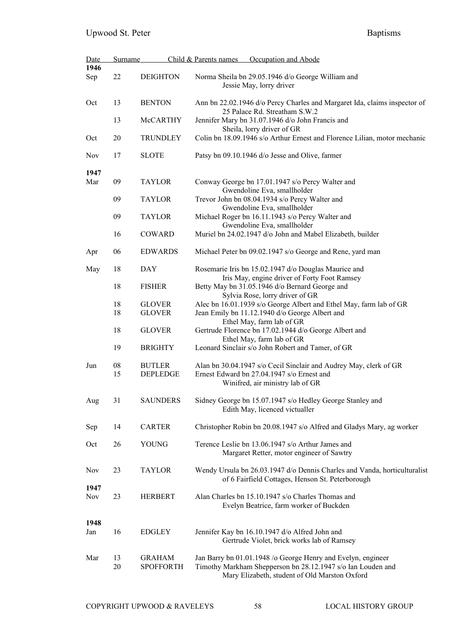| Date       | Surname          |                                   | Child & Parents names | Occupation and Abode                                                                                                                                                         |
|------------|------------------|-----------------------------------|-----------------------|------------------------------------------------------------------------------------------------------------------------------------------------------------------------------|
| 1946       |                  |                                   |                       |                                                                                                                                                                              |
| Sep        | $22\,$           | <b>DEIGHTON</b>                   |                       | Norma Sheila bn 29.05.1946 d/o George William and<br>Jessie May, lorry driver                                                                                                |
| Oct        | 13               | <b>BENTON</b>                     |                       | Ann bn 22.02.1946 d/o Percy Charles and Margaret Ida, claims inspector of<br>25 Palace Rd. Streatham S.W.2                                                                   |
|            | 13               | McCARTHY                          |                       | Jennifer Mary bn 31.07.1946 d/o John Francis and<br>Sheila, lorry driver of GR                                                                                               |
| Oct        | 20               | <b>TRUNDLEY</b>                   |                       | Colin bn 18.09.1946 s/o Arthur Ernest and Florence Lilian, motor mechanic                                                                                                    |
| Nov        | 17               | <b>SLOTE</b>                      |                       | Patsy bn 09.10.1946 d/o Jesse and Olive, farmer                                                                                                                              |
| 1947       |                  |                                   |                       |                                                                                                                                                                              |
| Mar        | 09               | <b>TAYLOR</b>                     |                       | Conway George bn 17.01.1947 s/o Percy Walter and<br>Gwendoline Eva, smallholder                                                                                              |
|            | 09               | <b>TAYLOR</b>                     |                       | Trevor John bn 08.04.1934 s/o Percy Walter and<br>Gwendoline Eva, smallholder                                                                                                |
|            | 09               | <b>TAYLOR</b>                     |                       | Michael Roger bn 16.11.1943 s/o Percy Walter and<br>Gwendoline Eva, smallholder                                                                                              |
|            | 16               | COWARD                            |                       | Muriel bn 24.02.1947 d/o John and Mabel Elizabeth, builder                                                                                                                   |
| Apr        | 06               | <b>EDWARDS</b>                    |                       | Michael Peter bn 09.02.1947 s/o George and Rene, yard man                                                                                                                    |
| May        | 18               | <b>DAY</b>                        |                       | Rosemarie Iris bn 15.02.1947 d/o Douglas Maurice and<br>Iris May, engine driver of Forty Foot Ramsey                                                                         |
|            | 18               | <b>FISHER</b>                     |                       | Betty May bn 31.05.1946 d/o Bernard George and<br>Sylvia Rose, lorry driver of GR                                                                                            |
|            | 18               | <b>GLOVER</b>                     |                       | Alec bn 16.01.1939 s/o George Albert and Ethel May, farm lab of GR                                                                                                           |
|            | 18               | <b>GLOVER</b>                     |                       | Jean Emily bn 11.12.1940 d/o George Albert and                                                                                                                               |
|            |                  |                                   |                       | Ethel May, farm lab of GR                                                                                                                                                    |
|            | 18               | <b>GLOVER</b>                     |                       | Gertrude Florence bn 17.02.1944 d/o George Albert and<br>Ethel May, farm lab of GR                                                                                           |
|            | 19               | <b>BRIGHTY</b>                    |                       | Leonard Sinclair s/o John Robert and Tamer, of GR                                                                                                                            |
| Jun        | ${\bf 08}$<br>15 | <b>BUTLER</b><br><b>DEPLEDGE</b>  |                       | Alan bn 30.04.1947 s/o Cecil Sinclair and Audrey May, clerk of GR<br>Ernest Edward bn 27.04.1947 s/o Ernest and                                                              |
|            |                  |                                   |                       | Winifred, air ministry lab of GR                                                                                                                                             |
| Aug        | 31               | <b>SAUNDERS</b>                   |                       | Sidney George bn 15.07.1947 s/o Hedley George Stanley and<br>Edith May, licenced victualler                                                                                  |
|            |                  |                                   |                       |                                                                                                                                                                              |
| Sep        | 14               | <b>CARTER</b>                     |                       | Christopher Robin bn 20.08.1947 s/o Alfred and Gladys Mary, ag worker                                                                                                        |
| Oct        | 26               | <b>YOUNG</b>                      |                       | Terence Leslie bn 13.06.1947 s/o Arthur James and<br>Margaret Retter, motor engineer of Sawtry                                                                               |
| Nov        | 23               | <b>TAYLOR</b>                     |                       | Wendy Ursula bn 26.03.1947 d/o Dennis Charles and Vanda, horticulturalist<br>of 6 Fairfield Cottages, Henson St. Peterborough                                                |
| 1947       |                  |                                   |                       |                                                                                                                                                                              |
| <b>Nov</b> | 23               | <b>HERBERT</b>                    |                       | Alan Charles bn 15.10.1947 s/o Charles Thomas and<br>Evelyn Beatrice, farm worker of Buckden                                                                                 |
| 1948       |                  |                                   |                       |                                                                                                                                                                              |
| Jan        | 16               | <b>EDGLEY</b>                     |                       | Jennifer Kay bn 16.10.1947 d/o Alfred John and<br>Gertrude Violet, brick works lab of Ramsey                                                                                 |
|            |                  |                                   |                       |                                                                                                                                                                              |
| Mar        | 13<br>20         | <b>GRAHAM</b><br><b>SPOFFORTH</b> |                       | Jan Barry bn 01.01.1948 /o George Henry and Evelyn, engineer<br>Timothy Markham Shepperson bn 28.12.1947 s/o Ian Louden and<br>Mary Elizabeth, student of Old Marston Oxford |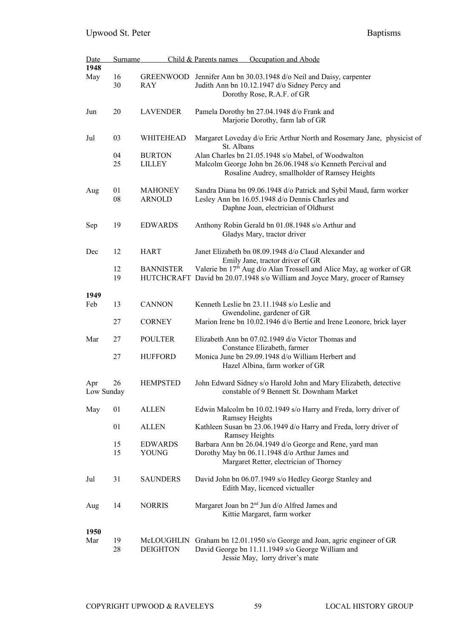| Date       | Surname |                  | Child & Parents names<br>Occupation and Abode                                                                        |
|------------|---------|------------------|----------------------------------------------------------------------------------------------------------------------|
| 1948       |         |                  |                                                                                                                      |
| May        | 16      |                  | GREENWOOD Jennifer Ann bn 30.03.1948 d/o Neil and Daisy, carpenter                                                   |
|            | 30      | RAY              | Judith Ann bn 10.12.1947 d/o Sidney Percy and                                                                        |
|            |         |                  | Dorothy Rose, R.A.F. of GR                                                                                           |
| Jun        | 20      | <b>LAVENDER</b>  | Pamela Dorothy bn 27.04.1948 d/o Frank and                                                                           |
|            |         |                  | Marjorie Dorothy, farm lab of GR                                                                                     |
|            |         |                  |                                                                                                                      |
| Jul        | 03      | WHITEHEAD        | Margaret Loveday d/o Eric Arthur North and Rosemary Jane, physicist of                                               |
|            |         |                  | St. Albans                                                                                                           |
|            | 04      | <b>BURTON</b>    | Alan Charles bn 21.05.1948 s/o Mabel, of Woodwalton                                                                  |
|            | 25      | <b>LILLEY</b>    | Malcolm George John bn 26.06.1948 s/o Kenneth Percival and                                                           |
|            |         |                  | Rosaline Audrey, smallholder of Ramsey Heights                                                                       |
| Aug        | 01      | <b>MAHONEY</b>   | Sandra Diana bn 09.06.1948 d/o Patrick and Sybil Maud, farm worker                                                   |
|            | 08      | <b>ARNOLD</b>    | Lesley Ann bn 16.05.1948 d/o Dennis Charles and                                                                      |
|            |         |                  | Daphne Joan, electrician of Oldhurst                                                                                 |
|            |         |                  |                                                                                                                      |
| Sep        | 19      | <b>EDWARDS</b>   | Anthony Robin Gerald bn 01.08.1948 s/o Arthur and                                                                    |
|            |         |                  | Gladys Mary, tractor driver                                                                                          |
|            |         |                  |                                                                                                                      |
| Dec        | 12      | <b>HART</b>      | Janet Elizabeth bn 08.09.1948 d/o Claud Alexander and                                                                |
|            | 12      | <b>BANNISTER</b> | Emily Jane, tractor driver of GR<br>Valerie bn 17 <sup>th</sup> Aug d/o Alan Trossell and Alice May, ag worker of GR |
|            | 19      |                  | HUTCHCRAFT David bn 20.07.1948 s/o William and Joyce Mary, grocer of Ramsey                                          |
|            |         |                  |                                                                                                                      |
| 1949       |         |                  |                                                                                                                      |
| Feb        | 13      | <b>CANNON</b>    | Kenneth Leslie bn 23.11.1948 s/o Leslie and                                                                          |
|            |         |                  | Gwendoline, gardener of GR                                                                                           |
|            | 27      | <b>CORNEY</b>    | Marion Irene bn 10.02.1946 d/o Bertie and Irene Leonore, brick layer                                                 |
|            |         |                  |                                                                                                                      |
| Mar        | 27      | <b>POULTER</b>   | Elizabeth Ann bn 07.02.1949 d/o Victor Thomas and<br>Constance Elizabeth, farmer                                     |
|            | 27      | <b>HUFFORD</b>   | Monica June bn 29.09.1948 d/o William Herbert and                                                                    |
|            |         |                  | Hazel Albina, farm worker of GR                                                                                      |
|            |         |                  |                                                                                                                      |
| Apr        | 26      | <b>HEMPSTED</b>  | John Edward Sidney s/o Harold John and Mary Elizabeth, detective                                                     |
| Low Sunday |         |                  | constable of 9 Bennett St. Downham Market                                                                            |
|            |         |                  |                                                                                                                      |
| May        | 01      | <b>ALLEN</b>     | Edwin Malcolm bn 10.02.1949 s/o Harry and Freda, lorry driver of                                                     |
|            | 01      | <b>ALLEN</b>     | <b>Ramsey Heights</b>                                                                                                |
|            |         |                  | Kathleen Susan bn 23.06.1949 d/o Harry and Freda, lorry driver of<br>Ramsey Heights                                  |
|            | 15      | <b>EDWARDS</b>   | Barbara Ann bn 26.04.1949 d/o George and Rene, yard man                                                              |
|            | 15      | <b>YOUNG</b>     | Dorothy May bn 06.11.1948 d/o Arthur James and                                                                       |
|            |         |                  | Margaret Retter, electrician of Thorney                                                                              |
|            |         |                  |                                                                                                                      |
| Jul        | 31      | <b>SAUNDERS</b>  | David John bn 06.07.1949 s/o Hedley George Stanley and                                                               |
|            |         |                  | Edith May, licenced victualler                                                                                       |
|            |         |                  |                                                                                                                      |
| Aug        | 14      | <b>NORRIS</b>    | Margaret Joan bn 2 <sup>nd</sup> Jun d/o Alfred James and                                                            |
|            |         |                  | Kittie Margaret, farm worker                                                                                         |
| 1950       |         |                  |                                                                                                                      |
| Mar        | 19      | McLOUGHLIN       | Graham bn 12.01.1950 s/o George and Joan, agric engineer of GR                                                       |
|            | 28      | <b>DEIGHTON</b>  | David George bn 11.11.1949 s/o George William and                                                                    |
|            |         |                  | Jessie May, lorry driver's mate                                                                                      |